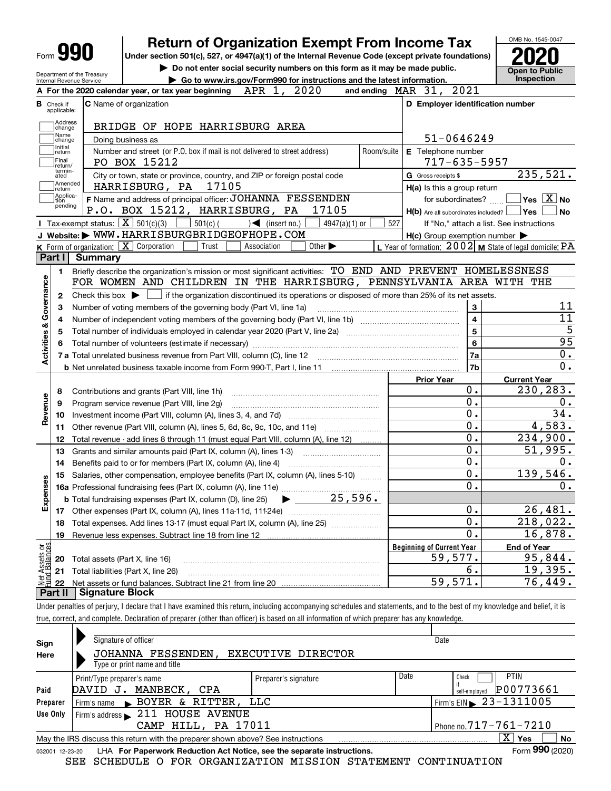|                                            | <b>Form 990</b>                                   | <b>Return of Organization Exempt From Income Tax</b><br>Under section 501(c), 527, or 4947(a)(1) of the Internal Revenue Code (except private foundations) |            |                                                           | OMB No. 1545-0047                                                                                                                       |
|--------------------------------------------|---------------------------------------------------|------------------------------------------------------------------------------------------------------------------------------------------------------------|------------|-----------------------------------------------------------|-----------------------------------------------------------------------------------------------------------------------------------------|
|                                            | Department of the Treasury                        | Do not enter social security numbers on this form as it may be made public.                                                                                |            |                                                           |                                                                                                                                         |
|                                            | Internal Revenue Service                          | Go to www.irs.gov/Form990 for instructions and the latest information.                                                                                     |            |                                                           | Inspection                                                                                                                              |
|                                            |                                                   | A For the 2020 calendar year, or tax year beginning $APR$ 1,<br>2020                                                                                       |            | 2021<br>and ending $\n  MAR\n  31$ ,                      |                                                                                                                                         |
| <b>B</b> Check if<br>applicable:           |                                                   | <b>C</b> Name of organization                                                                                                                              |            | D Employer identification number                          |                                                                                                                                         |
| Address<br>change                          |                                                   | BRIDGE OF HOPE HARRISBURG AREA                                                                                                                             |            |                                                           |                                                                                                                                         |
| Name<br>change                             |                                                   | Doing business as                                                                                                                                          |            | 51-0646249                                                |                                                                                                                                         |
| Initial<br>return<br>Final<br>return/      |                                                   | Number and street (or P.O. box if mail is not delivered to street address)<br>PO BOX 15212                                                                 | Room/suite | E Telephone number<br>$717 - 635 - 5957$                  |                                                                                                                                         |
| termin-<br>ated                            |                                                   | City or town, state or province, country, and ZIP or foreign postal code                                                                                   |            | G Gross receipts \$                                       | 235,521.                                                                                                                                |
| return                                     | Amended                                           | HARRISBURG, PA<br>17105                                                                                                                                    |            | H(a) Is this a group return                               |                                                                                                                                         |
| Applica-<br>tion                           |                                                   | F Name and address of principal officer: JOHANNA FESSENDEN                                                                                                 |            | for subordinates?                                         | $\blacksquare$ Yes $\overline{X}$ No                                                                                                    |
| pending                                    |                                                   | P.O. BOX 15212, HARRISBURG, PA<br>17105                                                                                                                    |            | $H(b)$ Are all subordinates included? $\Box$ Yes          | ∣No                                                                                                                                     |
|                                            | Tax-exempt status: $\boxed{\mathbf{X}}$ 501(c)(3) | $501(c)$ (<br>$\sqrt{\frac{1}{1}}$ (insert no.)<br>$4947(a)(1)$ or                                                                                         | 527        | If "No," attach a list. See instructions                  |                                                                                                                                         |
|                                            |                                                   | J Website: WWW.HARRISBURGBRIDGEOFHOPE.COM                                                                                                                  |            | $H(c)$ Group exemption number $\blacktriangleright$       |                                                                                                                                         |
|                                            | K Form of organization: X Corporation             | Trust<br>Other $\blacktriangleright$<br>Association                                                                                                        |            | L Year of formation: $2002$ M State of legal domicile: PA |                                                                                                                                         |
| Part I                                     | <b>Summary</b>                                    |                                                                                                                                                            |            |                                                           |                                                                                                                                         |
| 1.                                         |                                                   | Briefly describe the organization's mission or most significant activities: TO END AND PREVENT HOMELESSNESS                                                |            |                                                           |                                                                                                                                         |
|                                            |                                                   | FOR WOMEN AND CHILDREN IN THE HARRISBURG, PENNSYLVANIA AREA WITH THE                                                                                       |            |                                                           |                                                                                                                                         |
| Governance<br>2                            | Check this box $\blacktriangleright$              | if the organization discontinued its operations or disposed of more than 25% of its net assets.                                                            |            |                                                           |                                                                                                                                         |
| 3                                          |                                                   | Number of voting members of the governing body (Part VI, line 1a)                                                                                          |            | $\bf 3$                                                   | 11                                                                                                                                      |
|                                            |                                                   |                                                                                                                                                            |            | $\overline{\mathbf{4}}$                                   | $\overline{11}$                                                                                                                         |
| 4                                          |                                                   |                                                                                                                                                            |            | 5                                                         | $\overline{5}$                                                                                                                          |
| <b>Activities &amp;</b>                    | 5                                                 |                                                                                                                                                            |            |                                                           | 95                                                                                                                                      |
|                                            |                                                   |                                                                                                                                                            |            |                                                           | 0.                                                                                                                                      |
|                                            |                                                   |                                                                                                                                                            |            | 7a                                                        |                                                                                                                                         |
|                                            |                                                   |                                                                                                                                                            |            |                                                           |                                                                                                                                         |
|                                            |                                                   |                                                                                                                                                            |            | 7b                                                        |                                                                                                                                         |
|                                            |                                                   |                                                                                                                                                            |            | <b>Prior Year</b>                                         | <b>Current Year</b>                                                                                                                     |
| 8                                          |                                                   | Contributions and grants (Part VIII, line 1h)                                                                                                              |            | 0.                                                        |                                                                                                                                         |
| 9                                          |                                                   | Program service revenue (Part VIII, line 2g)                                                                                                               |            | 0.                                                        |                                                                                                                                         |
| 10                                         |                                                   |                                                                                                                                                            |            | 0.                                                        |                                                                                                                                         |
| 11                                         |                                                   | Other revenue (Part VIII, column (A), lines 5, 6d, 8c, 9c, 10c, and 11e)                                                                                   |            | 0.                                                        |                                                                                                                                         |
| 12                                         |                                                   | Total revenue - add lines 8 through 11 (must equal Part VIII, column (A), line 12)                                                                         |            | $\overline{0}$ .                                          |                                                                                                                                         |
| 13                                         |                                                   | Grants and similar amounts paid (Part IX, column (A), lines 1-3)                                                                                           |            | 0.                                                        |                                                                                                                                         |
| 14                                         |                                                   | Benefits paid to or for members (Part IX, column (A), line 4)                                                                                              |            | $0$ .                                                     |                                                                                                                                         |
| 15                                         |                                                   | Salaries, other compensation, employee benefits (Part IX, column (A), lines 5-10)                                                                          |            | $\overline{0}$ .                                          |                                                                                                                                         |
| 89                                         |                                                   |                                                                                                                                                            |            | $\overline{0}$ .                                          |                                                                                                                                         |
|                                            |                                                   | 25,596.<br><b>b</b> Total fundraising expenses (Part IX, column (D), line 25)                                                                              |            |                                                           |                                                                                                                                         |
| 17                                         |                                                   |                                                                                                                                                            |            | 0.                                                        |                                                                                                                                         |
| 18                                         |                                                   |                                                                                                                                                            |            | 0.                                                        |                                                                                                                                         |
| 19                                         |                                                   | Total expenses. Add lines 13-17 (must equal Part IX, column (A), line 25)                                                                                  |            | 0.                                                        |                                                                                                                                         |
| Revenue                                    |                                                   |                                                                                                                                                            |            |                                                           |                                                                                                                                         |
| Expense                                    |                                                   |                                                                                                                                                            |            | <b>Beginning of Current Year</b>                          | <b>End of Year</b>                                                                                                                      |
| 20                                         | Total assets (Part X, line 16)                    |                                                                                                                                                            |            | 59,577.                                                   | $0$ .<br>230,283.<br>$0$ .<br>34.<br>4,583.<br>234,900.<br>51,995.<br>О.<br>139,546.<br>0.<br>26,481.<br>218,022.<br>16,878.<br>95,844. |
| Net Assets or<br>Eund Balances<br>21<br>22 |                                                   | Total liabilities (Part X, line 26)                                                                                                                        |            | б.<br>59,571.                                             | 19,395.<br>76,449.                                                                                                                      |

| Under penalties of perjury, I declare that I have examined this return, including accompanying schedules and statements, and to the best of my knowledge and belief, it is |  |
|----------------------------------------------------------------------------------------------------------------------------------------------------------------------------|--|
| true, correct, and complete. Declaration of preparer (other than officer) is based on all information of which preparer has any knowledge.                                 |  |
|                                                                                                                                                                            |  |

| Sign             | Signature of officer                                                                                         |                      |      | Date                                   |  |  |  |  |  |
|------------------|--------------------------------------------------------------------------------------------------------------|----------------------|------|----------------------------------------|--|--|--|--|--|
| Here             | JOHANNA FESSENDEN.<br>EXECUTIVE DIRECTOR                                                                     |                      |      |                                        |  |  |  |  |  |
|                  | Type or print name and title                                                                                 |                      |      |                                        |  |  |  |  |  |
|                  | Print/Type preparer's name                                                                                   | Preparer's signature | Date | <b>PTIN</b><br>Check                   |  |  |  |  |  |
| DAVID J.<br>Paid | P00773661<br>self-emploved                                                                                   |                      |      |                                        |  |  |  |  |  |
| Preparer         | Firm's name BOYER & RITTER, LLC                                                                              |                      |      | Firm's EIN $\triangleright$ 23-1311005 |  |  |  |  |  |
| Use Only         | Firm's address 211 HOUSE AVENUE                                                                              |                      |      |                                        |  |  |  |  |  |
|                  | CAMP HILL, PA 17011<br>Phone no. $717 - 761 - 7210$                                                          |                      |      |                                        |  |  |  |  |  |
|                  | May the IRS discuss this return with the preparer shown above? See instructions                              |                      |      | $\mathbf{X}$<br>Yes<br>No              |  |  |  |  |  |
|                  | Form 990 (2020)<br>LHA For Paperwork Reduction Act Notice, see the separate instructions.<br>032001 12-23-20 |                      |      |                                        |  |  |  |  |  |

SEE SCHEDULE O FOR ORGANIZATION MISSION STATEMENT CONTINUATION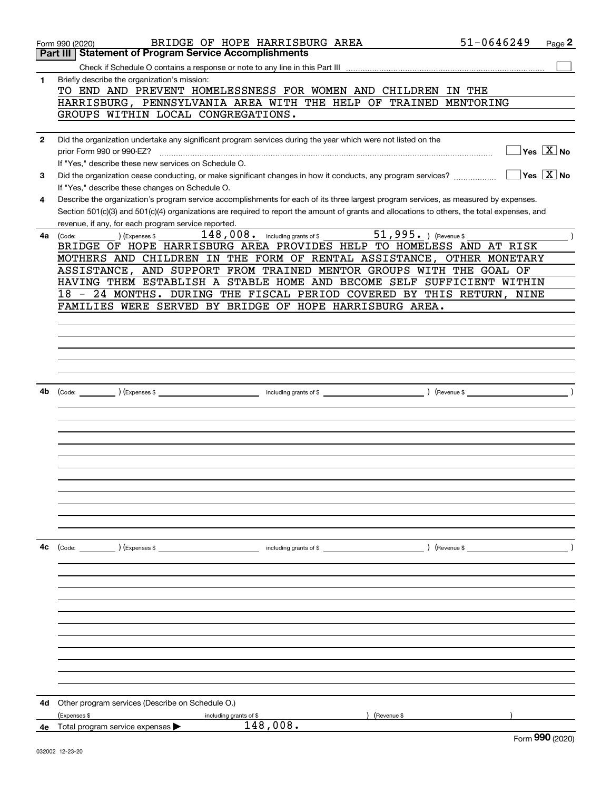|              | 51-0646249<br>BRIDGE OF HOPE HARRISBURG AREA<br>Form 990 (2020)                                                                              | Page 2                                                 |
|--------------|----------------------------------------------------------------------------------------------------------------------------------------------|--------------------------------------------------------|
|              | Part III   Statement of Program Service Accomplishments                                                                                      |                                                        |
|              |                                                                                                                                              |                                                        |
| 1            | Briefly describe the organization's mission:                                                                                                 |                                                        |
|              | TO END AND PREVENT HOMELESSNESS FOR WOMEN AND CHILDREN IN THE                                                                                |                                                        |
|              | HARRISBURG, PENNSYLVANIA AREA WITH THE HELP OF TRAINED MENTORING                                                                             |                                                        |
|              | GROUPS WITHIN LOCAL CONGREGATIONS.                                                                                                           |                                                        |
|              |                                                                                                                                              |                                                        |
| $\mathbf{2}$ | Did the organization undertake any significant program services during the year which were not listed on the                                 |                                                        |
|              | prior Form 990 or 990-EZ?                                                                                                                    | $\overline{\mathsf{Yes} \mathrel{\;\; X} \mathsf{No}}$ |
|              | If "Yes," describe these new services on Schedule O.                                                                                         |                                                        |
| 3            | Did the organization cease conducting, or make significant changes in how it conducts, any program services?                                 | $\overline{\mathsf{Yes} \mathrel{\overline{X}}$ No     |
|              | If "Yes," describe these changes on Schedule O.                                                                                              |                                                        |
| 4            | Describe the organization's program service accomplishments for each of its three largest program services, as measured by expenses.         |                                                        |
|              | Section 501(c)(3) and 501(c)(4) organizations are required to report the amount of grants and allocations to others, the total expenses, and |                                                        |
|              | revenue, if any, for each program service reported.                                                                                          |                                                        |
| 4a l         | (Expenses \$<br>(Code:<br>BRIDGE OF HOPE HARRISBURG AREA PROVIDES HELP TO HOMELESS AND AT RISK                                               |                                                        |
|              |                                                                                                                                              |                                                        |
|              | MOTHERS AND CHILDREN IN THE FORM OF RENTAL ASSISTANCE, OTHER MONETARY<br>ASSISTANCE, AND SUPPORT FROM TRAINED MENTOR GROUPS WITH THE GOAL OF |                                                        |
|              | HAVING THEM ESTABLISH A STABLE HOME AND BECOME SELF SUFFICIENT WITHIN                                                                        |                                                        |
|              | - 24 MONTHS. DURING THE FISCAL PERIOD COVERED BY THIS RETURN, NINE<br>18                                                                     |                                                        |
|              | FAMILIES WERE SERVED BY BRIDGE OF HOPE HARRISBURG AREA.                                                                                      |                                                        |
|              |                                                                                                                                              |                                                        |
|              |                                                                                                                                              |                                                        |
|              |                                                                                                                                              |                                                        |
|              |                                                                                                                                              |                                                        |
|              |                                                                                                                                              |                                                        |
|              |                                                                                                                                              |                                                        |
| 4b           |                                                                                                                                              |                                                        |
|              |                                                                                                                                              |                                                        |
|              |                                                                                                                                              |                                                        |
|              |                                                                                                                                              |                                                        |
|              |                                                                                                                                              |                                                        |
|              |                                                                                                                                              |                                                        |
|              |                                                                                                                                              |                                                        |
|              |                                                                                                                                              |                                                        |
|              |                                                                                                                                              |                                                        |
|              |                                                                                                                                              |                                                        |
|              |                                                                                                                                              |                                                        |
|              |                                                                                                                                              |                                                        |
|              |                                                                                                                                              |                                                        |
| 4с           |                                                                                                                                              |                                                        |
|              |                                                                                                                                              |                                                        |
|              |                                                                                                                                              |                                                        |
|              |                                                                                                                                              |                                                        |
|              |                                                                                                                                              |                                                        |
|              |                                                                                                                                              |                                                        |
|              |                                                                                                                                              |                                                        |
|              |                                                                                                                                              |                                                        |
|              |                                                                                                                                              |                                                        |
|              |                                                                                                                                              |                                                        |
|              |                                                                                                                                              |                                                        |
|              |                                                                                                                                              |                                                        |
|              |                                                                                                                                              |                                                        |
| 4d           | Other program services (Describe on Schedule O.)                                                                                             |                                                        |
|              | (Expenses \$<br>Revenue \$<br>including grants of \$                                                                                         |                                                        |
|              | 148,008.<br>4e Total program service expenses                                                                                                |                                                        |
|              |                                                                                                                                              | $F_{\text{arm}}$ 990 (2020)                            |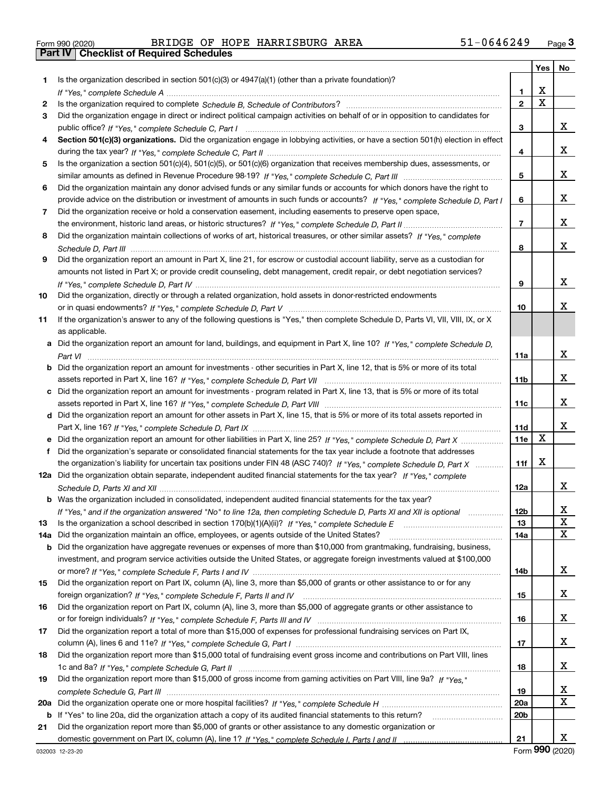|  | Form 990 (2020) |
|--|-----------------|

# Form 990 (2020) BRIDGE OF HOPE HARRISBURG AREA 51-0646249 <sub>Page</sub> 3<br>**Part IV | Checklist of Required Schedules**

|     |                                                                                                                                               |                 | Yes $ $                 | No |
|-----|-----------------------------------------------------------------------------------------------------------------------------------------------|-----------------|-------------------------|----|
| 1   | Is the organization described in section $501(c)(3)$ or $4947(a)(1)$ (other than a private foundation)?                                       |                 |                         |    |
|     |                                                                                                                                               | 1.              | х                       |    |
| 2   |                                                                                                                                               | $\mathbf{2}$    | $\overline{\mathbf{x}}$ |    |
| 3   | Did the organization engage in direct or indirect political campaign activities on behalf of or in opposition to candidates for               |                 |                         |    |
|     |                                                                                                                                               | 3               |                         | x  |
| 4   | Section 501(c)(3) organizations. Did the organization engage in lobbying activities, or have a section 501(h) election in effect              |                 |                         |    |
|     |                                                                                                                                               | 4               |                         | x  |
| 5   | Is the organization a section 501(c)(4), 501(c)(5), or 501(c)(6) organization that receives membership dues, assessments, or                  |                 |                         |    |
|     |                                                                                                                                               | 5               |                         | x  |
| 6   | Did the organization maintain any donor advised funds or any similar funds or accounts for which donors have the right to                     |                 |                         |    |
|     | provide advice on the distribution or investment of amounts in such funds or accounts? If "Yes," complete Schedule D, Part I                  | 6               |                         | x  |
| 7   | Did the organization receive or hold a conservation easement, including easements to preserve open space,                                     |                 |                         |    |
|     |                                                                                                                                               | $\overline{7}$  |                         | x  |
| 8   | Did the organization maintain collections of works of art, historical treasures, or other similar assets? If "Yes," complete                  |                 |                         |    |
|     |                                                                                                                                               | 8               |                         | x  |
| 9   | Did the organization report an amount in Part X, line 21, for escrow or custodial account liability, serve as a custodian for                 |                 |                         |    |
|     | amounts not listed in Part X; or provide credit counseling, debt management, credit repair, or debt negotiation services?                     |                 |                         |    |
|     |                                                                                                                                               | 9               |                         | x  |
| 10  | Did the organization, directly or through a related organization, hold assets in donor-restricted endowments                                  |                 |                         |    |
|     |                                                                                                                                               | 10              |                         | x  |
| 11  | If the organization's answer to any of the following questions is "Yes," then complete Schedule D, Parts VI, VII, VIII, IX, or X              |                 |                         |    |
|     | as applicable.<br>Did the organization report an amount for land, buildings, and equipment in Part X, line 10? If "Yes," complete Schedule D. |                 |                         |    |
| а   |                                                                                                                                               | 11a             |                         | x  |
|     | Did the organization report an amount for investments - other securities in Part X, line 12, that is 5% or more of its total                  |                 |                         |    |
|     |                                                                                                                                               | 11 <sub>b</sub> |                         | x  |
| c   | Did the organization report an amount for investments - program related in Part X, line 13, that is 5% or more of its total                   |                 |                         |    |
|     |                                                                                                                                               | 11c             |                         | x  |
|     | d Did the organization report an amount for other assets in Part X, line 15, that is 5% or more of its total assets reported in               |                 |                         |    |
|     |                                                                                                                                               | 11d             |                         | x  |
|     |                                                                                                                                               | 11e             | X                       |    |
| f   | Did the organization's separate or consolidated financial statements for the tax year include a footnote that addresses                       |                 |                         |    |
|     | the organization's liability for uncertain tax positions under FIN 48 (ASC 740)? If "Yes," complete Schedule D, Part X                        | 11f             | X                       |    |
|     | 12a Did the organization obtain separate, independent audited financial statements for the tax year? If "Yes," complete                       |                 |                         |    |
|     |                                                                                                                                               | 12a             |                         | X. |
|     | <b>b</b> Was the organization included in consolidated, independent audited financial statements for the tax year?                            |                 |                         |    |
|     | If "Yes," and if the organization answered "No" to line 12a, then completing Schedule D, Parts XI and XII is optional                         | 12 <sub>b</sub> |                         | х  |
| 13  |                                                                                                                                               | 13              |                         | X  |
| 14a | Did the organization maintain an office, employees, or agents outside of the United States?                                                   | 14a             |                         | X  |
| b   | Did the organization have aggregate revenues or expenses of more than \$10,000 from grantmaking, fundraising, business,                       |                 |                         |    |
|     | investment, and program service activities outside the United States, or aggregate foreign investments valued at \$100,000                    |                 |                         |    |
|     |                                                                                                                                               | 14b             |                         | x  |
| 15  | Did the organization report on Part IX, column (A), line 3, more than \$5,000 of grants or other assistance to or for any                     |                 |                         |    |
|     |                                                                                                                                               | 15              |                         | x  |
| 16  | Did the organization report on Part IX, column (A), line 3, more than \$5,000 of aggregate grants or other assistance to                      | 16              |                         | x  |
| 17  | Did the organization report a total of more than \$15,000 of expenses for professional fundraising services on Part IX,                       |                 |                         |    |
|     |                                                                                                                                               | 17              |                         | x  |
| 18  | Did the organization report more than \$15,000 total of fundraising event gross income and contributions on Part VIII, lines                  |                 |                         |    |
|     |                                                                                                                                               | 18              |                         | x  |
| 19  | Did the organization report more than \$15,000 of gross income from gaming activities on Part VIII, line 9a? If "Yes."                        |                 |                         |    |
|     |                                                                                                                                               | 19              |                         | X  |
| 20a |                                                                                                                                               | 20a             |                         | X  |
| b   | If "Yes" to line 20a, did the organization attach a copy of its audited financial statements to this return?                                  | 20b             |                         |    |
| 21  | Did the organization report more than \$5,000 of grants or other assistance to any domestic organization or                                   |                 |                         |    |
|     |                                                                                                                                               | 21              |                         | X. |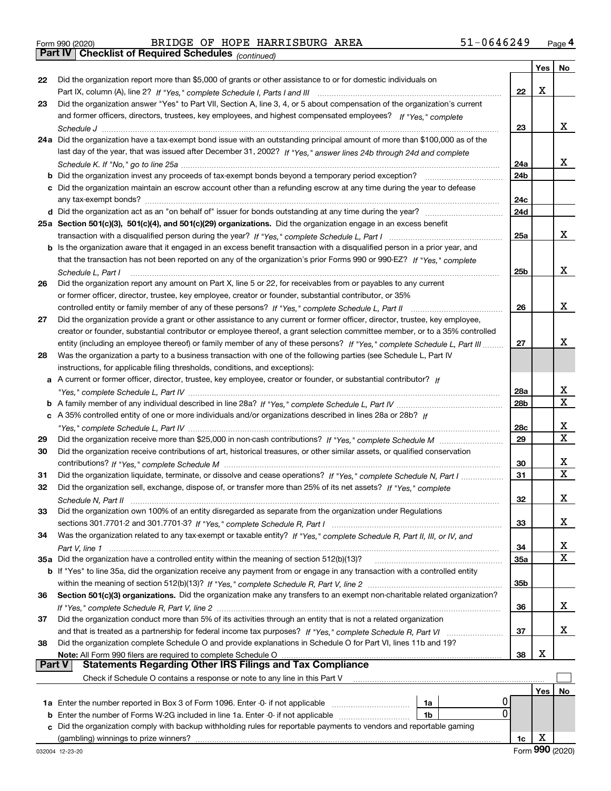|  | Form 990 (2020) |
|--|-----------------|
|  |                 |

Form 990 (2020) Page **4Part IV Checklist of Required Schedules** BRIDGE OF HOPE HARRISBURG AREA 51-0646249

*(continued)*

|               |                                                                                                                              |                 | Yes | No          |
|---------------|------------------------------------------------------------------------------------------------------------------------------|-----------------|-----|-------------|
| 22            | Did the organization report more than \$5,000 of grants or other assistance to or for domestic individuals on                |                 |     |             |
|               |                                                                                                                              | 22              | x   |             |
| 23            | Did the organization answer "Yes" to Part VII, Section A, line 3, 4, or 5 about compensation of the organization's current   |                 |     |             |
|               | and former officers, directors, trustees, key employees, and highest compensated employees? If "Yes," complete               |                 |     |             |
|               |                                                                                                                              | 23              |     | x           |
|               | 24a Did the organization have a tax-exempt bond issue with an outstanding principal amount of more than \$100,000 as of the  |                 |     |             |
|               | last day of the year, that was issued after December 31, 2002? If "Yes," answer lines 24b through 24d and complete           |                 |     |             |
|               |                                                                                                                              | 24a             |     | x.          |
|               | <b>b</b> Did the organization invest any proceeds of tax-exempt bonds beyond a temporary period exception?                   | 24b             |     |             |
|               | c Did the organization maintain an escrow account other than a refunding escrow at any time during the year to defease       |                 |     |             |
|               |                                                                                                                              | 24c             |     |             |
|               |                                                                                                                              | 24d             |     |             |
|               | 25a Section 501(c)(3), 501(c)(4), and 501(c)(29) organizations. Did the organization engage in an excess benefit             |                 |     |             |
|               |                                                                                                                              | 25a             |     | x           |
|               | b Is the organization aware that it engaged in an excess benefit transaction with a disqualified person in a prior year, and |                 |     |             |
|               | that the transaction has not been reported on any of the organization's prior Forms 990 or 990-EZ? If "Yes," complete        |                 |     |             |
|               | Schedule L, Part I                                                                                                           | 25b             |     | x           |
| 26            | Did the organization report any amount on Part X, line 5 or 22, for receivables from or payables to any current              |                 |     |             |
|               | or former officer, director, trustee, key employee, creator or founder, substantial contributor, or 35%                      |                 |     |             |
|               | controlled entity or family member of any of these persons? If "Yes," complete Schedule L, Part II                           | 26              |     | x           |
| 27            | Did the organization provide a grant or other assistance to any current or former officer, director, trustee, key employee,  |                 |     |             |
|               | creator or founder, substantial contributor or employee thereof, a grant selection committee member, or to a 35% controlled  |                 |     |             |
|               | entity (including an employee thereof) or family member of any of these persons? If "Yes," complete Schedule L, Part III     | 27              |     | x           |
| 28            | Was the organization a party to a business transaction with one of the following parties (see Schedule L, Part IV            |                 |     |             |
|               | instructions, for applicable filing thresholds, conditions, and exceptions):                                                 |                 |     |             |
|               | a A current or former officer, director, trustee, key employee, creator or founder, or substantial contributor? If           |                 |     |             |
|               |                                                                                                                              | 28a             |     | x           |
|               |                                                                                                                              | 28 <sub>b</sub> |     | $\mathbf X$ |
|               | c A 35% controlled entity of one or more individuals and/or organizations described in lines 28a or 28b? If                  |                 |     |             |
|               |                                                                                                                              | 28c             |     | х           |
| 29            |                                                                                                                              | 29              |     | X           |
| 30            | Did the organization receive contributions of art, historical treasures, or other similar assets, or qualified conservation  |                 |     |             |
|               |                                                                                                                              | 30              |     | x           |
| 31            | Did the organization liquidate, terminate, or dissolve and cease operations? If "Yes," complete Schedule N, Part I           | 31              |     | X           |
| 32            | Did the organization sell, exchange, dispose of, or transfer more than 25% of its net assets? If "Yes," complete             |                 |     |             |
|               |                                                                                                                              | 32              |     | x.          |
| 33            | Did the organization own 100% of an entity disregarded as separate from the organization under Regulations                   |                 |     |             |
|               |                                                                                                                              | 33              |     | x           |
| 34            | Was the organization related to any tax-exempt or taxable entity? If "Yes," complete Schedule R, Part II, III, or IV, and    |                 |     |             |
|               |                                                                                                                              | 34              |     | X           |
|               | 35a Did the organization have a controlled entity within the meaning of section 512(b)(13)?                                  | <b>35a</b>      |     | X           |
|               | b If "Yes" to line 35a, did the organization receive any payment from or engage in any transaction with a controlled entity  |                 |     |             |
|               |                                                                                                                              | 35b             |     |             |
| 36            | Section 501(c)(3) organizations. Did the organization make any transfers to an exempt non-charitable related organization?   |                 |     |             |
|               |                                                                                                                              | 36              |     | X.          |
| 37            | Did the organization conduct more than 5% of its activities through an entity that is not a related organization             |                 |     |             |
|               | and that is treated as a partnership for federal income tax purposes? If "Yes," complete Schedule R, Part VI                 | 37              |     | X.          |
| 38            | Did the organization complete Schedule O and provide explanations in Schedule O for Part VI, lines 11b and 19?               |                 |     |             |
|               | Note: All Form 990 filers are required to complete Schedule O                                                                | 38              | х   |             |
| <b>Part V</b> | <b>Statements Regarding Other IRS Filings and Tax Compliance</b>                                                             |                 |     |             |
|               | Check if Schedule O contains a response or note to any line in this Part V                                                   |                 |     |             |
|               |                                                                                                                              |                 | Yes | No          |
|               | 1a                                                                                                                           |                 |     |             |
|               | 0<br><b>b</b> Enter the number of Forms W-2G included in line 1a. Enter -0- if not applicable<br>1b                          |                 |     |             |
| c             | Did the organization comply with backup withholding rules for reportable payments to vendors and reportable gaming           |                 |     |             |
|               |                                                                                                                              | 1c              | х   |             |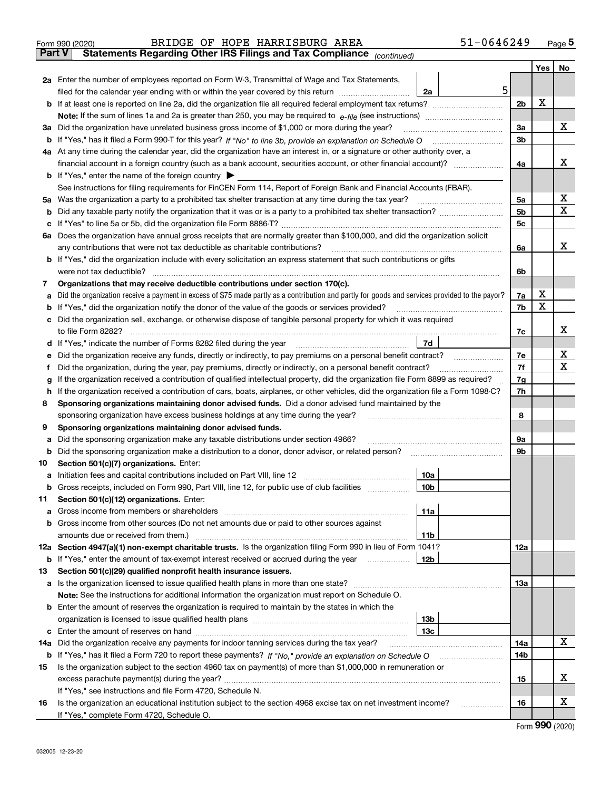|        | $51 - 0646249$<br>BRIDGE OF HOPE HARRISBURG AREA<br>Form 990 (2020)                                                                                                                                           |   |                      |     | $_{\text{Page}}$ 5          |
|--------|---------------------------------------------------------------------------------------------------------------------------------------------------------------------------------------------------------------|---|----------------------|-----|-----------------------------|
| Part V | Statements Regarding Other IRS Filings and Tax Compliance (continued)                                                                                                                                         |   |                      |     |                             |
|        |                                                                                                                                                                                                               |   |                      | Yes | No                          |
|        | 2a Enter the number of employees reported on Form W-3, Transmittal of Wage and Tax Statements,                                                                                                                |   |                      |     |                             |
|        | filed for the calendar year ending with or within the year covered by this return<br>2a                                                                                                                       | 5 |                      |     |                             |
|        |                                                                                                                                                                                                               |   | 2 <sub>b</sub>       | X   |                             |
|        |                                                                                                                                                                                                               |   |                      |     |                             |
|        | 3a Did the organization have unrelated business gross income of \$1,000 or more during the year?                                                                                                              |   | 3a                   |     | x                           |
| b      |                                                                                                                                                                                                               |   | 3 <sub>b</sub>       |     |                             |
|        | 4a At any time during the calendar year, did the organization have an interest in, or a signature or other authority over, a                                                                                  |   |                      |     |                             |
|        |                                                                                                                                                                                                               |   | 4a                   |     | x                           |
|        | <b>b</b> If "Yes," enter the name of the foreign country $\blacktriangleright$                                                                                                                                |   |                      |     |                             |
|        | See instructions for filing requirements for FinCEN Form 114, Report of Foreign Bank and Financial Accounts (FBAR).                                                                                           |   |                      |     | x                           |
| 5a     | Was the organization a party to a prohibited tax shelter transaction at any time during the tax year?                                                                                                         |   | 5a<br>5 <sub>b</sub> |     | X                           |
| b      |                                                                                                                                                                                                               |   |                      |     |                             |
| c      |                                                                                                                                                                                                               |   | 5c                   |     |                             |
|        | 6a Does the organization have annual gross receipts that are normally greater than \$100,000, and did the organization solicit<br>any contributions that were not tax deductible as charitable contributions? |   | 6a                   |     | x                           |
|        | b If "Yes," did the organization include with every solicitation an express statement that such contributions or gifts                                                                                        |   |                      |     |                             |
|        | were not tax deductible?                                                                                                                                                                                      |   | 6b                   |     |                             |
| 7      | Organizations that may receive deductible contributions under section 170(c).                                                                                                                                 |   |                      |     |                             |
| a      | Did the organization receive a payment in excess of \$75 made partly as a contribution and partly for goods and services provided to the payor?                                                               |   | 7a                   | x   |                             |
| b      | If "Yes," did the organization notify the donor of the value of the goods or services provided?                                                                                                               |   | 7b                   | X   |                             |
|        | Did the organization sell, exchange, or otherwise dispose of tangible personal property for which it was required                                                                                             |   |                      |     |                             |
|        |                                                                                                                                                                                                               |   | 7c                   |     | x                           |
| d      | 7d                                                                                                                                                                                                            |   |                      |     |                             |
| е      | Did the organization receive any funds, directly or indirectly, to pay premiums on a personal benefit contract?                                                                                               |   | 7e                   |     | х                           |
| f      | Did the organization, during the year, pay premiums, directly or indirectly, on a personal benefit contract?                                                                                                  |   | 7f                   |     | x                           |
| g      | If the organization received a contribution of qualified intellectual property, did the organization file Form 8899 as required?                                                                              |   | 7g                   |     |                             |
| h      | If the organization received a contribution of cars, boats, airplanes, or other vehicles, did the organization file a Form 1098-C?                                                                            |   | 7h                   |     |                             |
| 8      | Sponsoring organizations maintaining donor advised funds. Did a donor advised fund maintained by the                                                                                                          |   |                      |     |                             |
|        | sponsoring organization have excess business holdings at any time during the year?                                                                                                                            |   | 8                    |     |                             |
| 9      | Sponsoring organizations maintaining donor advised funds.                                                                                                                                                     |   |                      |     |                             |
| a      | Did the sponsoring organization make any taxable distributions under section 4966?                                                                                                                            |   | 9а                   |     |                             |
| b      | Did the sponsoring organization make a distribution to a donor, donor advisor, or related person?                                                                                                             |   | 9b                   |     |                             |
| 10     | Section 501(c)(7) organizations. Enter:                                                                                                                                                                       |   |                      |     |                             |
|        | 10a                                                                                                                                                                                                           |   |                      |     |                             |
|        | 10b<br>Gross receipts, included on Form 990, Part VIII, line 12, for public use of club facilities                                                                                                            |   |                      |     |                             |
| 11     | Section 501(c)(12) organizations. Enter:                                                                                                                                                                      |   |                      |     |                             |
| a      | 11a<br>Gross income from members or shareholders                                                                                                                                                              |   |                      |     |                             |
| b      | Gross income from other sources (Do not net amounts due or paid to other sources against                                                                                                                      |   |                      |     |                             |
|        | 11 <sub>b</sub>                                                                                                                                                                                               |   |                      |     |                             |
|        | 12a Section 4947(a)(1) non-exempt charitable trusts. Is the organization filing Form 990 in lieu of Form 1041?                                                                                                |   | 12a                  |     |                             |
|        | <b>b</b> If "Yes," enter the amount of tax-exempt interest received or accrued during the year<br>12b                                                                                                         |   |                      |     |                             |
| 13     | Section 501(c)(29) qualified nonprofit health insurance issuers.                                                                                                                                              |   |                      |     |                             |
|        | a Is the organization licensed to issue qualified health plans in more than one state?                                                                                                                        |   | 13a                  |     |                             |
|        | Note: See the instructions for additional information the organization must report on Schedule O.                                                                                                             |   |                      |     |                             |
|        | <b>b</b> Enter the amount of reserves the organization is required to maintain by the states in which the                                                                                                     |   |                      |     |                             |
|        | 13 <sub>b</sub>                                                                                                                                                                                               |   |                      |     |                             |
| c      | 13 <sub>c</sub>                                                                                                                                                                                               |   |                      |     | X                           |
| 14a    | Did the organization receive any payments for indoor tanning services during the tax year?                                                                                                                    |   | 14a                  |     |                             |
|        | <b>b</b> If "Yes," has it filed a Form 720 to report these payments? If "No," provide an explanation on Schedule O                                                                                            |   | 14b                  |     |                             |
| 15     | Is the organization subject to the section 4960 tax on payment(s) of more than \$1,000,000 in remuneration or                                                                                                 |   |                      |     | x                           |
|        |                                                                                                                                                                                                               |   | 15                   |     |                             |
| 16     | If "Yes," see instructions and file Form 4720, Schedule N.<br>Is the organization an educational institution subject to the section 4968 excise tax on net investment income?                                 |   | 16                   |     | х                           |
|        | If "Yes," complete Form 4720, Schedule O.                                                                                                                                                                     |   |                      |     |                             |
|        |                                                                                                                                                                                                               |   |                      |     | $F_{\text{arm}}$ 990 (2020) |

Form (2020) **990**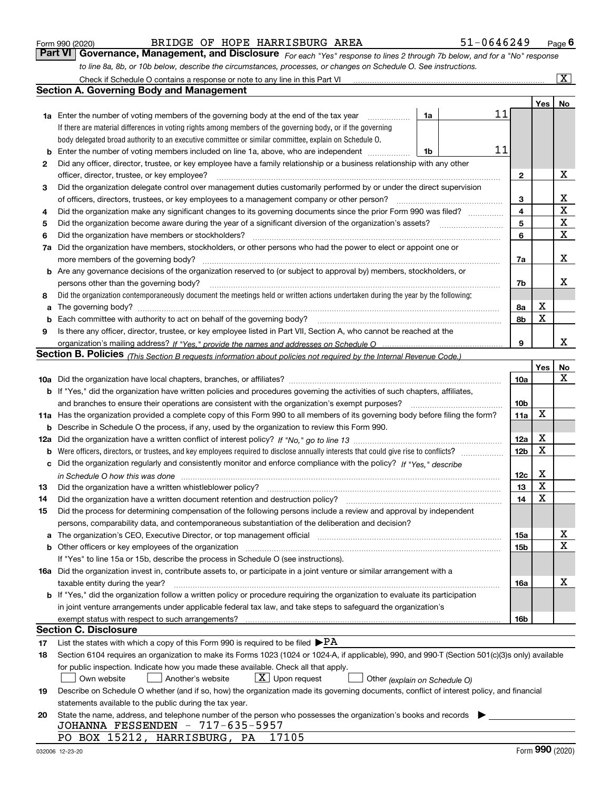|  | Form 990 (2020) |
|--|-----------------|
|  |                 |

| Form 990 (2020) |                                                                                                                             | BRIDGE OF HOPE HARRISBURG AREA | 51-0646249 | $P_{\text{aqe}}$ 6 |
|-----------------|-----------------------------------------------------------------------------------------------------------------------------|--------------------------------|------------|--------------------|
|                 | Part VI Governance, Management, and Disclosure For each "Yes" response to lines 2 through 7b below, and for a "No" response |                                |            |                    |
|                 | to line 8a, 8b, or 10b below, describe the circumstances, processes, or changes on Schedule O. See instructions.            |                                |            |                    |

|          | Check if Schedule O contains a response or note to any line in this Part VI                                                                                                                                                                             |                         |             | $\overline{\mathbf{x}}$ |
|----------|---------------------------------------------------------------------------------------------------------------------------------------------------------------------------------------------------------------------------------------------------------|-------------------------|-------------|-------------------------|
|          | Section A. Governing Body and Management                                                                                                                                                                                                                |                         |             |                         |
|          |                                                                                                                                                                                                                                                         |                         | Yes         | No                      |
|          | 11<br>1a<br><b>1a</b> Enter the number of voting members of the governing body at the end of the tax year<br>.                                                                                                                                          |                         |             |                         |
|          | If there are material differences in voting rights among members of the governing body, or if the governing                                                                                                                                             |                         |             |                         |
|          | body delegated broad authority to an executive committee or similar committee, explain on Schedule O.                                                                                                                                                   |                         |             |                         |
| b        | 11<br>Enter the number of voting members included on line 1a, above, who are independent<br>1b                                                                                                                                                          |                         |             |                         |
| 2        | Did any officer, director, trustee, or key employee have a family relationship or a business relationship with any other                                                                                                                                |                         |             |                         |
|          | officer, director, trustee, or key employee?                                                                                                                                                                                                            | 2                       |             | X                       |
| 3        | Did the organization delegate control over management duties customarily performed by or under the direct supervision                                                                                                                                   |                         |             |                         |
|          | of officers, directors, trustees, or key employees to a management company or other person?                                                                                                                                                             | 3                       |             | х                       |
| 4        | Did the organization make any significant changes to its governing documents since the prior Form 990 was filed?                                                                                                                                        | $\overline{\mathbf{4}}$ |             | $\mathbf X$             |
| 5        | Did the organization become aware during the year of a significant diversion of the organization's assets?                                                                                                                                              | 5                       |             | $\overline{\mathbf{x}}$ |
| 6        | Did the organization have members or stockholders?                                                                                                                                                                                                      | 6                       |             | $\mathbf X$             |
| 7a       | Did the organization have members, stockholders, or other persons who had the power to elect or appoint one or                                                                                                                                          |                         |             |                         |
|          | more members of the governing body?                                                                                                                                                                                                                     | 7a                      |             | X                       |
|          | <b>b</b> Are any governance decisions of the organization reserved to (or subject to approval by) members, stockholders, or                                                                                                                             |                         |             |                         |
|          | persons other than the governing body?                                                                                                                                                                                                                  | 7b                      |             | x                       |
| 8        | Did the organization contemporaneously document the meetings held or written actions undertaken during the year by the following:                                                                                                                       |                         |             |                         |
| a        | The governing body?                                                                                                                                                                                                                                     | 8a                      | х           |                         |
| b        | Each committee with authority to act on behalf of the governing body?                                                                                                                                                                                   | 8b                      | $\mathbf X$ |                         |
| 9        | Is there any officer, director, trustee, or key employee listed in Part VII, Section A, who cannot be reached at the                                                                                                                                    |                         |             |                         |
|          |                                                                                                                                                                                                                                                         | 9                       |             | x                       |
|          | Section B. Policies <sub>(This Section B requests information about policies not required by the Internal Revenue Code.)</sub>                                                                                                                          |                         |             |                         |
|          |                                                                                                                                                                                                                                                         |                         | Yes         | No                      |
|          |                                                                                                                                                                                                                                                         | 10a                     |             | x                       |
|          | <b>b</b> If "Yes," did the organization have written policies and procedures governing the activities of such chapters, affiliates,                                                                                                                     |                         |             |                         |
|          | and branches to ensure their operations are consistent with the organization's exempt purposes?                                                                                                                                                         | 10 <sub>b</sub>         |             |                         |
|          | 11a Has the organization provided a complete copy of this Form 990 to all members of its governing body before filing the form?                                                                                                                         | 11a                     | X           |                         |
|          | <b>b</b> Describe in Schedule O the process, if any, used by the organization to review this Form 990.                                                                                                                                                  |                         |             |                         |
|          |                                                                                                                                                                                                                                                         | 12a                     | х           |                         |
|          | <b>b</b> Were officers, directors, or trustees, and key employees required to disclose annually interests that could give rise to conflicts?                                                                                                            | 12 <sub>b</sub>         | X           |                         |
|          | c Did the organization regularly and consistently monitor and enforce compliance with the policy? If "Yes," describe                                                                                                                                    |                         |             |                         |
|          |                                                                                                                                                                                                                                                         | 12c                     | х           |                         |
| 13       | Did the organization have a written whistleblower policy?                                                                                                                                                                                               | 13                      | X           |                         |
| 14       | Did the organization have a written document retention and destruction policy?                                                                                                                                                                          | 14                      | X           |                         |
| 15       | Did the process for determining compensation of the following persons include a review and approval by independent                                                                                                                                      |                         |             |                         |
|          | persons, comparability data, and contemporaneous substantiation of the deliberation and decision?                                                                                                                                                       |                         |             |                         |
|          | a The organization's CEO, Executive Director, or top management official manufactured content content of the organization's CEO, Executive Director, or top management official manufactured content of the state of the state                          | 15a                     |             | х                       |
|          | b Other officers or key employees of the organization manufactured content to the organization manufactured content of the organization manufactured content of the organization manufactured content of the organization manu                          | 15b                     |             | $\mathbf X$             |
|          | If "Yes" to line 15a or 15b, describe the process in Schedule O (see instructions).                                                                                                                                                                     |                         |             |                         |
|          | 16a Did the organization invest in, contribute assets to, or participate in a joint venture or similar arrangement with a                                                                                                                               |                         |             | х                       |
|          | taxable entity during the year?                                                                                                                                                                                                                         | 16a                     |             |                         |
|          | <b>b</b> If "Yes," did the organization follow a written policy or procedure requiring the organization to evaluate its participation                                                                                                                   |                         |             |                         |
|          | in joint venture arrangements under applicable federal tax law, and take steps to safeguard the organization's                                                                                                                                          |                         |             |                         |
|          | exempt status with respect to such arrangements?<br><b>Section C. Disclosure</b>                                                                                                                                                                        | 16b                     |             |                         |
|          |                                                                                                                                                                                                                                                         |                         |             |                         |
| 17<br>18 | List the states with which a copy of this Form 990 is required to be filed $\blacktriangleright$ PA<br>Section 6104 requires an organization to make its Forms 1023 (1024 or 1024-A, if applicable), 990, and 990-T (Section 501(c)(3)s only) available |                         |             |                         |
|          | for public inspection. Indicate how you made these available. Check all that apply.                                                                                                                                                                     |                         |             |                         |
|          | $X$ Upon request<br>Own website<br>Another's website<br>Other (explain on Schedule O)                                                                                                                                                                   |                         |             |                         |
| 19       | Describe on Schedule O whether (and if so, how) the organization made its governing documents, conflict of interest policy, and financial                                                                                                               |                         |             |                         |
|          | statements available to the public during the tax year.                                                                                                                                                                                                 |                         |             |                         |
| 20       | State the name, address, and telephone number of the person who possesses the organization's books and records                                                                                                                                          |                         |             |                         |
|          | JOHANNA FESSENDEN - 717-635-5957                                                                                                                                                                                                                        |                         |             |                         |
|          | PO BOX 15212, HARRISBURG, PA<br>17105                                                                                                                                                                                                                   |                         |             |                         |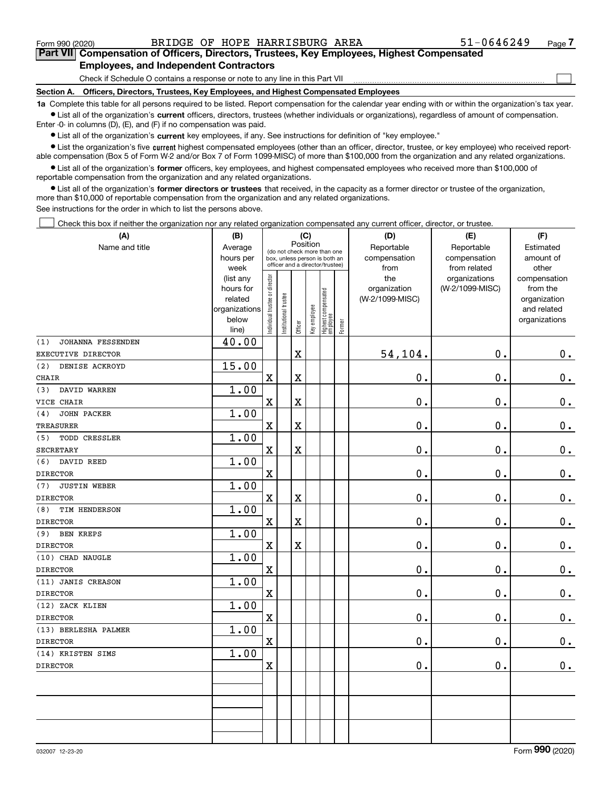Form 990 (2020) BRIDGE OF HOPE HARRISBURG AREA 51-0646249 <sub>Page</sub>

 $\mathcal{L}^{\text{max}}$ 

## **7Part VII Compensation of Officers, Directors, Trustees, Key Employees, Highest Compensated Employees, and Independent Contractors**

Check if Schedule O contains a response or note to any line in this Part VII

**Section A. Officers, Directors, Trustees, Key Employees, and Highest Compensated Employees**

**1a**  Complete this table for all persons required to be listed. Report compensation for the calendar year ending with or within the organization's tax year. **•** List all of the organization's current officers, directors, trustees (whether individuals or organizations), regardless of amount of compensation.

Enter -0- in columns (D), (E), and (F) if no compensation was paid.

 $\bullet$  List all of the organization's  $\,$ current key employees, if any. See instructions for definition of "key employee."

**•** List the organization's five current highest compensated employees (other than an officer, director, trustee, or key employee) who received reportable compensation (Box 5 of Form W-2 and/or Box 7 of Form 1099-MISC) of more than \$100,000 from the organization and any related organizations.

**•** List all of the organization's former officers, key employees, and highest compensated employees who received more than \$100,000 of reportable compensation from the organization and any related organizations.

**former directors or trustees**  ¥ List all of the organization's that received, in the capacity as a former director or trustee of the organization, more than \$10,000 of reportable compensation from the organization and any related organizations.

See instructions for the order in which to list the persons above.

Check this box if neither the organization nor any related organization compensated any current officer, director, or trustee.  $\mathcal{L}^{\text{max}}$ 

| (A)                        | (B)                      | (C)                           |                                                                                                             |                         |              |                                  |        | (D)             | (E)             |                             |  |  |
|----------------------------|--------------------------|-------------------------------|-------------------------------------------------------------------------------------------------------------|-------------------------|--------------|----------------------------------|--------|-----------------|-----------------|-----------------------------|--|--|
| Name and title             | Average                  |                               | Position<br>(do not check more than one<br>box, unless person is both an<br>officer and a director/trustee) |                         |              |                                  |        | Reportable      | Reportable      | Estimated                   |  |  |
|                            | hours per                |                               |                                                                                                             |                         |              |                                  |        | compensation    | compensation    | amount of                   |  |  |
|                            | week                     |                               |                                                                                                             |                         |              |                                  |        | from            | from related    | other                       |  |  |
|                            | (list any                |                               |                                                                                                             |                         |              |                                  |        | the             | organizations   | compensation                |  |  |
|                            | hours for                |                               |                                                                                                             |                         |              |                                  |        | organization    | (W-2/1099-MISC) | from the                    |  |  |
|                            | related<br>organizations |                               |                                                                                                             |                         |              |                                  |        | (W-2/1099-MISC) |                 | organization<br>and related |  |  |
|                            | below                    |                               |                                                                                                             |                         |              |                                  |        |                 |                 | organizations               |  |  |
|                            | line)                    | ndividual trustee or director | Institutional trustee                                                                                       | Officer                 | Key employee | Highest compensated<br> employee | Former |                 |                 |                             |  |  |
| (1)<br>JOHANNA FESSENDEN   | 40.00                    |                               |                                                                                                             |                         |              |                                  |        |                 |                 |                             |  |  |
| EXECUTIVE DIRECTOR         |                          |                               |                                                                                                             | $\overline{\mathbf{X}}$ |              |                                  |        | 54,104.         | 0.              | 0.                          |  |  |
| (2)<br>DENISE ACKROYD      | 15.00                    |                               |                                                                                                             |                         |              |                                  |        |                 |                 |                             |  |  |
| <b>CHAIR</b>               |                          | $\overline{\textbf{X}}$       |                                                                                                             | $\overline{\textbf{X}}$ |              |                                  |        | 0.              | 0.              | $0 \cdot$                   |  |  |
| DAVID WARREN<br>(3)        | 1.00                     |                               |                                                                                                             |                         |              |                                  |        |                 |                 |                             |  |  |
| VICE CHAIR                 |                          | $\mathbf X$                   |                                                                                                             | $\rm X$                 |              |                                  |        | 0.              | $\mathbf 0$ .   | $\mathbf 0$ .               |  |  |
| <b>JOHN PACKER</b><br>(4)  | 1.00                     |                               |                                                                                                             |                         |              |                                  |        |                 |                 |                             |  |  |
| <b>TREASURER</b>           |                          | $\overline{\textbf{X}}$       |                                                                                                             | $\overline{\mathbf{X}}$ |              |                                  |        | 0.              | $\mathbf 0$ .   | $\mathbf 0$ .               |  |  |
| TODD CRESSLER<br>(5)       | 1.00                     |                               |                                                                                                             |                         |              |                                  |        |                 |                 |                             |  |  |
| SECRETARY                  |                          | $\mathbf x$                   |                                                                                                             | $\mathbf X$             |              |                                  |        | 0.              | $\mathbf 0$ .   | $\mathbf 0$ .               |  |  |
| (6)<br>DAVID REED          | 1.00                     |                               |                                                                                                             |                         |              |                                  |        |                 |                 |                             |  |  |
| <b>DIRECTOR</b>            |                          | X                             |                                                                                                             |                         |              |                                  |        | 0.              | 0.              | 0.                          |  |  |
| <b>JUSTIN WEBER</b><br>(7) | 1.00                     |                               |                                                                                                             |                         |              |                                  |        |                 |                 |                             |  |  |
| <b>DIRECTOR</b>            |                          | $\mathbf x$                   |                                                                                                             | $\rm X$                 |              |                                  |        | 0.              | $\mathbf 0$ .   | $\mathbf 0$ .               |  |  |
| TIM HENDERSON<br>(8)       | 1.00                     |                               |                                                                                                             |                         |              |                                  |        |                 |                 |                             |  |  |
| <b>DIRECTOR</b>            |                          | $\rm X$                       |                                                                                                             | $\overline{\textbf{X}}$ |              |                                  |        | 0.              | $\mathbf 0$ .   | $\mathbf 0$ .               |  |  |
| (9)<br><b>BEN KREPS</b>    | 1.00                     |                               |                                                                                                             |                         |              |                                  |        |                 |                 |                             |  |  |
| <b>DIRECTOR</b>            |                          | $\mathbf x$                   |                                                                                                             | $\rm X$                 |              |                                  |        | 0.              | $\mathbf 0$ .   | 0.                          |  |  |
| (10) CHAD NAUGLE           | 1.00                     |                               |                                                                                                             |                         |              |                                  |        |                 |                 |                             |  |  |
| <b>DIRECTOR</b>            |                          | $\mathbf X$                   |                                                                                                             |                         |              |                                  |        | 0.              | 0.              | $\mathbf 0$ .               |  |  |
| (11) JANIS CREASON         | 1.00                     |                               |                                                                                                             |                         |              |                                  |        |                 |                 |                             |  |  |
| <b>DIRECTOR</b>            |                          | $\mathbf X$                   |                                                                                                             |                         |              |                                  |        | $\mathbf 0$ .   | $\mathbf 0$ .   | $\mathbf 0$ .               |  |  |
| (12) ZACK KLIEN            | 1.00                     |                               |                                                                                                             |                         |              |                                  |        |                 |                 |                             |  |  |
| <b>DIRECTOR</b>            |                          | $\rm X$                       |                                                                                                             |                         |              |                                  |        | 0.              | 0.              | $0_{.}$                     |  |  |
| (13) BERLESHA PALMER       | 1.00                     |                               |                                                                                                             |                         |              |                                  |        |                 |                 |                             |  |  |
| <b>DIRECTOR</b>            |                          | $\mathbf x$                   |                                                                                                             |                         |              |                                  |        | 0.              | 0.              | $\mathbf 0$ .               |  |  |
| (14) KRISTEN SIMS          | 1.00                     |                               |                                                                                                             |                         |              |                                  |        |                 |                 |                             |  |  |
| <b>DIRECTOR</b>            |                          | $\mathbf X$                   |                                                                                                             |                         |              |                                  |        | 0.              | 0.              | $0_{.}$                     |  |  |
|                            |                          |                               |                                                                                                             |                         |              |                                  |        |                 |                 |                             |  |  |
|                            |                          |                               |                                                                                                             |                         |              |                                  |        |                 |                 |                             |  |  |
|                            |                          |                               |                                                                                                             |                         |              |                                  |        |                 |                 |                             |  |  |
|                            |                          |                               |                                                                                                             |                         |              |                                  |        |                 |                 |                             |  |  |
|                            |                          |                               |                                                                                                             |                         |              |                                  |        |                 |                 |                             |  |  |
|                            |                          |                               |                                                                                                             |                         |              |                                  |        |                 |                 |                             |  |  |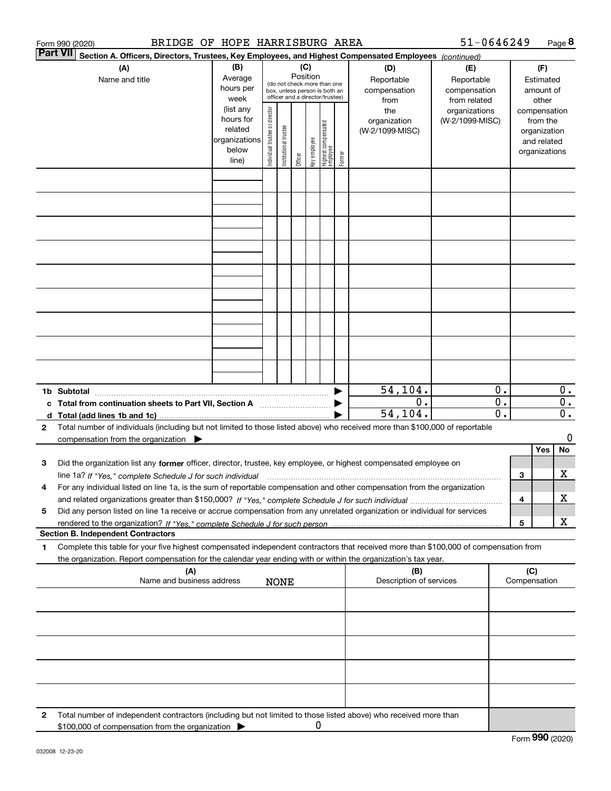|   | 51-0646249<br>BRIDGE OF HOPE HARRISBURG AREA<br>Form 990 (2020)                                                                                                                                                                                              |                                                                                                                                                                                                                                                                                       |                                                                                                                                                          |             |  |   |  |     |                                                   |  |                                                                          |                                        |              | Page 8                               |
|---|--------------------------------------------------------------------------------------------------------------------------------------------------------------------------------------------------------------------------------------------------------------|---------------------------------------------------------------------------------------------------------------------------------------------------------------------------------------------------------------------------------------------------------------------------------------|----------------------------------------------------------------------------------------------------------------------------------------------------------|-------------|--|---|--|-----|---------------------------------------------------|--|--------------------------------------------------------------------------|----------------------------------------|--------------|--------------------------------------|
|   | <b>Part VII</b><br>Section A. Officers, Directors, Trustees, Key Employees, and Highest Compensated Employees (continued)                                                                                                                                    |                                                                                                                                                                                                                                                                                       |                                                                                                                                                          |             |  |   |  |     |                                                   |  |                                                                          |                                        |              |                                      |
|   | (A)<br>Name and title                                                                                                                                                                                                                                        | (B)<br>Average<br>hours per<br>week                                                                                                                                                                                                                                                   | (C)<br>Position<br>Reportable<br>(do not check more than one<br>compensation<br>box, unless person is both an<br>officer and a director/trustee)<br>from |             |  |   |  | (D) | (E)<br>Reportable<br>compensation<br>from related |  |                                                                          | (F)<br>Estimated<br>amount of<br>other |              |                                      |
|   |                                                                                                                                                                                                                                                              | (list any<br>Individual trustee or director<br>the<br>organizations<br>hours for<br>organization<br>(W-2/1099-MISC)<br>Highest compensated<br>employee<br>Institutional trustee<br>related<br>(W-2/1099-MISC)<br>organizations<br>key employee<br>below<br>Former<br>Officer<br>line) |                                                                                                                                                          |             |  |   |  |     |                                                   |  | compensation<br>from the<br>organization<br>and related<br>organizations |                                        |              |                                      |
|   |                                                                                                                                                                                                                                                              |                                                                                                                                                                                                                                                                                       |                                                                                                                                                          |             |  |   |  |     |                                                   |  |                                                                          |                                        |              |                                      |
|   |                                                                                                                                                                                                                                                              |                                                                                                                                                                                                                                                                                       |                                                                                                                                                          |             |  |   |  |     |                                                   |  |                                                                          |                                        |              |                                      |
|   |                                                                                                                                                                                                                                                              |                                                                                                                                                                                                                                                                                       |                                                                                                                                                          |             |  |   |  |     |                                                   |  |                                                                          |                                        |              |                                      |
|   |                                                                                                                                                                                                                                                              |                                                                                                                                                                                                                                                                                       |                                                                                                                                                          |             |  |   |  |     |                                                   |  |                                                                          |                                        |              |                                      |
|   |                                                                                                                                                                                                                                                              |                                                                                                                                                                                                                                                                                       |                                                                                                                                                          |             |  |   |  |     |                                                   |  |                                                                          |                                        |              |                                      |
|   |                                                                                                                                                                                                                                                              |                                                                                                                                                                                                                                                                                       |                                                                                                                                                          |             |  |   |  |     |                                                   |  |                                                                          |                                        |              |                                      |
|   |                                                                                                                                                                                                                                                              |                                                                                                                                                                                                                                                                                       |                                                                                                                                                          |             |  |   |  |     |                                                   |  |                                                                          |                                        |              |                                      |
|   | 1b Subtotal<br>$\blacksquare$                                                                                                                                                                                                                                |                                                                                                                                                                                                                                                                                       |                                                                                                                                                          |             |  |   |  |     | 54, 104.                                          |  | 0.                                                                       |                                        |              | $0$ .                                |
| c | Total from continuation sheets to Part VII, Section A                                                                                                                                                                                                        |                                                                                                                                                                                                                                                                                       |                                                                                                                                                          |             |  |   |  |     | 0.<br>54, 104.                                    |  | 0.<br>$\overline{0}$ .                                                   |                                        |              | $\overline{0}$ .<br>$\overline{0}$ . |
| 2 | Total number of individuals (including but not limited to those listed above) who received more than \$100,000 of reportable<br>compensation from the organization $\blacktriangleright$                                                                     |                                                                                                                                                                                                                                                                                       |                                                                                                                                                          |             |  |   |  |     |                                                   |  |                                                                          |                                        |              | 0<br>No                              |
| з | Did the organization list any former officer, director, trustee, key employee, or highest compensated employee on<br>line 1a? If "Yes," complete Schedule J for such individual manufactured contained and the Ves," complete Schedule J for such individual |                                                                                                                                                                                                                                                                                       |                                                                                                                                                          |             |  |   |  |     |                                                   |  |                                                                          | 3                                      | Yes          | x                                    |
| 4 | For any individual listed on line 1a, is the sum of reportable compensation and other compensation from the organization                                                                                                                                     |                                                                                                                                                                                                                                                                                       |                                                                                                                                                          |             |  |   |  |     |                                                   |  |                                                                          | 4                                      |              | x                                    |
| 5 | Did any person listed on line 1a receive or accrue compensation from any unrelated organization or individual for services                                                                                                                                   |                                                                                                                                                                                                                                                                                       |                                                                                                                                                          |             |  |   |  |     |                                                   |  |                                                                          | 5                                      |              | x                                    |
| 1 | <b>Section B. Independent Contractors</b><br>Complete this table for your five highest compensated independent contractors that received more than \$100,000 of compensation from                                                                            |                                                                                                                                                                                                                                                                                       |                                                                                                                                                          |             |  |   |  |     |                                                   |  |                                                                          |                                        |              |                                      |
|   | the organization. Report compensation for the calendar year ending with or within the organization's tax year.<br>(A)                                                                                                                                        |                                                                                                                                                                                                                                                                                       |                                                                                                                                                          |             |  |   |  |     | (B)                                               |  |                                                                          | (C)                                    |              |                                      |
|   | Name and business address                                                                                                                                                                                                                                    |                                                                                                                                                                                                                                                                                       |                                                                                                                                                          | <b>NONE</b> |  |   |  |     | Description of services                           |  |                                                                          |                                        | Compensation |                                      |
|   |                                                                                                                                                                                                                                                              |                                                                                                                                                                                                                                                                                       |                                                                                                                                                          |             |  |   |  |     |                                                   |  |                                                                          |                                        |              |                                      |
|   |                                                                                                                                                                                                                                                              |                                                                                                                                                                                                                                                                                       |                                                                                                                                                          |             |  |   |  |     |                                                   |  |                                                                          |                                        |              |                                      |
|   |                                                                                                                                                                                                                                                              |                                                                                                                                                                                                                                                                                       |                                                                                                                                                          |             |  |   |  |     |                                                   |  |                                                                          |                                        |              |                                      |
| 2 | Total number of independent contractors (including but not limited to those listed above) who received more than                                                                                                                                             |                                                                                                                                                                                                                                                                                       |                                                                                                                                                          |             |  |   |  |     |                                                   |  |                                                                          |                                        |              |                                      |
|   | \$100,000 of compensation from the organization                                                                                                                                                                                                              |                                                                                                                                                                                                                                                                                       |                                                                                                                                                          |             |  | 0 |  |     |                                                   |  |                                                                          |                                        |              |                                      |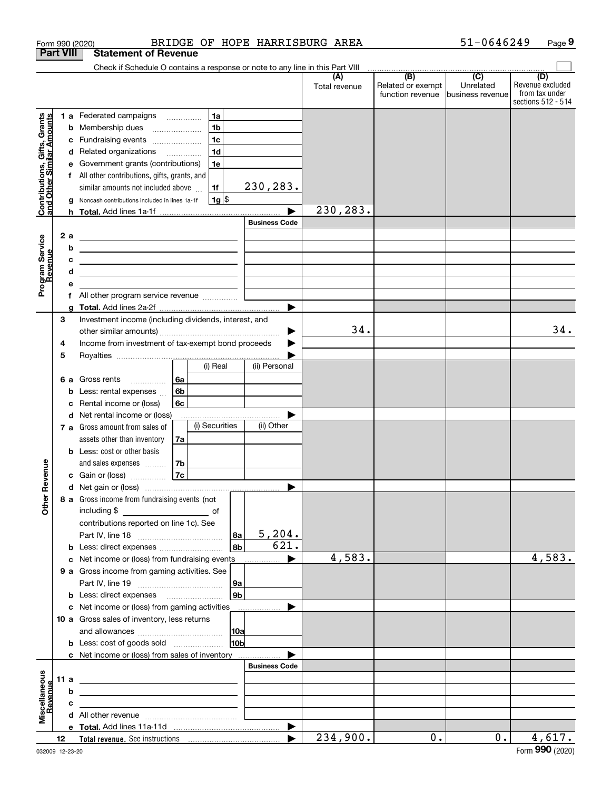|                                                           |                  |                                                    | Form 990 (2020)                                                                                                        |    |                |                 |                       | BRIDGE OF HOPE HARRISBURG AREA |                          | 51-0646249                    | Page 9                  |
|-----------------------------------------------------------|------------------|----------------------------------------------------|------------------------------------------------------------------------------------------------------------------------|----|----------------|-----------------|-----------------------|--------------------------------|--------------------------|-------------------------------|-------------------------|
|                                                           | <b>Part VIII</b> |                                                    | <b>Statement of Revenue</b>                                                                                            |    |                |                 |                       |                                |                          |                               |                         |
|                                                           |                  |                                                    | Check if Schedule O contains a response or note to any line in this Part VIII                                          |    |                |                 |                       |                                |                          |                               |                         |
|                                                           |                  |                                                    |                                                                                                                        |    |                |                 |                       | (A)<br>Total revenue           | (B)<br>Related or exempt | $\overline{(C)}$<br>Unrelated | (D)<br>Revenue excluded |
|                                                           |                  |                                                    |                                                                                                                        |    |                |                 |                       |                                | function revenue         | lbusiness revenue             | from tax under          |
|                                                           |                  |                                                    |                                                                                                                        |    |                |                 |                       |                                |                          |                               | sections 512 - 514      |
|                                                           |                  |                                                    | <b>1 a</b> Federated campaigns                                                                                         |    | 1a             |                 |                       |                                |                          |                               |                         |
|                                                           |                  |                                                    | <b>b</b> Membership dues                                                                                               |    | 1 <sub>b</sub> |                 |                       |                                |                          |                               |                         |
| Contributions, Gifts, Grants<br>and Other Similar Amounts |                  |                                                    | c Fundraising events                                                                                                   |    | 1 <sub>c</sub> |                 |                       |                                |                          |                               |                         |
|                                                           |                  |                                                    | d Related organizations                                                                                                |    | 1 <sub>d</sub> |                 |                       |                                |                          |                               |                         |
|                                                           |                  |                                                    | e Government grants (contributions)                                                                                    |    | 1e             |                 |                       |                                |                          |                               |                         |
|                                                           |                  |                                                    | f All other contributions, gifts, grants, and                                                                          |    |                |                 |                       |                                |                          |                               |                         |
|                                                           |                  |                                                    | similar amounts not included above                                                                                     |    | 1f             |                 | 230,283.              |                                |                          |                               |                         |
|                                                           |                  |                                                    | g Noncash contributions included in lines 1a-1f                                                                        |    | $1g$ \$        |                 |                       |                                |                          |                               |                         |
|                                                           |                  |                                                    |                                                                                                                        |    |                |                 |                       | 230,283.                       |                          |                               |                         |
|                                                           |                  |                                                    |                                                                                                                        |    |                |                 | <b>Business Code</b>  |                                |                          |                               |                         |
|                                                           |                  | 2a                                                 | <u> 1989 - Johann Barn, mars ann an t-Amhain ann an t-Amhain an t-Amhain an t-Amhain an t-Amhain an t-Amhain an t-</u> |    |                |                 |                       |                                |                          |                               |                         |
|                                                           |                  | b                                                  | <u> 1989 - Johann Stein, mars an deutscher Stein († 1958)</u>                                                          |    |                |                 |                       |                                |                          |                               |                         |
|                                                           |                  | c                                                  | <u> 1989 - Johann Harry Harry Harry Harry Harry Harry Harry Harry Harry Harry Harry Harry Harry Harry Harry Harry</u>  |    |                |                 |                       |                                |                          |                               |                         |
|                                                           |                  | d                                                  |                                                                                                                        |    |                |                 |                       |                                |                          |                               |                         |
| Program Service<br>Revenue                                |                  |                                                    |                                                                                                                        |    |                |                 |                       |                                |                          |                               |                         |
|                                                           |                  |                                                    |                                                                                                                        |    |                |                 |                       |                                |                          |                               |                         |
|                                                           |                  | a                                                  |                                                                                                                        |    |                |                 |                       |                                |                          |                               |                         |
|                                                           | 3                |                                                    | Investment income (including dividends, interest, and                                                                  |    |                |                 |                       |                                |                          |                               |                         |
|                                                           |                  |                                                    |                                                                                                                        |    |                |                 |                       | 34.                            |                          |                               | 34.                     |
|                                                           | 4                | Income from investment of tax-exempt bond proceeds |                                                                                                                        |    |                |                 |                       |                                |                          |                               |                         |
|                                                           | 5                |                                                    |                                                                                                                        |    |                |                 |                       |                                |                          |                               |                         |
|                                                           |                  |                                                    |                                                                                                                        |    | (i) Real       |                 | (ii) Personal         |                                |                          |                               |                         |
|                                                           |                  | 6а                                                 | Gross rents                                                                                                            | 6a |                |                 |                       |                                |                          |                               |                         |
|                                                           |                  | b                                                  | Less: rental expenses                                                                                                  | 6b |                |                 |                       |                                |                          |                               |                         |
|                                                           |                  | с                                                  | Rental income or (loss)                                                                                                | 6c |                |                 |                       |                                |                          |                               |                         |
|                                                           |                  |                                                    | d Net rental income or (loss)                                                                                          |    |                |                 |                       |                                |                          |                               |                         |
|                                                           |                  |                                                    | 7 a Gross amount from sales of                                                                                         |    | (i) Securities |                 | (ii) Other            |                                |                          |                               |                         |
|                                                           |                  |                                                    | assets other than inventory                                                                                            | 7a |                |                 |                       |                                |                          |                               |                         |
|                                                           |                  |                                                    | <b>b</b> Less: cost or other basis                                                                                     |    |                |                 |                       |                                |                          |                               |                         |
|                                                           |                  |                                                    | and sales expenses                                                                                                     | 7b |                |                 |                       |                                |                          |                               |                         |
| anueve                                                    |                  |                                                    | c Gain or (loss)                                                                                                       | 7c |                |                 |                       |                                |                          |                               |                         |
|                                                           |                  |                                                    |                                                                                                                        |    |                |                 |                       |                                |                          |                               |                         |
| Other R                                                   |                  |                                                    | 8 a Gross income from fundraising events (not                                                                          |    |                |                 |                       |                                |                          |                               |                         |
|                                                           |                  |                                                    |                                                                                                                        |    |                |                 |                       |                                |                          |                               |                         |
|                                                           |                  |                                                    | contributions reported on line 1c). See                                                                                |    |                |                 |                       |                                |                          |                               |                         |
|                                                           |                  |                                                    |                                                                                                                        |    |                | 8a              | 5,204.                |                                |                          |                               |                         |
|                                                           |                  |                                                    | <b>b</b> Less: direct expenses <b>contained b</b> Less: direct expenses                                                |    |                | 8b              | 621.                  |                                |                          |                               |                         |
|                                                           |                  |                                                    | c Net income or (loss) from fundraising events                                                                         |    |                |                 |                       | 4,583.                         |                          |                               | 4,583.                  |
|                                                           |                  |                                                    | 9 a Gross income from gaming activities. See                                                                           |    |                |                 |                       |                                |                          |                               |                         |
|                                                           |                  |                                                    |                                                                                                                        |    |                | 9a              |                       |                                |                          |                               |                         |
|                                                           |                  |                                                    |                                                                                                                        |    |                | 9 <sub>b</sub>  |                       |                                |                          |                               |                         |
|                                                           |                  |                                                    | c Net income or (loss) from gaming activities                                                                          |    |                |                 | $\blacktriangleright$ |                                |                          |                               |                         |
|                                                           |                  |                                                    | 10 a Gross sales of inventory, less returns                                                                            |    |                |                 |                       |                                |                          |                               |                         |
|                                                           |                  |                                                    |                                                                                                                        |    |                | 10a             |                       |                                |                          |                               |                         |
|                                                           |                  |                                                    | <b>b</b> Less: cost of goods sold                                                                                      |    |                | 10 <sub>b</sub> |                       |                                |                          |                               |                         |
|                                                           |                  |                                                    | c Net income or (loss) from sales of inventory                                                                         |    |                |                 |                       |                                |                          |                               |                         |
|                                                           |                  |                                                    |                                                                                                                        |    |                |                 | <b>Business Code</b>  |                                |                          |                               |                         |
|                                                           | 11a              |                                                    |                                                                                                                        |    |                |                 |                       |                                |                          |                               |                         |
| Miscellaneous<br>Revenue                                  |                  | b                                                  |                                                                                                                        |    |                |                 |                       |                                |                          |                               |                         |
|                                                           |                  |                                                    |                                                                                                                        |    |                |                 |                       |                                |                          |                               |                         |
|                                                           |                  | c                                                  |                                                                                                                        |    |                |                 |                       |                                |                          |                               |                         |
|                                                           |                  |                                                    |                                                                                                                        |    |                |                 | ▶                     |                                |                          |                               |                         |
|                                                           | 12               |                                                    |                                                                                                                        |    |                |                 | ▶                     | 234,900.                       | 0.                       | 0.                            | 4,617.                  |
|                                                           |                  |                                                    |                                                                                                                        |    |                |                 |                       |                                |                          |                               |                         |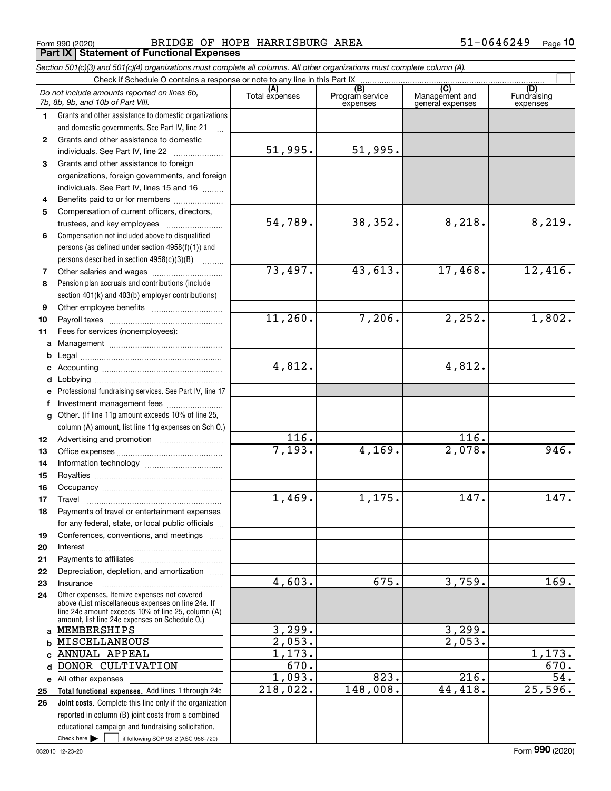Form 990 (2020) Page **Part IX Statement of Functional Expenses** BRIDGE OF HOPE HARRISBURG AREA 51-0646249

*Section 501(c)(3) and 501(c)(4) organizations must complete all columns. All other organizations must complete column (A).*

|              | Do not include amounts reported on lines 6b,<br>7b, 8b, 9b, and 10b of Part VIII.                                                                        | (A)<br>Total expenses | (B)<br>Program service<br>expenses | $\overline{(C)}$<br>Management and<br>general expenses | (D)<br>Fundraising<br>expenses |
|--------------|----------------------------------------------------------------------------------------------------------------------------------------------------------|-----------------------|------------------------------------|--------------------------------------------------------|--------------------------------|
| 1            | Grants and other assistance to domestic organizations                                                                                                    |                       |                                    |                                                        |                                |
|              | and domestic governments. See Part IV, line 21                                                                                                           |                       |                                    |                                                        |                                |
| $\mathbf{2}$ | Grants and other assistance to domestic                                                                                                                  |                       |                                    |                                                        |                                |
|              | individuals. See Part IV, line 22                                                                                                                        | 51,995.               | 51,995.                            |                                                        |                                |
| 3            | Grants and other assistance to foreign                                                                                                                   |                       |                                    |                                                        |                                |
|              | organizations, foreign governments, and foreign                                                                                                          |                       |                                    |                                                        |                                |
|              | individuals. See Part IV, lines 15 and 16                                                                                                                |                       |                                    |                                                        |                                |
| 4            | Benefits paid to or for members                                                                                                                          |                       |                                    |                                                        |                                |
| 5            | Compensation of current officers, directors,                                                                                                             |                       |                                    |                                                        |                                |
|              | trustees, and key employees                                                                                                                              | 54,789.               | 38,352.                            | 8,218.                                                 | 8,219.                         |
| 6            | Compensation not included above to disqualified                                                                                                          |                       |                                    |                                                        |                                |
|              | persons (as defined under section 4958(f)(1)) and                                                                                                        |                       |                                    |                                                        |                                |
|              | persons described in section 4958(c)(3)(B)                                                                                                               |                       |                                    |                                                        |                                |
| 7            |                                                                                                                                                          | 73,497.               | 43,613.                            | 17,468.                                                | 12,416.                        |
| 8            | Pension plan accruals and contributions (include                                                                                                         |                       |                                    |                                                        |                                |
|              | section 401(k) and 403(b) employer contributions)                                                                                                        |                       |                                    |                                                        |                                |
| 9            |                                                                                                                                                          |                       |                                    |                                                        |                                |
| 10           |                                                                                                                                                          | 11,260.               | 7,206.                             | 2, 252.                                                | 1,802.                         |
| 11           | Fees for services (nonemployees):                                                                                                                        |                       |                                    |                                                        |                                |
| a            |                                                                                                                                                          |                       |                                    |                                                        |                                |
| b            |                                                                                                                                                          |                       |                                    |                                                        |                                |
| c            |                                                                                                                                                          | 4,812.                |                                    | 4,812.                                                 |                                |
| d            |                                                                                                                                                          |                       |                                    |                                                        |                                |
| е            | Professional fundraising services. See Part IV, line 17                                                                                                  |                       |                                    |                                                        |                                |
| f            | Investment management fees                                                                                                                               |                       |                                    |                                                        |                                |
| $\mathbf{q}$ | Other. (If line 11g amount exceeds 10% of line 25,                                                                                                       |                       |                                    |                                                        |                                |
|              | column (A) amount, list line 11g expenses on Sch 0.)                                                                                                     |                       |                                    |                                                        |                                |
| 12           |                                                                                                                                                          | 116.                  |                                    | 116.                                                   |                                |
| 13           |                                                                                                                                                          | 7,193.                | 4,169.                             | $\overline{2,078}$ .                                   | 946.                           |
| 14           |                                                                                                                                                          |                       |                                    |                                                        |                                |
| 15           |                                                                                                                                                          |                       |                                    |                                                        |                                |
| 16           |                                                                                                                                                          |                       |                                    |                                                        |                                |
| 17           | Travel                                                                                                                                                   | 1,469.                | 1,175.                             | 147.                                                   | 147.                           |
| 18           | Payments of travel or entertainment expenses                                                                                                             |                       |                                    |                                                        |                                |
|              | for any federal, state, or local public officials                                                                                                        |                       |                                    |                                                        |                                |
| 19           | Conferences, conventions, and meetings                                                                                                                   |                       |                                    |                                                        |                                |
| 20           | Interest                                                                                                                                                 |                       |                                    |                                                        |                                |
| 21           |                                                                                                                                                          |                       |                                    |                                                        |                                |
| 22           | Depreciation, depletion, and amortization                                                                                                                |                       |                                    |                                                        |                                |
| 23           | Insurance                                                                                                                                                | 4,603.                | 675.                               | 3,759.                                                 | 169.                           |
| 24           | Other expenses. Itemize expenses not covered<br>above (List miscellaneous expenses on line 24e. If<br>line 24e amount exceeds 10% of line 25, column (A) |                       |                                    |                                                        |                                |
|              | amount, list line 24e expenses on Schedule O.)<br>a MEMBERSHIPS                                                                                          | 3,299.                |                                    | 3,299.                                                 |                                |
|              | <b>MISCELLANEOUS</b>                                                                                                                                     | 2,053.                |                                    | 2,053.                                                 |                                |
| b            | ANNUAL APPEAL                                                                                                                                            | 1,173.                |                                    |                                                        | 1,173.                         |
| C.           |                                                                                                                                                          | 670.                  |                                    |                                                        | 670.                           |
| d            | DONOR CULTIVATION                                                                                                                                        |                       |                                    | 216.                                                   | 54.                            |
|              | e All other expenses                                                                                                                                     | 1,093.<br>218,022.    | 823.<br>148,008.                   | 44, 418.                                               | 25,596.                        |
| 25           | Total functional expenses. Add lines 1 through 24e                                                                                                       |                       |                                    |                                                        |                                |
| 26           | <b>Joint costs.</b> Complete this line only if the organization                                                                                          |                       |                                    |                                                        |                                |
|              | reported in column (B) joint costs from a combined                                                                                                       |                       |                                    |                                                        |                                |
|              | educational campaign and fundraising solicitation.                                                                                                       |                       |                                    |                                                        |                                |
|              | Check here $\blacktriangleright$<br>if following SOP 98-2 (ASC 958-720)                                                                                  |                       |                                    |                                                        |                                |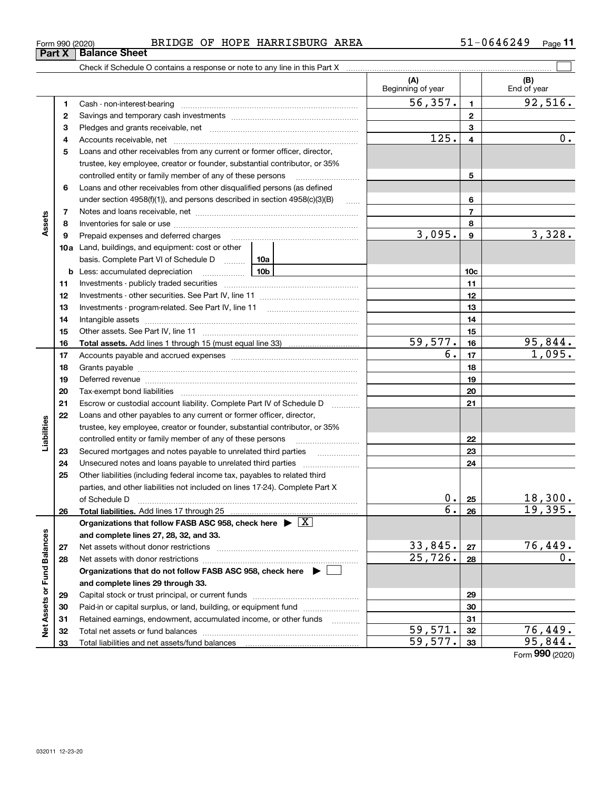| BRIDGE OF HOPE HARRISBURG AREA |  |
|--------------------------------|--|
|--------------------------------|--|

| Form 990 (2020) |                               |  | BRIDGE OF HOPE HARRISBURG AREA | $51 - 0646249$ | Page |
|-----------------|-------------------------------|--|--------------------------------|----------------|------|
|                 | <b>Part X   Balance Sheet</b> |  |                                |                |      |

|                             |              |                                                                                    |                   | (A)<br>Beginning of year |                         | (B)<br>End of year        |
|-----------------------------|--------------|------------------------------------------------------------------------------------|-------------------|--------------------------|-------------------------|---------------------------|
|                             | 1            |                                                                                    |                   | 56,357.                  | $\mathbf{1}$            | 92,516.                   |
|                             | $\mathbf{2}$ |                                                                                    |                   |                          | $\mathbf{2}$            |                           |
|                             | 3            |                                                                                    |                   |                          | 3                       |                           |
|                             | 4            |                                                                                    |                   | 125.                     | $\overline{\mathbf{4}}$ | 0.                        |
|                             | 5            | Loans and other receivables from any current or former officer, director,          |                   |                          |                         |                           |
|                             |              | trustee, key employee, creator or founder, substantial contributor, or 35%         |                   |                          |                         |                           |
|                             |              | controlled entity or family member of any of these persons                         |                   |                          | 5                       |                           |
|                             | 6            | Loans and other receivables from other disqualified persons (as defined            |                   |                          |                         |                           |
|                             |              | under section 4958(f)(1)), and persons described in section 4958(c)(3)(B)          | $\ldots$          |                          | 6                       |                           |
|                             | 7            |                                                                                    |                   |                          | $\overline{7}$          |                           |
| Assets                      | 8            |                                                                                    |                   |                          | 8                       |                           |
|                             | 9            | Prepaid expenses and deferred charges                                              |                   | 3,095.                   | $\mathbf{9}$            | 3,328.                    |
|                             |              | <b>10a</b> Land, buildings, and equipment: cost or other                           |                   |                          |                         |                           |
|                             |              | basis. Complete Part VI of Schedule D  10a                                         |                   |                          |                         |                           |
|                             |              | <u>10b</u><br><b>b</b> Less: accumulated depreciation                              |                   |                          | 10 <sub>c</sub>         |                           |
|                             | 11           |                                                                                    |                   |                          | 11                      |                           |
|                             | 12           |                                                                                    |                   |                          | 12                      |                           |
|                             | 13           |                                                                                    |                   |                          | 13                      |                           |
|                             | 14           |                                                                                    |                   |                          | 14                      |                           |
|                             | 15           |                                                                                    |                   |                          | 15                      |                           |
|                             | 16           |                                                                                    |                   | 59,577.                  | 16                      | 95,844.                   |
|                             | 17           |                                                                                    |                   | $\overline{6}$ .         | 17                      | 1,095.                    |
|                             | 18           |                                                                                    |                   |                          | 18                      |                           |
|                             | 19           |                                                                                    |                   | 19                       |                         |                           |
|                             | 20           |                                                                                    |                   | 20                       |                         |                           |
|                             | 21           | Escrow or custodial account liability. Complete Part IV of Schedule D              | 1.1.1.1.1.1.1.1.1 |                          | 21                      |                           |
|                             | 22           | Loans and other payables to any current or former officer, director,               |                   |                          |                         |                           |
| Liabilities                 |              | trustee, key employee, creator or founder, substantial contributor, or 35%         |                   |                          |                         |                           |
|                             |              |                                                                                    |                   |                          | 22                      |                           |
|                             | 23           |                                                                                    |                   |                          | 23                      |                           |
|                             | 24           |                                                                                    |                   |                          | 24                      |                           |
|                             | 25           | Other liabilities (including federal income tax, payables to related third         |                   |                          |                         |                           |
|                             |              | parties, and other liabilities not included on lines 17-24). Complete Part X       |                   |                          |                         |                           |
|                             |              | of Schedule D                                                                      |                   | 0.1                      | 25                      | 18,300.                   |
|                             | 26           | Total liabilities. Add lines 17 through 25                                         |                   | $\overline{6}$ .         | 26                      | 19,395.                   |
|                             |              | Organizations that follow FASB ASC 958, check here $\blacktriangleright \boxed{X}$ |                   |                          |                         |                           |
|                             |              | and complete lines 27, 28, 32, and 33.                                             |                   |                          |                         |                           |
|                             | 27           | Net assets without donor restrictions                                              |                   | 33,845.                  | 27                      | 76,449.                   |
|                             | 28           |                                                                                    |                   | 25,726.                  | 28                      | О.                        |
|                             |              | Organizations that do not follow FASB ASC 958, check here $\blacktriangleright$    |                   |                          |                         |                           |
|                             |              | and complete lines 29 through 33.                                                  |                   |                          |                         |                           |
|                             | 29           |                                                                                    |                   |                          | 29                      |                           |
|                             | 30           | Paid-in or capital surplus, or land, building, or equipment fund                   |                   |                          | 30                      |                           |
| Net Assets or Fund Balances | 31           | Retained earnings, endowment, accumulated income, or other funds                   |                   |                          | 31                      |                           |
|                             | 32           |                                                                                    |                   | 59,571.                  | 32                      | $\frac{76,449.}{95,844.}$ |
|                             | 33           |                                                                                    |                   | 59,577.                  | 33                      |                           |

Form (2020) **990**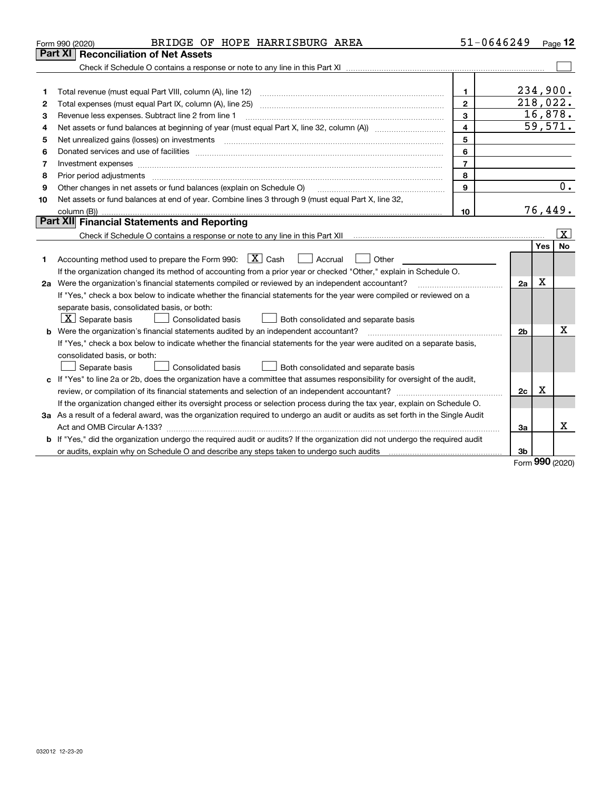|    | BRIDGE OF HOPE HARRISBURG AREA<br>Form 990 (2020)                                                                               | 51-0646249              |                |             | Page $12$ |
|----|---------------------------------------------------------------------------------------------------------------------------------|-------------------------|----------------|-------------|-----------|
|    | Part XI<br><b>Reconciliation of Net Assets</b>                                                                                  |                         |                |             |           |
|    |                                                                                                                                 |                         |                |             |           |
|    |                                                                                                                                 |                         |                |             |           |
| 1  |                                                                                                                                 | $\mathbf{1}$            |                | 234,900.    |           |
| 2  |                                                                                                                                 | $\overline{2}$          |                | 218,022.    |           |
| 3  | Revenue less expenses. Subtract line 2 from line 1                                                                              | 3                       |                | 16,878.     |           |
| 4  |                                                                                                                                 | $\overline{\mathbf{4}}$ |                | 59,571.     |           |
| 5  |                                                                                                                                 | 5                       |                |             |           |
| 6  |                                                                                                                                 | 6                       |                |             |           |
| 7  | Investment expenses www.communication.com/www.communication.com/www.communication.com/www.com                                   | $\overline{7}$          |                |             |           |
| 8  |                                                                                                                                 | 8                       |                |             |           |
| 9  | Other changes in net assets or fund balances (explain on Schedule O)                                                            | 9                       |                |             | 0.        |
| 10 | Net assets or fund balances at end of year. Combine lines 3 through 9 (must equal Part X, line 32,                              |                         |                |             |           |
|    | column (B))                                                                                                                     | 10                      |                | 76,449.     |           |
|    | Part XII Financial Statements and Reporting                                                                                     |                         |                |             |           |
|    |                                                                                                                                 |                         |                |             | X         |
|    |                                                                                                                                 |                         |                | <b>Yes</b>  | No        |
| 1  | Accounting method used to prepare the Form 990: $\boxed{\textbf{X}}$ Cash<br>$\vert$ Accrual<br>Other                           |                         |                |             |           |
|    | If the organization changed its method of accounting from a prior year or checked "Other," explain in Schedule O.               |                         |                |             |           |
|    | 2a Were the organization's financial statements compiled or reviewed by an independent accountant?                              |                         | 2a             | $\mathbf X$ |           |
|    | If "Yes," check a box below to indicate whether the financial statements for the year were compiled or reviewed on a            |                         |                |             |           |
|    | separate basis, consolidated basis, or both:                                                                                    |                         |                |             |           |
|    | $X$ Separate basis<br>Consolidated basis<br>Both consolidated and separate basis                                                |                         |                |             |           |
| b  | Were the organization's financial statements audited by an independent accountant?                                              |                         | 2 <sub>b</sub> |             | х         |
|    | If "Yes," check a box below to indicate whether the financial statements for the year were audited on a separate basis,         |                         |                |             |           |
|    | consolidated basis, or both:                                                                                                    |                         |                |             |           |
|    | Consolidated basis<br>Separate basis<br>Both consolidated and separate basis                                                    |                         |                |             |           |
|    | c If "Yes" to line 2a or 2b, does the organization have a committee that assumes responsibility for oversight of the audit,     |                         |                |             |           |
|    |                                                                                                                                 |                         | 2c             | x           |           |
|    | If the organization changed either its oversight process or selection process during the tax year, explain on Schedule O.       |                         |                |             |           |
|    | 3a As a result of a federal award, was the organization required to undergo an audit or audits as set forth in the Single Audit |                         |                |             |           |
|    |                                                                                                                                 |                         | За             |             | х         |
|    | If "Yes," did the organization undergo the required audit or audits? If the organization did not undergo the required audit     |                         |                |             |           |
|    |                                                                                                                                 |                         | 3b             | <b>000</b>  |           |

Form (2020) **990**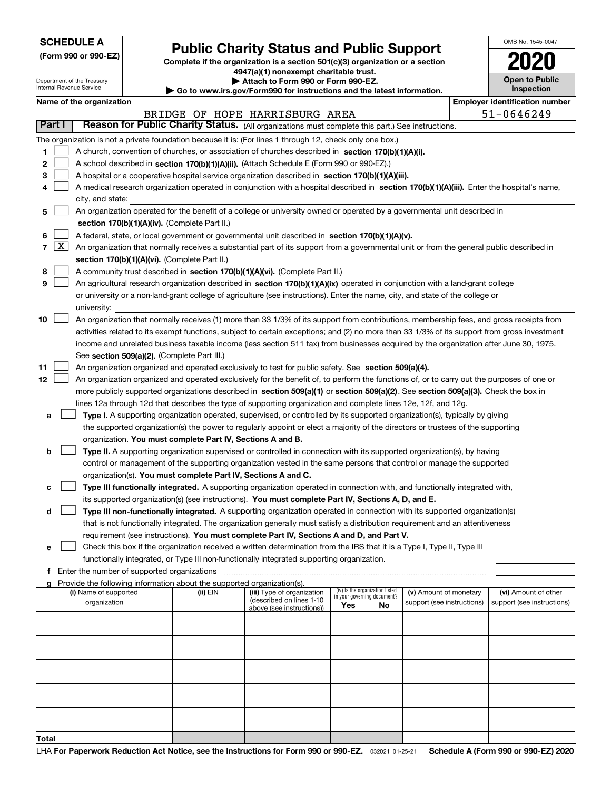| <b>SCHEDULE A</b> |  |
|-------------------|--|
|-------------------|--|

Department of the Treasury Internal Revenue Service

**(Form 990 or 990-EZ)**

## **Public Charity Status and Public Support**

**Complete if the organization is a section 501(c)(3) organization or a section 4947(a)(1) nonexempt charitable trust. | Attach to Form 990 or Form 990-EZ.** 

| <b>P</b> Allach to Form 330 or Form 330-LZ.                              |  |
|--------------------------------------------------------------------------|--|
| ► Go to www.irs.gov/Form990 for instructions and the latest information. |  |
|                                                                          |  |

| <b>Open to Public</b><br>Inspection |
|-------------------------------------|

OMB No. 1545-0047

|               |                                                                                                                                                                                                                                                    | Name of the organization                                                                                                                     |          |                                |     |                                 |                            |  | <b>Employer identification number</b> |  |  |  |  |
|---------------|----------------------------------------------------------------------------------------------------------------------------------------------------------------------------------------------------------------------------------------------------|----------------------------------------------------------------------------------------------------------------------------------------------|----------|--------------------------------|-----|---------------------------------|----------------------------|--|---------------------------------------|--|--|--|--|
|               |                                                                                                                                                                                                                                                    |                                                                                                                                              |          | BRIDGE OF HOPE HARRISBURG AREA |     |                                 |                            |  | 51-0646249                            |  |  |  |  |
| <b>Part I</b> |                                                                                                                                                                                                                                                    | Reason for Public Charity Status. (All organizations must complete this part.) See instructions.                                             |          |                                |     |                                 |                            |  |                                       |  |  |  |  |
|               |                                                                                                                                                                                                                                                    | The organization is not a private foundation because it is: (For lines 1 through 12, check only one box.)                                    |          |                                |     |                                 |                            |  |                                       |  |  |  |  |
| 1             |                                                                                                                                                                                                                                                    | A church, convention of churches, or association of churches described in section 170(b)(1)(A)(i).                                           |          |                                |     |                                 |                            |  |                                       |  |  |  |  |
| 2             |                                                                                                                                                                                                                                                    | A school described in section 170(b)(1)(A)(ii). (Attach Schedule E (Form 990 or 990-EZ).)                                                    |          |                                |     |                                 |                            |  |                                       |  |  |  |  |
| з             |                                                                                                                                                                                                                                                    | A hospital or a cooperative hospital service organization described in section 170(b)(1)(A)(iii).                                            |          |                                |     |                                 |                            |  |                                       |  |  |  |  |
| 4             |                                                                                                                                                                                                                                                    | A medical research organization operated in conjunction with a hospital described in section 170(b)(1)(A)(iii). Enter the hospital's name,   |          |                                |     |                                 |                            |  |                                       |  |  |  |  |
|               |                                                                                                                                                                                                                                                    | city, and state:                                                                                                                             |          |                                |     |                                 |                            |  |                                       |  |  |  |  |
| 5             |                                                                                                                                                                                                                                                    | An organization operated for the benefit of a college or university owned or operated by a governmental unit described in                    |          |                                |     |                                 |                            |  |                                       |  |  |  |  |
|               |                                                                                                                                                                                                                                                    | section 170(b)(1)(A)(iv). (Complete Part II.)                                                                                                |          |                                |     |                                 |                            |  |                                       |  |  |  |  |
| 6             | A federal, state, or local government or governmental unit described in section 170(b)(1)(A)(v).                                                                                                                                                   |                                                                                                                                              |          |                                |     |                                 |                            |  |                                       |  |  |  |  |
| 7             | $\lfloor x \rfloor$<br>An organization that normally receives a substantial part of its support from a governmental unit or from the general public described in                                                                                   |                                                                                                                                              |          |                                |     |                                 |                            |  |                                       |  |  |  |  |
|               |                                                                                                                                                                                                                                                    | section 170(b)(1)(A)(vi). (Complete Part II.)                                                                                                |          |                                |     |                                 |                            |  |                                       |  |  |  |  |
| 8             |                                                                                                                                                                                                                                                    | A community trust described in section 170(b)(1)(A)(vi). (Complete Part II.)                                                                 |          |                                |     |                                 |                            |  |                                       |  |  |  |  |
| 9             |                                                                                                                                                                                                                                                    | An agricultural research organization described in section 170(b)(1)(A)(ix) operated in conjunction with a land-grant college                |          |                                |     |                                 |                            |  |                                       |  |  |  |  |
|               |                                                                                                                                                                                                                                                    | or university or a non-land-grant college of agriculture (see instructions). Enter the name, city, and state of the college or               |          |                                |     |                                 |                            |  |                                       |  |  |  |  |
|               |                                                                                                                                                                                                                                                    | university:                                                                                                                                  |          |                                |     |                                 |                            |  |                                       |  |  |  |  |
| 10            |                                                                                                                                                                                                                                                    | An organization that normally receives (1) more than 33 1/3% of its support from contributions, membership fees, and gross receipts from     |          |                                |     |                                 |                            |  |                                       |  |  |  |  |
|               |                                                                                                                                                                                                                                                    | activities related to its exempt functions, subject to certain exceptions; and (2) no more than 33 1/3% of its support from gross investment |          |                                |     |                                 |                            |  |                                       |  |  |  |  |
|               |                                                                                                                                                                                                                                                    | income and unrelated business taxable income (less section 511 tax) from businesses acquired by the organization after June 30, 1975.        |          |                                |     |                                 |                            |  |                                       |  |  |  |  |
| 11            | See section 509(a)(2). (Complete Part III.)                                                                                                                                                                                                        |                                                                                                                                              |          |                                |     |                                 |                            |  |                                       |  |  |  |  |
| 12            | An organization organized and operated exclusively to test for public safety. See section 509(a)(4).<br>An organization organized and operated exclusively for the benefit of, to perform the functions of, or to carry out the purposes of one or |                                                                                                                                              |          |                                |     |                                 |                            |  |                                       |  |  |  |  |
|               |                                                                                                                                                                                                                                                    | more publicly supported organizations described in section 509(a)(1) or section 509(a)(2). See section 509(a)(3). Check the box in           |          |                                |     |                                 |                            |  |                                       |  |  |  |  |
|               |                                                                                                                                                                                                                                                    | lines 12a through 12d that describes the type of supporting organization and complete lines 12e, 12f, and 12g.                               |          |                                |     |                                 |                            |  |                                       |  |  |  |  |
| а             |                                                                                                                                                                                                                                                    | Type I. A supporting organization operated, supervised, or controlled by its supported organization(s), typically by giving                  |          |                                |     |                                 |                            |  |                                       |  |  |  |  |
|               |                                                                                                                                                                                                                                                    | the supported organization(s) the power to regularly appoint or elect a majority of the directors or trustees of the supporting              |          |                                |     |                                 |                            |  |                                       |  |  |  |  |
|               |                                                                                                                                                                                                                                                    | organization. You must complete Part IV, Sections A and B.                                                                                   |          |                                |     |                                 |                            |  |                                       |  |  |  |  |
| b             |                                                                                                                                                                                                                                                    | Type II. A supporting organization supervised or controlled in connection with its supported organization(s), by having                      |          |                                |     |                                 |                            |  |                                       |  |  |  |  |
|               |                                                                                                                                                                                                                                                    | control or management of the supporting organization vested in the same persons that control or manage the supported                         |          |                                |     |                                 |                            |  |                                       |  |  |  |  |
|               |                                                                                                                                                                                                                                                    | organization(s). You must complete Part IV, Sections A and C.                                                                                |          |                                |     |                                 |                            |  |                                       |  |  |  |  |
| c             |                                                                                                                                                                                                                                                    | Type III functionally integrated. A supporting organization operated in connection with, and functionally integrated with,                   |          |                                |     |                                 |                            |  |                                       |  |  |  |  |
|               |                                                                                                                                                                                                                                                    | its supported organization(s) (see instructions). You must complete Part IV, Sections A, D, and E.                                           |          |                                |     |                                 |                            |  |                                       |  |  |  |  |
| d             |                                                                                                                                                                                                                                                    | Type III non-functionally integrated. A supporting organization operated in connection with its supported organization(s)                    |          |                                |     |                                 |                            |  |                                       |  |  |  |  |
|               |                                                                                                                                                                                                                                                    | that is not functionally integrated. The organization generally must satisfy a distribution requirement and an attentiveness                 |          |                                |     |                                 |                            |  |                                       |  |  |  |  |
|               |                                                                                                                                                                                                                                                    | requirement (see instructions). You must complete Part IV, Sections A and D, and Part V.                                                     |          |                                |     |                                 |                            |  |                                       |  |  |  |  |
| е             |                                                                                                                                                                                                                                                    | Check this box if the organization received a written determination from the IRS that it is a Type I, Type II, Type III                      |          |                                |     |                                 |                            |  |                                       |  |  |  |  |
|               |                                                                                                                                                                                                                                                    | functionally integrated, or Type III non-functionally integrated supporting organization.                                                    |          |                                |     |                                 |                            |  |                                       |  |  |  |  |
|               |                                                                                                                                                                                                                                                    | f Enter the number of supported organizations                                                                                                |          |                                |     |                                 |                            |  |                                       |  |  |  |  |
|               |                                                                                                                                                                                                                                                    | Provide the following information about the supported organization(s).<br>(i) Name of supported                                              | (ii) EIN | (iii) Type of organization     |     | (iv) Is the organization listed | (v) Amount of monetary     |  | (vi) Amount of other                  |  |  |  |  |
|               |                                                                                                                                                                                                                                                    | organization                                                                                                                                 |          | (described on lines 1-10       | Yes | in your governing document?     | support (see instructions) |  | support (see instructions)            |  |  |  |  |
|               |                                                                                                                                                                                                                                                    |                                                                                                                                              |          | above (see instructions))      |     | No.                             |                            |  |                                       |  |  |  |  |
|               |                                                                                                                                                                                                                                                    |                                                                                                                                              |          |                                |     |                                 |                            |  |                                       |  |  |  |  |
|               |                                                                                                                                                                                                                                                    |                                                                                                                                              |          |                                |     |                                 |                            |  |                                       |  |  |  |  |
|               |                                                                                                                                                                                                                                                    |                                                                                                                                              |          |                                |     |                                 |                            |  |                                       |  |  |  |  |
|               |                                                                                                                                                                                                                                                    |                                                                                                                                              |          |                                |     |                                 |                            |  |                                       |  |  |  |  |
|               |                                                                                                                                                                                                                                                    |                                                                                                                                              |          |                                |     |                                 |                            |  |                                       |  |  |  |  |
|               |                                                                                                                                                                                                                                                    |                                                                                                                                              |          |                                |     |                                 |                            |  |                                       |  |  |  |  |
|               |                                                                                                                                                                                                                                                    |                                                                                                                                              |          |                                |     |                                 |                            |  |                                       |  |  |  |  |
|               |                                                                                                                                                                                                                                                    |                                                                                                                                              |          |                                |     |                                 |                            |  |                                       |  |  |  |  |
|               |                                                                                                                                                                                                                                                    |                                                                                                                                              |          |                                |     |                                 |                            |  |                                       |  |  |  |  |
| Total         |                                                                                                                                                                                                                                                    |                                                                                                                                              |          |                                |     |                                 |                            |  |                                       |  |  |  |  |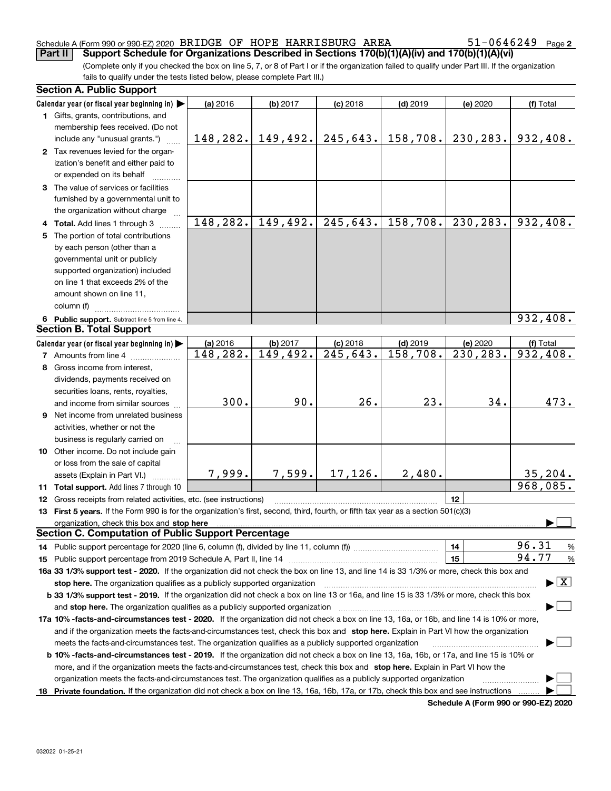#### Schedule A (Form 990 or 990-EZ) 2020 Page BRIDGE OF HOPE HARRISBURG AREA 51-0646249**Part II Support Schedule for Organizations Described in Sections 170(b)(1)(A)(iv) and 170(b)(1)(A)(vi)**

**2**

(Complete only if you checked the box on line 5, 7, or 8 of Part I or if the organization failed to qualify under Part III. If the organization fails to qualify under the tests listed below, please complete Part III.)

| Calendar year (or fiscal year beginning in)<br>(a) 2016<br>(b) 2017<br>$(c)$ 2018<br>$(d)$ 2019<br>(e) 2020<br>(f) Total<br>1 Gifts, grants, contributions, and<br>membership fees received. (Do not<br>$148, 282.$ 149, 492.<br>245,643.<br>158,708.<br>230, 283.<br>932,408.<br>include any "unusual grants.")<br>2 Tax revenues levied for the organ-<br>ization's benefit and either paid to<br>or expended on its behalf<br>3 The value of services or facilities<br>furnished by a governmental unit to<br>the organization without charge<br>148,282.<br>245,643.<br>158,708.<br>230,283.<br>932,408.<br>149,492.<br>4 Total. Add lines 1 through 3<br>5 The portion of total contributions<br>by each person (other than a<br>governmental unit or publicly<br>supported organization) included<br>on line 1 that exceeds 2% of the<br>amount shown on line 11,<br>column (f)<br>932,408.<br>6 Public support. Subtract line 5 from line 4.<br><b>Section B. Total Support</b><br>(a) 2016<br>$(d)$ 2019<br>Calendar year (or fiscal year beginning in) $\blacktriangleright$<br>(b) 2017<br>$(c)$ 2018<br>(e) 2020<br>(f) Total<br>$\overline{245,643}$ .<br>$\overline{230,283}$ .<br>$\overline{932,408}$ .<br>149,492.<br>158,708.<br>148,282.<br><b>7</b> Amounts from line 4<br>8 Gross income from interest,<br>dividends, payments received on<br>securities loans, rents, royalties,<br>300.<br>90.<br>26.<br>23.<br>34.<br>and income from similar sources |      |  |  |  |  |  |  |  |  |
|------------------------------------------------------------------------------------------------------------------------------------------------------------------------------------------------------------------------------------------------------------------------------------------------------------------------------------------------------------------------------------------------------------------------------------------------------------------------------------------------------------------------------------------------------------------------------------------------------------------------------------------------------------------------------------------------------------------------------------------------------------------------------------------------------------------------------------------------------------------------------------------------------------------------------------------------------------------------------------------------------------------------------------------------------------------------------------------------------------------------------------------------------------------------------------------------------------------------------------------------------------------------------------------------------------------------------------------------------------------------------------------------------------------------------------------------------------------------------|------|--|--|--|--|--|--|--|--|
|                                                                                                                                                                                                                                                                                                                                                                                                                                                                                                                                                                                                                                                                                                                                                                                                                                                                                                                                                                                                                                                                                                                                                                                                                                                                                                                                                                                                                                                                              |      |  |  |  |  |  |  |  |  |
|                                                                                                                                                                                                                                                                                                                                                                                                                                                                                                                                                                                                                                                                                                                                                                                                                                                                                                                                                                                                                                                                                                                                                                                                                                                                                                                                                                                                                                                                              |      |  |  |  |  |  |  |  |  |
|                                                                                                                                                                                                                                                                                                                                                                                                                                                                                                                                                                                                                                                                                                                                                                                                                                                                                                                                                                                                                                                                                                                                                                                                                                                                                                                                                                                                                                                                              |      |  |  |  |  |  |  |  |  |
|                                                                                                                                                                                                                                                                                                                                                                                                                                                                                                                                                                                                                                                                                                                                                                                                                                                                                                                                                                                                                                                                                                                                                                                                                                                                                                                                                                                                                                                                              |      |  |  |  |  |  |  |  |  |
|                                                                                                                                                                                                                                                                                                                                                                                                                                                                                                                                                                                                                                                                                                                                                                                                                                                                                                                                                                                                                                                                                                                                                                                                                                                                                                                                                                                                                                                                              |      |  |  |  |  |  |  |  |  |
|                                                                                                                                                                                                                                                                                                                                                                                                                                                                                                                                                                                                                                                                                                                                                                                                                                                                                                                                                                                                                                                                                                                                                                                                                                                                                                                                                                                                                                                                              |      |  |  |  |  |  |  |  |  |
|                                                                                                                                                                                                                                                                                                                                                                                                                                                                                                                                                                                                                                                                                                                                                                                                                                                                                                                                                                                                                                                                                                                                                                                                                                                                                                                                                                                                                                                                              |      |  |  |  |  |  |  |  |  |
|                                                                                                                                                                                                                                                                                                                                                                                                                                                                                                                                                                                                                                                                                                                                                                                                                                                                                                                                                                                                                                                                                                                                                                                                                                                                                                                                                                                                                                                                              |      |  |  |  |  |  |  |  |  |
|                                                                                                                                                                                                                                                                                                                                                                                                                                                                                                                                                                                                                                                                                                                                                                                                                                                                                                                                                                                                                                                                                                                                                                                                                                                                                                                                                                                                                                                                              |      |  |  |  |  |  |  |  |  |
|                                                                                                                                                                                                                                                                                                                                                                                                                                                                                                                                                                                                                                                                                                                                                                                                                                                                                                                                                                                                                                                                                                                                                                                                                                                                                                                                                                                                                                                                              |      |  |  |  |  |  |  |  |  |
|                                                                                                                                                                                                                                                                                                                                                                                                                                                                                                                                                                                                                                                                                                                                                                                                                                                                                                                                                                                                                                                                                                                                                                                                                                                                                                                                                                                                                                                                              |      |  |  |  |  |  |  |  |  |
|                                                                                                                                                                                                                                                                                                                                                                                                                                                                                                                                                                                                                                                                                                                                                                                                                                                                                                                                                                                                                                                                                                                                                                                                                                                                                                                                                                                                                                                                              |      |  |  |  |  |  |  |  |  |
|                                                                                                                                                                                                                                                                                                                                                                                                                                                                                                                                                                                                                                                                                                                                                                                                                                                                                                                                                                                                                                                                                                                                                                                                                                                                                                                                                                                                                                                                              |      |  |  |  |  |  |  |  |  |
|                                                                                                                                                                                                                                                                                                                                                                                                                                                                                                                                                                                                                                                                                                                                                                                                                                                                                                                                                                                                                                                                                                                                                                                                                                                                                                                                                                                                                                                                              |      |  |  |  |  |  |  |  |  |
|                                                                                                                                                                                                                                                                                                                                                                                                                                                                                                                                                                                                                                                                                                                                                                                                                                                                                                                                                                                                                                                                                                                                                                                                                                                                                                                                                                                                                                                                              |      |  |  |  |  |  |  |  |  |
|                                                                                                                                                                                                                                                                                                                                                                                                                                                                                                                                                                                                                                                                                                                                                                                                                                                                                                                                                                                                                                                                                                                                                                                                                                                                                                                                                                                                                                                                              |      |  |  |  |  |  |  |  |  |
|                                                                                                                                                                                                                                                                                                                                                                                                                                                                                                                                                                                                                                                                                                                                                                                                                                                                                                                                                                                                                                                                                                                                                                                                                                                                                                                                                                                                                                                                              |      |  |  |  |  |  |  |  |  |
|                                                                                                                                                                                                                                                                                                                                                                                                                                                                                                                                                                                                                                                                                                                                                                                                                                                                                                                                                                                                                                                                                                                                                                                                                                                                                                                                                                                                                                                                              |      |  |  |  |  |  |  |  |  |
|                                                                                                                                                                                                                                                                                                                                                                                                                                                                                                                                                                                                                                                                                                                                                                                                                                                                                                                                                                                                                                                                                                                                                                                                                                                                                                                                                                                                                                                                              |      |  |  |  |  |  |  |  |  |
|                                                                                                                                                                                                                                                                                                                                                                                                                                                                                                                                                                                                                                                                                                                                                                                                                                                                                                                                                                                                                                                                                                                                                                                                                                                                                                                                                                                                                                                                              |      |  |  |  |  |  |  |  |  |
|                                                                                                                                                                                                                                                                                                                                                                                                                                                                                                                                                                                                                                                                                                                                                                                                                                                                                                                                                                                                                                                                                                                                                                                                                                                                                                                                                                                                                                                                              |      |  |  |  |  |  |  |  |  |
|                                                                                                                                                                                                                                                                                                                                                                                                                                                                                                                                                                                                                                                                                                                                                                                                                                                                                                                                                                                                                                                                                                                                                                                                                                                                                                                                                                                                                                                                              |      |  |  |  |  |  |  |  |  |
|                                                                                                                                                                                                                                                                                                                                                                                                                                                                                                                                                                                                                                                                                                                                                                                                                                                                                                                                                                                                                                                                                                                                                                                                                                                                                                                                                                                                                                                                              |      |  |  |  |  |  |  |  |  |
|                                                                                                                                                                                                                                                                                                                                                                                                                                                                                                                                                                                                                                                                                                                                                                                                                                                                                                                                                                                                                                                                                                                                                                                                                                                                                                                                                                                                                                                                              |      |  |  |  |  |  |  |  |  |
|                                                                                                                                                                                                                                                                                                                                                                                                                                                                                                                                                                                                                                                                                                                                                                                                                                                                                                                                                                                                                                                                                                                                                                                                                                                                                                                                                                                                                                                                              |      |  |  |  |  |  |  |  |  |
|                                                                                                                                                                                                                                                                                                                                                                                                                                                                                                                                                                                                                                                                                                                                                                                                                                                                                                                                                                                                                                                                                                                                                                                                                                                                                                                                                                                                                                                                              | 473. |  |  |  |  |  |  |  |  |
|                                                                                                                                                                                                                                                                                                                                                                                                                                                                                                                                                                                                                                                                                                                                                                                                                                                                                                                                                                                                                                                                                                                                                                                                                                                                                                                                                                                                                                                                              |      |  |  |  |  |  |  |  |  |
| 9 Net income from unrelated business                                                                                                                                                                                                                                                                                                                                                                                                                                                                                                                                                                                                                                                                                                                                                                                                                                                                                                                                                                                                                                                                                                                                                                                                                                                                                                                                                                                                                                         |      |  |  |  |  |  |  |  |  |
| activities, whether or not the                                                                                                                                                                                                                                                                                                                                                                                                                                                                                                                                                                                                                                                                                                                                                                                                                                                                                                                                                                                                                                                                                                                                                                                                                                                                                                                                                                                                                                               |      |  |  |  |  |  |  |  |  |
| business is regularly carried on                                                                                                                                                                                                                                                                                                                                                                                                                                                                                                                                                                                                                                                                                                                                                                                                                                                                                                                                                                                                                                                                                                                                                                                                                                                                                                                                                                                                                                             |      |  |  |  |  |  |  |  |  |
| 10 Other income. Do not include gain                                                                                                                                                                                                                                                                                                                                                                                                                                                                                                                                                                                                                                                                                                                                                                                                                                                                                                                                                                                                                                                                                                                                                                                                                                                                                                                                                                                                                                         |      |  |  |  |  |  |  |  |  |
| or loss from the sale of capital                                                                                                                                                                                                                                                                                                                                                                                                                                                                                                                                                                                                                                                                                                                                                                                                                                                                                                                                                                                                                                                                                                                                                                                                                                                                                                                                                                                                                                             |      |  |  |  |  |  |  |  |  |
| 17,126.<br>2,480.<br>7,999.<br>7,599.<br>35, 204.<br>assets (Explain in Part VI.)                                                                                                                                                                                                                                                                                                                                                                                                                                                                                                                                                                                                                                                                                                                                                                                                                                                                                                                                                                                                                                                                                                                                                                                                                                                                                                                                                                                            |      |  |  |  |  |  |  |  |  |
| 968,085.<br>11 Total support. Add lines 7 through 10                                                                                                                                                                                                                                                                                                                                                                                                                                                                                                                                                                                                                                                                                                                                                                                                                                                                                                                                                                                                                                                                                                                                                                                                                                                                                                                                                                                                                         |      |  |  |  |  |  |  |  |  |
| 12<br><b>12</b> Gross receipts from related activities, etc. (see instructions)                                                                                                                                                                                                                                                                                                                                                                                                                                                                                                                                                                                                                                                                                                                                                                                                                                                                                                                                                                                                                                                                                                                                                                                                                                                                                                                                                                                              |      |  |  |  |  |  |  |  |  |
| 13 First 5 years. If the Form 990 is for the organization's first, second, third, fourth, or fifth tax year as a section 501(c)(3)                                                                                                                                                                                                                                                                                                                                                                                                                                                                                                                                                                                                                                                                                                                                                                                                                                                                                                                                                                                                                                                                                                                                                                                                                                                                                                                                           |      |  |  |  |  |  |  |  |  |
| organization, check this box and stop here                                                                                                                                                                                                                                                                                                                                                                                                                                                                                                                                                                                                                                                                                                                                                                                                                                                                                                                                                                                                                                                                                                                                                                                                                                                                                                                                                                                                                                   |      |  |  |  |  |  |  |  |  |
| <b>Section C. Computation of Public Support Percentage</b>                                                                                                                                                                                                                                                                                                                                                                                                                                                                                                                                                                                                                                                                                                                                                                                                                                                                                                                                                                                                                                                                                                                                                                                                                                                                                                                                                                                                                   |      |  |  |  |  |  |  |  |  |
| 96.31<br>14                                                                                                                                                                                                                                                                                                                                                                                                                                                                                                                                                                                                                                                                                                                                                                                                                                                                                                                                                                                                                                                                                                                                                                                                                                                                                                                                                                                                                                                                  | %    |  |  |  |  |  |  |  |  |
| 94.77<br>15                                                                                                                                                                                                                                                                                                                                                                                                                                                                                                                                                                                                                                                                                                                                                                                                                                                                                                                                                                                                                                                                                                                                                                                                                                                                                                                                                                                                                                                                  | $\%$ |  |  |  |  |  |  |  |  |
| 16a 33 1/3% support test - 2020. If the organization did not check the box on line 13, and line 14 is 33 1/3% or more, check this box and                                                                                                                                                                                                                                                                                                                                                                                                                                                                                                                                                                                                                                                                                                                                                                                                                                                                                                                                                                                                                                                                                                                                                                                                                                                                                                                                    |      |  |  |  |  |  |  |  |  |
| $\blacktriangleright$ $\boxed{\text{X}}$<br>stop here. The organization qualifies as a publicly supported organization                                                                                                                                                                                                                                                                                                                                                                                                                                                                                                                                                                                                                                                                                                                                                                                                                                                                                                                                                                                                                                                                                                                                                                                                                                                                                                                                                       |      |  |  |  |  |  |  |  |  |
| b 33 1/3% support test - 2019. If the organization did not check a box on line 13 or 16a, and line 15 is 33 1/3% or more, check this box                                                                                                                                                                                                                                                                                                                                                                                                                                                                                                                                                                                                                                                                                                                                                                                                                                                                                                                                                                                                                                                                                                                                                                                                                                                                                                                                     |      |  |  |  |  |  |  |  |  |
| and stop here. The organization qualifies as a publicly supported organization                                                                                                                                                                                                                                                                                                                                                                                                                                                                                                                                                                                                                                                                                                                                                                                                                                                                                                                                                                                                                                                                                                                                                                                                                                                                                                                                                                                               |      |  |  |  |  |  |  |  |  |
| 17a 10% -facts-and-circumstances test - 2020. If the organization did not check a box on line 13, 16a, or 16b, and line 14 is 10% or more,                                                                                                                                                                                                                                                                                                                                                                                                                                                                                                                                                                                                                                                                                                                                                                                                                                                                                                                                                                                                                                                                                                                                                                                                                                                                                                                                   |      |  |  |  |  |  |  |  |  |
| and if the organization meets the facts-and-circumstances test, check this box and stop here. Explain in Part VI how the organization                                                                                                                                                                                                                                                                                                                                                                                                                                                                                                                                                                                                                                                                                                                                                                                                                                                                                                                                                                                                                                                                                                                                                                                                                                                                                                                                        |      |  |  |  |  |  |  |  |  |
| meets the facts-and-circumstances test. The organization qualifies as a publicly supported organization                                                                                                                                                                                                                                                                                                                                                                                                                                                                                                                                                                                                                                                                                                                                                                                                                                                                                                                                                                                                                                                                                                                                                                                                                                                                                                                                                                      |      |  |  |  |  |  |  |  |  |
| <b>b 10% -facts-and-circumstances test - 2019.</b> If the organization did not check a box on line 13, 16a, 16b, or 17a, and line 15 is 10% or                                                                                                                                                                                                                                                                                                                                                                                                                                                                                                                                                                                                                                                                                                                                                                                                                                                                                                                                                                                                                                                                                                                                                                                                                                                                                                                               |      |  |  |  |  |  |  |  |  |
| more, and if the organization meets the facts-and-circumstances test, check this box and stop here. Explain in Part VI how the                                                                                                                                                                                                                                                                                                                                                                                                                                                                                                                                                                                                                                                                                                                                                                                                                                                                                                                                                                                                                                                                                                                                                                                                                                                                                                                                               |      |  |  |  |  |  |  |  |  |
| organization meets the facts-and-circumstances test. The organization qualifies as a publicly supported organization                                                                                                                                                                                                                                                                                                                                                                                                                                                                                                                                                                                                                                                                                                                                                                                                                                                                                                                                                                                                                                                                                                                                                                                                                                                                                                                                                         |      |  |  |  |  |  |  |  |  |
| 18 Private foundation. If the organization did not check a box on line 13, 16a, 16b, 17a, or 17b, check this box and see instructions                                                                                                                                                                                                                                                                                                                                                                                                                                                                                                                                                                                                                                                                                                                                                                                                                                                                                                                                                                                                                                                                                                                                                                                                                                                                                                                                        |      |  |  |  |  |  |  |  |  |

**Schedule A (Form 990 or 990-EZ) 2020**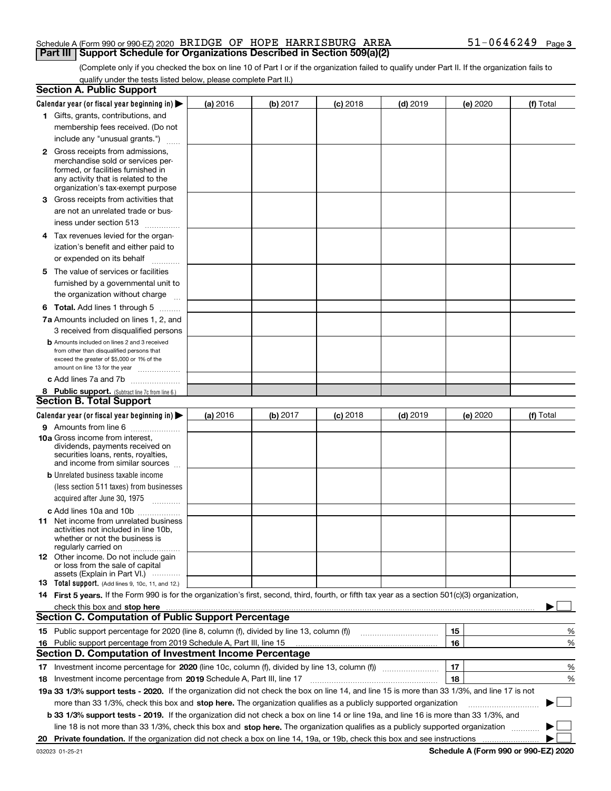#### Schedule A (Form 990 or 990-EZ) 2020 Page BRIDGE OF HOPE HARRISBURG AREA 51-0646249**Part III Support Schedule for Organizations Described in Section 509(a)(2)**

(Complete only if you checked the box on line 10 of Part I or if the organization failed to qualify under Part II. If the organization fails to qualify under the tests listed below, please complete Part II.)

|    | <b>Section A. Public Support</b>                                                                                                                                                                                                                                                                 |                 |          |                 |            |          |           |
|----|--------------------------------------------------------------------------------------------------------------------------------------------------------------------------------------------------------------------------------------------------------------------------------------------------|-----------------|----------|-----------------|------------|----------|-----------|
|    | Calendar year (or fiscal year beginning in) $\blacktriangleright$                                                                                                                                                                                                                                | <b>(a)</b> 2016 | (b) 2017 | <b>(c)</b> 2018 | $(d)$ 2019 | (e) 2020 | (f) Total |
|    | 1 Gifts, grants, contributions, and                                                                                                                                                                                                                                                              |                 |          |                 |            |          |           |
|    | membership fees received. (Do not                                                                                                                                                                                                                                                                |                 |          |                 |            |          |           |
|    | include any "unusual grants.")                                                                                                                                                                                                                                                                   |                 |          |                 |            |          |           |
|    | <b>2</b> Gross receipts from admissions,                                                                                                                                                                                                                                                         |                 |          |                 |            |          |           |
|    | merchandise sold or services per-                                                                                                                                                                                                                                                                |                 |          |                 |            |          |           |
|    | formed, or facilities furnished in                                                                                                                                                                                                                                                               |                 |          |                 |            |          |           |
|    | any activity that is related to the<br>organization's tax-exempt purpose                                                                                                                                                                                                                         |                 |          |                 |            |          |           |
|    | 3 Gross receipts from activities that                                                                                                                                                                                                                                                            |                 |          |                 |            |          |           |
|    | are not an unrelated trade or bus-                                                                                                                                                                                                                                                               |                 |          |                 |            |          |           |
|    | iness under section 513                                                                                                                                                                                                                                                                          |                 |          |                 |            |          |           |
|    | 4 Tax revenues levied for the organ-                                                                                                                                                                                                                                                             |                 |          |                 |            |          |           |
|    | ization's benefit and either paid to                                                                                                                                                                                                                                                             |                 |          |                 |            |          |           |
|    | or expended on its behalf<br>.                                                                                                                                                                                                                                                                   |                 |          |                 |            |          |           |
|    | 5 The value of services or facilities                                                                                                                                                                                                                                                            |                 |          |                 |            |          |           |
|    | furnished by a governmental unit to                                                                                                                                                                                                                                                              |                 |          |                 |            |          |           |
|    | the organization without charge                                                                                                                                                                                                                                                                  |                 |          |                 |            |          |           |
|    | <b>6 Total.</b> Add lines 1 through 5                                                                                                                                                                                                                                                            |                 |          |                 |            |          |           |
|    | 7a Amounts included on lines 1, 2, and                                                                                                                                                                                                                                                           |                 |          |                 |            |          |           |
|    | 3 received from disqualified persons                                                                                                                                                                                                                                                             |                 |          |                 |            |          |           |
|    | <b>b</b> Amounts included on lines 2 and 3 received                                                                                                                                                                                                                                              |                 |          |                 |            |          |           |
|    | from other than disqualified persons that                                                                                                                                                                                                                                                        |                 |          |                 |            |          |           |
|    | exceed the greater of \$5,000 or 1% of the<br>amount on line 13 for the year                                                                                                                                                                                                                     |                 |          |                 |            |          |           |
|    | c Add lines 7a and 7b                                                                                                                                                                                                                                                                            |                 |          |                 |            |          |           |
|    | 8 Public support. (Subtract line 7c from line 6.)                                                                                                                                                                                                                                                |                 |          |                 |            |          |           |
|    | <b>Section B. Total Support</b>                                                                                                                                                                                                                                                                  |                 |          |                 |            |          |           |
|    | Calendar year (or fiscal year beginning in)                                                                                                                                                                                                                                                      | (a) 2016        | (b) 2017 | $(c)$ 2018      | $(d)$ 2019 | (e) 2020 | (f) Total |
|    | 9 Amounts from line 6                                                                                                                                                                                                                                                                            |                 |          |                 |            |          |           |
|    | <b>10a</b> Gross income from interest,                                                                                                                                                                                                                                                           |                 |          |                 |            |          |           |
|    | dividends, payments received on                                                                                                                                                                                                                                                                  |                 |          |                 |            |          |           |
|    | securities loans, rents, royalties,<br>and income from similar sources                                                                                                                                                                                                                           |                 |          |                 |            |          |           |
|    | <b>b</b> Unrelated business taxable income                                                                                                                                                                                                                                                       |                 |          |                 |            |          |           |
|    | (less section 511 taxes) from businesses                                                                                                                                                                                                                                                         |                 |          |                 |            |          |           |
|    | acquired after June 30, 1975<br>$\overline{\phantom{a}}$                                                                                                                                                                                                                                         |                 |          |                 |            |          |           |
|    | c Add lines 10a and 10b                                                                                                                                                                                                                                                                          |                 |          |                 |            |          |           |
|    | 11 Net income from unrelated business                                                                                                                                                                                                                                                            |                 |          |                 |            |          |           |
|    | activities not included in line 10b,                                                                                                                                                                                                                                                             |                 |          |                 |            |          |           |
|    | whether or not the business is<br>regularly carried on                                                                                                                                                                                                                                           |                 |          |                 |            |          |           |
|    | <b>12</b> Other income. Do not include gain                                                                                                                                                                                                                                                      |                 |          |                 |            |          |           |
|    | or loss from the sale of capital                                                                                                                                                                                                                                                                 |                 |          |                 |            |          |           |
|    | assets (Explain in Part VI.)<br><b>13</b> Total support. (Add lines 9, 10c, 11, and 12.)                                                                                                                                                                                                         |                 |          |                 |            |          |           |
|    | 14 First 5 years. If the Form 990 is for the organization's first, second, third, fourth, or fifth tax year as a section 501(c)(3) organization,                                                                                                                                                 |                 |          |                 |            |          |           |
|    |                                                                                                                                                                                                                                                                                                  |                 |          |                 |            |          |           |
|    | check this box and stop here <b>manufacture and contain the container and stop here</b> in the character of the character of the character of the character of the character of the character of the character of the character of<br><b>Section C. Computation of Public Support Percentage</b> |                 |          |                 |            |          |           |
|    |                                                                                                                                                                                                                                                                                                  |                 |          |                 |            | 15       | %         |
|    | 16 Public support percentage from 2019 Schedule A, Part III, line 15                                                                                                                                                                                                                             |                 |          |                 |            | 16       | %         |
|    | <b>Section D. Computation of Investment Income Percentage</b>                                                                                                                                                                                                                                    |                 |          |                 |            |          |           |
|    | 17 Investment income percentage for 2020 (line 10c, column (f), divided by line 13, column (f))                                                                                                                                                                                                  |                 |          |                 |            | 17       | %         |
|    |                                                                                                                                                                                                                                                                                                  |                 |          |                 |            | 18       | %         |
|    | <b>18</b> Investment income percentage from <b>2019</b> Schedule A, Part III, line 17<br>19a 33 1/3% support tests - 2020. If the organization did not check the box on line 14, and line 15 is more than 33 1/3%, and line 17 is not                                                            |                 |          |                 |            |          |           |
|    | more than 33 1/3%, check this box and stop here. The organization qualifies as a publicly supported organization                                                                                                                                                                                 |                 |          |                 |            |          | $\sim$    |
|    |                                                                                                                                                                                                                                                                                                  |                 |          |                 |            |          |           |
|    | b 33 1/3% support tests - 2019. If the organization did not check a box on line 14 or line 19a, and line 16 is more than 33 1/3%, and                                                                                                                                                            |                 |          |                 |            |          |           |
|    | line 18 is not more than 33 1/3%, check this box and stop here. The organization qualifies as a publicly supported organization                                                                                                                                                                  |                 |          |                 |            |          |           |
| 20 |                                                                                                                                                                                                                                                                                                  |                 |          |                 |            |          |           |

**Schedule A (Form 990 or 990-EZ) 2020**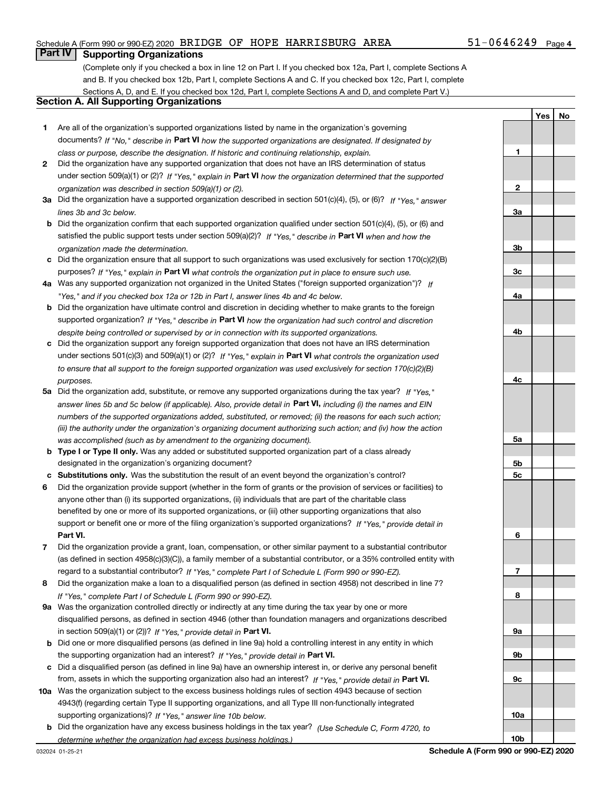#### Schedule A (Form 990 or 990-EZ) 2020 Page BRIDGE OF HOPE HARRISBURG AREA 51-0646249

#### **Part IV Supporting Organizations**

(Complete only if you checked a box in line 12 on Part I. If you checked box 12a, Part I, complete Sections A and B. If you checked box 12b, Part I, complete Sections A and C. If you checked box 12c, Part I, complete Sections A, D, and E. If you checked box 12d, Part I, complete Sections A and D, and complete Part V.)

#### **Section A. All Supporting Organizations**

- **1** Are all of the organization's supported organizations listed by name in the organization's governing documents? If "No," describe in **Part VI** how the supported organizations are designated. If designated by *class or purpose, describe the designation. If historic and continuing relationship, explain.*
- **2** Did the organization have any supported organization that does not have an IRS determination of status under section 509(a)(1) or (2)? If "Yes," explain in Part VI how the organization determined that the supported *organization was described in section 509(a)(1) or (2).*
- **3a** Did the organization have a supported organization described in section 501(c)(4), (5), or (6)? If "Yes," answer *lines 3b and 3c below.*
- **b** Did the organization confirm that each supported organization qualified under section 501(c)(4), (5), or (6) and satisfied the public support tests under section 509(a)(2)? If "Yes," describe in **Part VI** when and how the *organization made the determination.*
- **c**Did the organization ensure that all support to such organizations was used exclusively for section 170(c)(2)(B) purposes? If "Yes," explain in **Part VI** what controls the organization put in place to ensure such use.
- **4a***If* Was any supported organization not organized in the United States ("foreign supported organization")? *"Yes," and if you checked box 12a or 12b in Part I, answer lines 4b and 4c below.*
- **b** Did the organization have ultimate control and discretion in deciding whether to make grants to the foreign supported organization? If "Yes," describe in **Part VI** how the organization had such control and discretion *despite being controlled or supervised by or in connection with its supported organizations.*
- **c** Did the organization support any foreign supported organization that does not have an IRS determination under sections 501(c)(3) and 509(a)(1) or (2)? If "Yes," explain in **Part VI** what controls the organization used *to ensure that all support to the foreign supported organization was used exclusively for section 170(c)(2)(B) purposes.*
- **5a***If "Yes,"* Did the organization add, substitute, or remove any supported organizations during the tax year? answer lines 5b and 5c below (if applicable). Also, provide detail in **Part VI,** including (i) the names and EIN *numbers of the supported organizations added, substituted, or removed; (ii) the reasons for each such action; (iii) the authority under the organization's organizing document authorizing such action; and (iv) how the action was accomplished (such as by amendment to the organizing document).*
- **b** Type I or Type II only. Was any added or substituted supported organization part of a class already designated in the organization's organizing document?
- **cSubstitutions only.**  Was the substitution the result of an event beyond the organization's control?
- **6** Did the organization provide support (whether in the form of grants or the provision of services or facilities) to **Part VI.** *If "Yes," provide detail in* support or benefit one or more of the filing organization's supported organizations? anyone other than (i) its supported organizations, (ii) individuals that are part of the charitable class benefited by one or more of its supported organizations, or (iii) other supporting organizations that also
- **7**Did the organization provide a grant, loan, compensation, or other similar payment to a substantial contributor *If "Yes," complete Part I of Schedule L (Form 990 or 990-EZ).* regard to a substantial contributor? (as defined in section 4958(c)(3)(C)), a family member of a substantial contributor, or a 35% controlled entity with
- **8** Did the organization make a loan to a disqualified person (as defined in section 4958) not described in line 7? *If "Yes," complete Part I of Schedule L (Form 990 or 990-EZ).*
- **9a** Was the organization controlled directly or indirectly at any time during the tax year by one or more in section 509(a)(1) or (2))? If "Yes," *provide detail in* <code>Part VI.</code> disqualified persons, as defined in section 4946 (other than foundation managers and organizations described
- **b** Did one or more disqualified persons (as defined in line 9a) hold a controlling interest in any entity in which the supporting organization had an interest? If "Yes," provide detail in P**art VI**.
- **c**Did a disqualified person (as defined in line 9a) have an ownership interest in, or derive any personal benefit from, assets in which the supporting organization also had an interest? If "Yes," provide detail in P**art VI.**
- **10a** Was the organization subject to the excess business holdings rules of section 4943 because of section supporting organizations)? If "Yes," answer line 10b below. 4943(f) (regarding certain Type II supporting organizations, and all Type III non-functionally integrated
- **b** Did the organization have any excess business holdings in the tax year? (Use Schedule C, Form 4720, to *determine whether the organization had excess business holdings.)*

032024 01-25-21

**Schedule A (Form 990 or 990-EZ) 2020**

**1**

**2**

**3a**

**3b**

**3c**

**4a**

**4b**

**4c**

**5a**

**5b5c**

**6**

**7**

**8**

**9a**

**9b**

**9c**

**10a**

**10b**

**YesNo**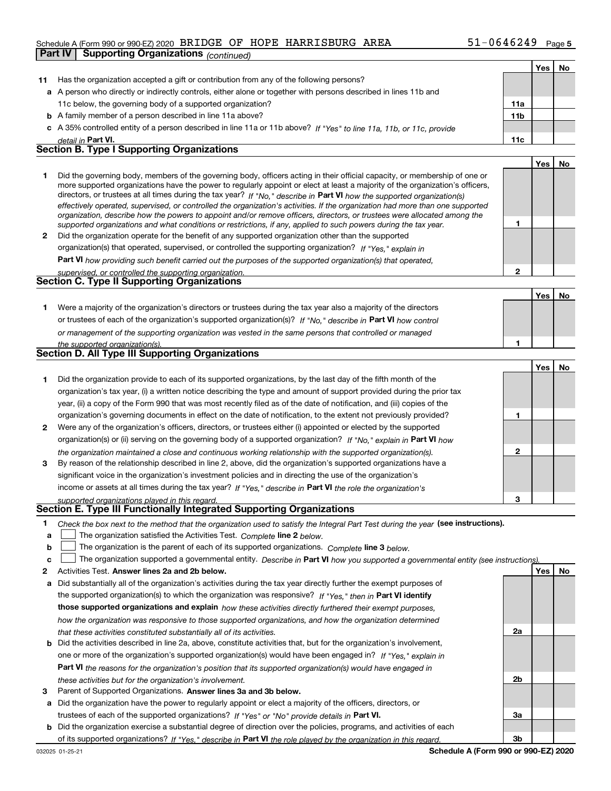#### Schedule A (Form 990 or 990-EZ) 2020 Page BRIDGE OF HOPE HARRISBURG AREA 51-0646249

|              | <b>Supporting Organizations</b> (continued)<br>Part IV                                                                                                                                                                                                     |                 |     |    |
|--------------|------------------------------------------------------------------------------------------------------------------------------------------------------------------------------------------------------------------------------------------------------------|-----------------|-----|----|
|              |                                                                                                                                                                                                                                                            |                 | Yes | No |
| 11           | Has the organization accepted a gift or contribution from any of the following persons?                                                                                                                                                                    |                 |     |    |
|              | a A person who directly or indirectly controls, either alone or together with persons described in lines 11b and                                                                                                                                           |                 |     |    |
|              | 11c below, the governing body of a supported organization?                                                                                                                                                                                                 | 11a             |     |    |
|              | <b>b</b> A family member of a person described in line 11a above?                                                                                                                                                                                          | 11 <sub>b</sub> |     |    |
|              | c A 35% controlled entity of a person described in line 11a or 11b above? If "Yes" to line 11a, 11b, or 11c, provide                                                                                                                                       |                 |     |    |
|              | detail in Part VI.                                                                                                                                                                                                                                         | 11c             |     |    |
|              | <b>Section B. Type I Supporting Organizations</b>                                                                                                                                                                                                          |                 |     |    |
|              |                                                                                                                                                                                                                                                            |                 | Yes | No |
| 1            | Did the governing body, members of the governing body, officers acting in their official capacity, or membership of one or                                                                                                                                 |                 |     |    |
|              | more supported organizations have the power to regularly appoint or elect at least a majority of the organization's officers,                                                                                                                              |                 |     |    |
|              | directors, or trustees at all times during the tax year? If "No," describe in Part VI how the supported organization(s)                                                                                                                                    |                 |     |    |
|              | effectively operated, supervised, or controlled the organization's activities. If the organization had more than one supported<br>organization, describe how the powers to appoint and/or remove officers, directors, or trustees were allocated among the |                 |     |    |
|              | supported organizations and what conditions or restrictions, if any, applied to such powers during the tax year.                                                                                                                                           | 1               |     |    |
| $\mathbf{2}$ | Did the organization operate for the benefit of any supported organization other than the supported                                                                                                                                                        |                 |     |    |
|              | organization(s) that operated, supervised, or controlled the supporting organization? If "Yes," explain in                                                                                                                                                 |                 |     |    |
|              | <b>Part VI</b> how providing such benefit carried out the purposes of the supported organization(s) that operated,                                                                                                                                         |                 |     |    |
|              | supervised, or controlled the supporting organization.                                                                                                                                                                                                     | 2               |     |    |
|              | <b>Section C. Type II Supporting Organizations</b>                                                                                                                                                                                                         |                 |     |    |
|              |                                                                                                                                                                                                                                                            |                 | Yes | No |
| 1.           | Were a majority of the organization's directors or trustees during the tax year also a majority of the directors                                                                                                                                           |                 |     |    |
|              | or trustees of each of the organization's supported organization(s)? If "No," describe in Part VI how control                                                                                                                                              |                 |     |    |
|              | or management of the supporting organization was vested in the same persons that controlled or managed                                                                                                                                                     |                 |     |    |
|              | the supported organization(s).                                                                                                                                                                                                                             | 1               |     |    |
|              | Section D. All Type III Supporting Organizations                                                                                                                                                                                                           |                 |     |    |
|              |                                                                                                                                                                                                                                                            |                 | Yes | No |
| 1            | Did the organization provide to each of its supported organizations, by the last day of the fifth month of the                                                                                                                                             |                 |     |    |
|              | organization's tax year, (i) a written notice describing the type and amount of support provided during the prior tax                                                                                                                                      |                 |     |    |
|              | year, (ii) a copy of the Form 990 that was most recently filed as of the date of notification, and (iii) copies of the                                                                                                                                     |                 |     |    |
|              | organization's governing documents in effect on the date of notification, to the extent not previously provided?                                                                                                                                           | 1               |     |    |
| 2            | Were any of the organization's officers, directors, or trustees either (i) appointed or elected by the supported                                                                                                                                           |                 |     |    |
|              | organization(s) or (ii) serving on the governing body of a supported organization? If "No," explain in Part VI how                                                                                                                                         |                 |     |    |
|              | the organization maintained a close and continuous working relationship with the supported organization(s).                                                                                                                                                | 2               |     |    |
| 3            | By reason of the relationship described in line 2, above, did the organization's supported organizations have a                                                                                                                                            |                 |     |    |
|              | significant voice in the organization's investment policies and in directing the use of the organization's                                                                                                                                                 |                 |     |    |
|              | income or assets at all times during the tax year? If "Yes," describe in Part VI the role the organization's                                                                                                                                               |                 |     |    |
|              | supported organizations played in this regard.                                                                                                                                                                                                             | 3               |     |    |
|              | Section E. Type III Functionally Integrated Supporting Organizations                                                                                                                                                                                       |                 |     |    |
| 1            | Check the box next to the method that the organization used to satisfy the Integral Part Test during the year (see instructions).                                                                                                                          |                 |     |    |
| a            | The organization satisfied the Activities Test. Complete line 2 below.                                                                                                                                                                                     |                 |     |    |
| b            | The organization is the parent of each of its supported organizations. Complete line 3 below.                                                                                                                                                              |                 |     |    |
| c            | The organization supported a governmental entity. Describe in Part VI how you supported a governmental entity (see instructions).                                                                                                                          |                 |     |    |
| 2            | Activities Test. Answer lines 2a and 2b below.                                                                                                                                                                                                             |                 | Yes | No |
| а            | Did substantially all of the organization's activities during the tax year directly further the exempt purposes of                                                                                                                                         |                 |     |    |
|              | the supported organization(s) to which the organization was responsive? If "Yes," then in Part VI identify                                                                                                                                                 |                 |     |    |
|              | those supported organizations and explain how these activities directly furthered their exempt purposes,                                                                                                                                                   |                 |     |    |
|              | how the organization was responsive to those supported organizations, and how the organization determined                                                                                                                                                  |                 |     |    |
|              | that these activities constituted substantially all of its activities.                                                                                                                                                                                     | 2a              |     |    |

- **b** Did the activities described in line 2a, above, constitute activities that, but for the organization's involvement, **Part VI**  *the reasons for the organization's position that its supported organization(s) would have engaged in* one or more of the organization's supported organization(s) would have been engaged in? If "Yes," e*xplain in these activities but for the organization's involvement.*
- **3** Parent of Supported Organizations. Answer lines 3a and 3b below.

**a** Did the organization have the power to regularly appoint or elect a majority of the officers, directors, or trustees of each of the supported organizations? If "Yes" or "No" provide details in **Part VI.** 

**b** Did the organization exercise a substantial degree of direction over the policies, programs, and activities of each of its supported organizations? If "Yes," describe in Part VI the role played by the organization in this regard.

**2b**

**3a**

**3b**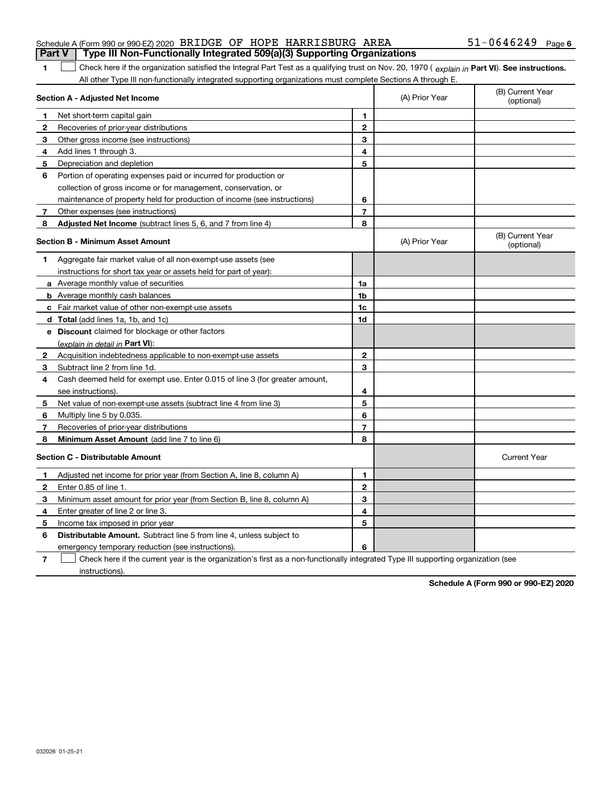|              | Section A - Adjusted Net Income                                             |                | (A) Prior Year | (B) Current Year<br>(optional) |
|--------------|-----------------------------------------------------------------------------|----------------|----------------|--------------------------------|
| 1.           | Net short-term capital gain                                                 | $\mathbf{1}$   |                |                                |
| $\mathbf{2}$ | Recoveries of prior-year distributions                                      | $\mathbf{2}$   |                |                                |
| 3            | Other gross income (see instructions)                                       | 3              |                |                                |
| 4            | Add lines 1 through 3.                                                      | 4              |                |                                |
| 5            | Depreciation and depletion                                                  | 5              |                |                                |
| 6            | Portion of operating expenses paid or incurred for production or            |                |                |                                |
|              | collection of gross income or for management, conservation, or              |                |                |                                |
|              | maintenance of property held for production of income (see instructions)    | 6              |                |                                |
| 7            | Other expenses (see instructions)                                           | $\overline{7}$ |                |                                |
| 8            | <b>Adjusted Net Income</b> (subtract lines 5, 6, and 7 from line 4)         | 8              |                |                                |
|              | <b>Section B - Minimum Asset Amount</b>                                     |                | (A) Prior Year | (B) Current Year<br>(optional) |
| 1            | Aggregate fair market value of all non-exempt-use assets (see               |                |                |                                |
|              | instructions for short tax year or assets held for part of year):           |                |                |                                |
|              | a Average monthly value of securities                                       | 1a             |                |                                |
|              | <b>b</b> Average monthly cash balances                                      | 1b             |                |                                |
|              | c Fair market value of other non-exempt-use assets                          | 1c             |                |                                |
|              | <b>d</b> Total (add lines 1a, 1b, and 1c)                                   | 1d             |                |                                |
|              | e Discount claimed for blockage or other factors                            |                |                |                                |
|              | (explain in detail in Part VI):                                             |                |                |                                |
| $\mathbf{2}$ | Acquisition indebtedness applicable to non-exempt-use assets                | $\mathbf{2}$   |                |                                |
| 3            | Subtract line 2 from line 1d.                                               | 3              |                |                                |
| 4            | Cash deemed held for exempt use. Enter 0.015 of line 3 (for greater amount, |                |                |                                |
|              | see instructions).                                                          | 4              |                |                                |
| 5            | Net value of non-exempt-use assets (subtract line 4 from line 3)            | 5              |                |                                |
| 6            | Multiply line 5 by 0.035.                                                   | 6              |                |                                |
| 7            | Recoveries of prior-year distributions                                      | $\overline{7}$ |                |                                |
| 8            | <b>Minimum Asset Amount</b> (add line 7 to line 6)                          | 8              |                |                                |
|              | <b>Section C - Distributable Amount</b>                                     |                |                | <b>Current Year</b>            |
| 1            | Adjusted net income for prior year (from Section A, line 8, column A)       | $\mathbf{1}$   |                |                                |
| $\mathbf{2}$ | Enter 0.85 of line 1.                                                       | $\mathbf{2}$   |                |                                |
| 3            | Minimum asset amount for prior year (from Section B, line 8, column A)      | 3              |                |                                |
| 4            | Enter greater of line 2 or line 3.                                          | 4              |                |                                |
| 5            | Income tax imposed in prior year                                            | 5              |                |                                |
| 6            | <b>Distributable Amount.</b> Subtract line 5 from line 4, unless subject to |                |                |                                |
|              | emergency temporary reduction (see instructions)                            | 6              |                |                                |

Check here if the current year is the organization's first as a non-functionally integrated Type III supporting organization (see

instructions).

**7**

**Schedule A (Form 990 or 990-EZ) 2020**

## Schedule A (Form 990 or 990-EZ) 2020 Page BRIDGE OF HOPE HARRISBURG AREA 51-0646249

**Part V Type III Non-Functionally Integrated 509(a)(3) Supporting Organizations** 

**1**

1 Check here if the organization satisfied the Integral Part Test as a qualifying trust on Nov. 20, 1970 (explain in Part VI). See instructions.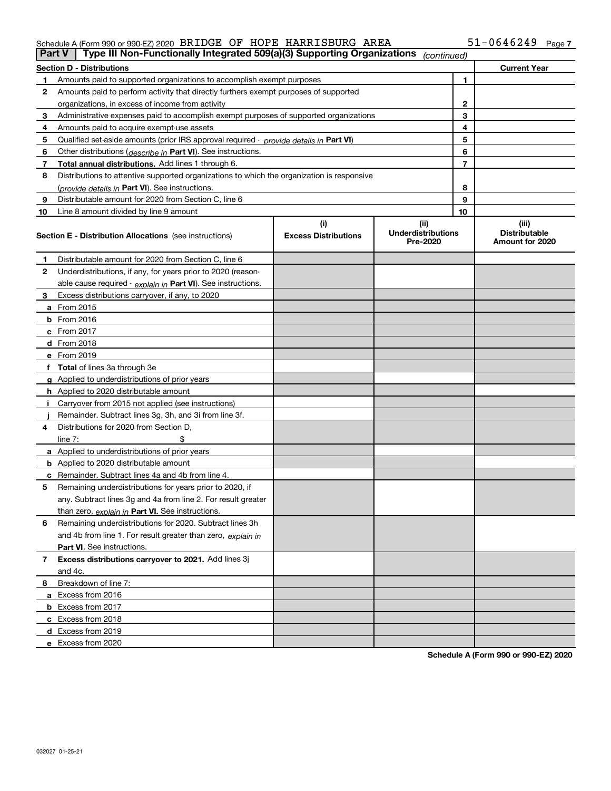#### Schedule A (Form 990 or 990-EZ) 2020 Page BRIDGE OF HOPE HARRISBURG AREA 51-0646249

|    | Type III Non-Functionally Integrated 509(a)(3) Supporting Organizations<br><b>Part V</b><br>(continued) |                             |                                       |    |                                         |  |  |
|----|---------------------------------------------------------------------------------------------------------|-----------------------------|---------------------------------------|----|-----------------------------------------|--|--|
|    | <b>Section D - Distributions</b>                                                                        |                             |                                       |    | <b>Current Year</b>                     |  |  |
| 1  | Amounts paid to supported organizations to accomplish exempt purposes                                   |                             |                                       | 1  |                                         |  |  |
| 2  | Amounts paid to perform activity that directly furthers exempt purposes of supported                    |                             |                                       |    |                                         |  |  |
|    | organizations, in excess of income from activity                                                        |                             | $\mathbf{2}$                          |    |                                         |  |  |
| 3  | Administrative expenses paid to accomplish exempt purposes of supported organizations                   |                             | 3                                     |    |                                         |  |  |
| 4  | Amounts paid to acquire exempt-use assets                                                               |                             | 4                                     |    |                                         |  |  |
| 5  | Qualified set-aside amounts (prior IRS approval required - provide details in Part VI)                  |                             |                                       | 5  |                                         |  |  |
| 6  | Other distributions ( <i>describe in</i> Part VI). See instructions.                                    |                             |                                       | 6  |                                         |  |  |
| 7  | Total annual distributions. Add lines 1 through 6.                                                      |                             |                                       | 7  |                                         |  |  |
| 8  | Distributions to attentive supported organizations to which the organization is responsive              |                             |                                       |    |                                         |  |  |
|    | (provide details in Part VI). See instructions.                                                         |                             |                                       | 8  |                                         |  |  |
| 9  | Distributable amount for 2020 from Section C, line 6                                                    |                             |                                       | 9  |                                         |  |  |
| 10 | Line 8 amount divided by line 9 amount                                                                  |                             |                                       | 10 |                                         |  |  |
|    |                                                                                                         | (i)                         | (ii)                                  |    | (iii)                                   |  |  |
|    | <b>Section E - Distribution Allocations</b> (see instructions)                                          | <b>Excess Distributions</b> | <b>Underdistributions</b><br>Pre-2020 |    | <b>Distributable</b><br>Amount for 2020 |  |  |
| 1  | Distributable amount for 2020 from Section C, line 6                                                    |                             |                                       |    |                                         |  |  |
| 2  | Underdistributions, if any, for years prior to 2020 (reason-                                            |                             |                                       |    |                                         |  |  |
|    | able cause required - explain in Part VI). See instructions.                                            |                             |                                       |    |                                         |  |  |
| 3  | Excess distributions carryover, if any, to 2020                                                         |                             |                                       |    |                                         |  |  |
|    | a From 2015                                                                                             |                             |                                       |    |                                         |  |  |
|    | <b>b</b> From 2016                                                                                      |                             |                                       |    |                                         |  |  |
|    | $c$ From 2017                                                                                           |                             |                                       |    |                                         |  |  |
|    | d From 2018                                                                                             |                             |                                       |    |                                         |  |  |
|    | e From 2019                                                                                             |                             |                                       |    |                                         |  |  |
|    | f Total of lines 3a through 3e                                                                          |                             |                                       |    |                                         |  |  |
|    | g Applied to underdistributions of prior years                                                          |                             |                                       |    |                                         |  |  |
|    | <b>h</b> Applied to 2020 distributable amount                                                           |                             |                                       |    |                                         |  |  |
|    | Carryover from 2015 not applied (see instructions)                                                      |                             |                                       |    |                                         |  |  |
|    | Remainder. Subtract lines 3g, 3h, and 3i from line 3f.                                                  |                             |                                       |    |                                         |  |  |
| 4  | Distributions for 2020 from Section D,                                                                  |                             |                                       |    |                                         |  |  |
|    | line $7:$                                                                                               |                             |                                       |    |                                         |  |  |
|    | a Applied to underdistributions of prior years                                                          |                             |                                       |    |                                         |  |  |
|    | <b>b</b> Applied to 2020 distributable amount                                                           |                             |                                       |    |                                         |  |  |
|    | c Remainder. Subtract lines 4a and 4b from line 4.                                                      |                             |                                       |    |                                         |  |  |
| 5. | Remaining underdistributions for years prior to 2020, if                                                |                             |                                       |    |                                         |  |  |
|    | any. Subtract lines 3g and 4a from line 2. For result greater                                           |                             |                                       |    |                                         |  |  |
|    | than zero, explain in Part VI. See instructions.                                                        |                             |                                       |    |                                         |  |  |
| 6  | Remaining underdistributions for 2020. Subtract lines 3h                                                |                             |                                       |    |                                         |  |  |
|    | and 4b from line 1. For result greater than zero, explain in                                            |                             |                                       |    |                                         |  |  |
|    | Part VI. See instructions.                                                                              |                             |                                       |    |                                         |  |  |
| 7  | Excess distributions carryover to 2021. Add lines 3j                                                    |                             |                                       |    |                                         |  |  |
|    | and 4c.                                                                                                 |                             |                                       |    |                                         |  |  |
| 8  | Breakdown of line 7:                                                                                    |                             |                                       |    |                                         |  |  |
|    | a Excess from 2016                                                                                      |                             |                                       |    |                                         |  |  |
|    | <b>b</b> Excess from 2017                                                                               |                             |                                       |    |                                         |  |  |
|    | c Excess from 2018                                                                                      |                             |                                       |    |                                         |  |  |
|    | d Excess from 2019                                                                                      |                             |                                       |    |                                         |  |  |
|    | e Excess from 2020                                                                                      |                             |                                       |    |                                         |  |  |
|    |                                                                                                         |                             |                                       |    |                                         |  |  |

**Schedule A (Form 990 or 990-EZ) 2020**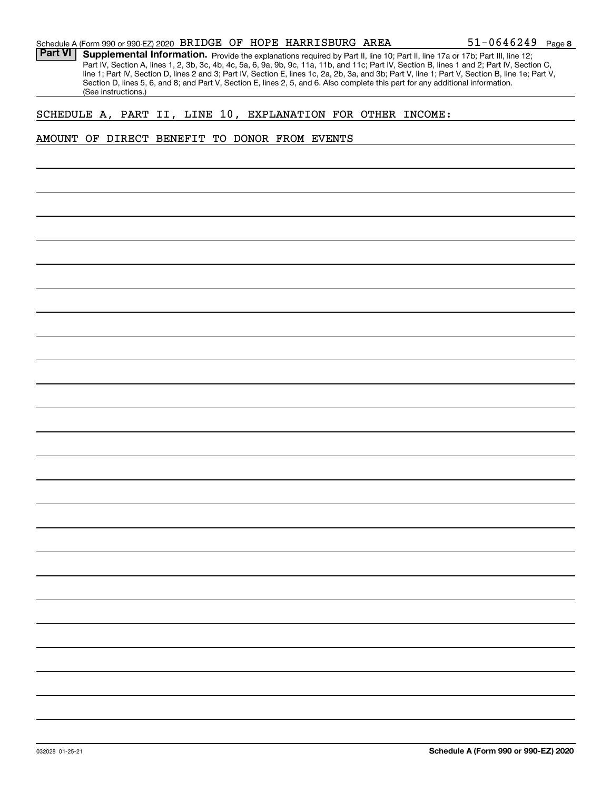Part VI | Supplemental Information. Provide the explanations required by Part II, line 10; Part II, line 17a or 17b; Part III, line 12; Part IV, Section A, lines 1, 2, 3b, 3c, 4b, 4c, 5a, 6, 9a, 9b, 9c, 11a, 11b, and 11c; Part IV, Section B, lines 1 and 2; Part IV, Section C, line 1; Part IV, Section D, lines 2 and 3; Part IV, Section E, lines 1c, 2a, 2b, 3a, and 3b; Part V, line 1; Part V, Section B, line 1e; Part V, Section D, lines 5, 6, and 8; and Part V, Section E, lines 2, 5, and 6. Also complete this part for any additional information. (See instructions.)

#### SCHEDULE A, PART II, LINE 10, EXPLANATION FOR OTHER INCOME:

#### AMOUNT OF DIRECT BENEFIT TO DONOR FROM EVENTS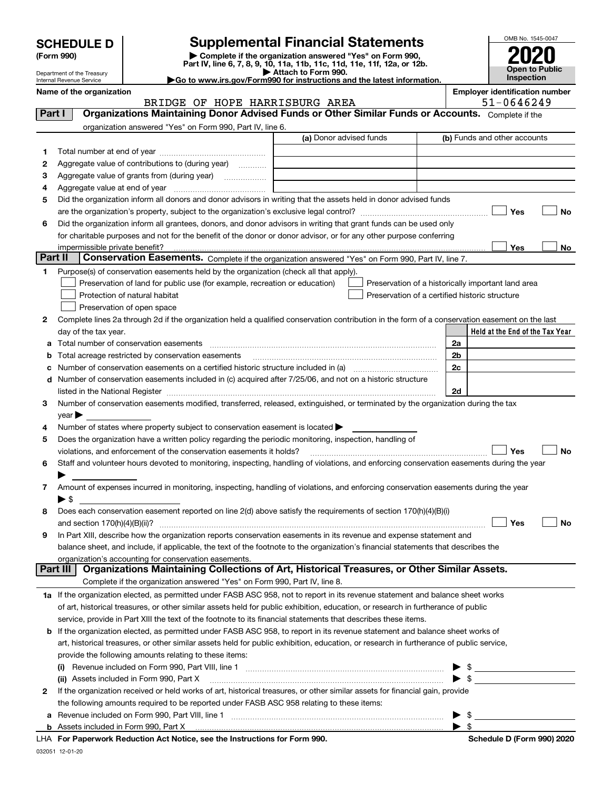| <b>SCHEDULE D</b> |
|-------------------|
|-------------------|

| (Form 990) |  |
|------------|--|
|------------|--|

## **SCHEDULE D Supplemental Financial Statements**

(Form 990)<br>
Pepartment of the Treasury<br>
Department of the Treasury<br>
Department of the Treasury<br>
Department of the Treasury<br> **Co to www.irs.gov/Form990 for instructions and the latest information.**<br> **Co to www.irs.gov/Form9** 



Department of the Treasury Internal Revenue Service

**Name of the organization**<br>**Employer identification number<br>F1-0646249** 

|                                                           | BRIDGE OF HOPE HARRISBURG AREA                                                                                                                                                                                                                                                                                                                 |                         | $51 - 0646249$                                     |                                 |  |  |  |  |
|-----------------------------------------------------------|------------------------------------------------------------------------------------------------------------------------------------------------------------------------------------------------------------------------------------------------------------------------------------------------------------------------------------------------|-------------------------|----------------------------------------------------|---------------------------------|--|--|--|--|
| Part I                                                    | Organizations Maintaining Donor Advised Funds or Other Similar Funds or Accounts. Complete if the                                                                                                                                                                                                                                              |                         |                                                    |                                 |  |  |  |  |
| organization answered "Yes" on Form 990, Part IV, line 6. |                                                                                                                                                                                                                                                                                                                                                |                         |                                                    |                                 |  |  |  |  |
|                                                           |                                                                                                                                                                                                                                                                                                                                                | (a) Donor advised funds |                                                    | (b) Funds and other accounts    |  |  |  |  |
| 1.                                                        |                                                                                                                                                                                                                                                                                                                                                |                         |                                                    |                                 |  |  |  |  |
| 2                                                         | Aggregate value of contributions to (during year)                                                                                                                                                                                                                                                                                              |                         |                                                    |                                 |  |  |  |  |
| з                                                         | Aggregate value of grants from (during year)                                                                                                                                                                                                                                                                                                   |                         |                                                    |                                 |  |  |  |  |
| 4                                                         |                                                                                                                                                                                                                                                                                                                                                |                         |                                                    |                                 |  |  |  |  |
| 5                                                         | Did the organization inform all donors and donor advisors in writing that the assets held in donor advised funds                                                                                                                                                                                                                               |                         |                                                    |                                 |  |  |  |  |
|                                                           |                                                                                                                                                                                                                                                                                                                                                |                         |                                                    | Yes<br>No                       |  |  |  |  |
| 6                                                         | Did the organization inform all grantees, donors, and donor advisors in writing that grant funds can be used only                                                                                                                                                                                                                              |                         |                                                    |                                 |  |  |  |  |
|                                                           | for charitable purposes and not for the benefit of the donor or donor advisor, or for any other purpose conferring                                                                                                                                                                                                                             |                         |                                                    |                                 |  |  |  |  |
|                                                           | impermissible private benefit?                                                                                                                                                                                                                                                                                                                 |                         |                                                    | Yes<br>No                       |  |  |  |  |
| Part II                                                   | Conservation Easements. Complete if the organization answered "Yes" on Form 990, Part IV, line 7.                                                                                                                                                                                                                                              |                         |                                                    |                                 |  |  |  |  |
| 1.                                                        | Purpose(s) of conservation easements held by the organization (check all that apply).                                                                                                                                                                                                                                                          |                         |                                                    |                                 |  |  |  |  |
|                                                           | Preservation of land for public use (for example, recreation or education)                                                                                                                                                                                                                                                                     |                         | Preservation of a historically important land area |                                 |  |  |  |  |
|                                                           | Protection of natural habitat                                                                                                                                                                                                                                                                                                                  |                         | Preservation of a certified historic structure     |                                 |  |  |  |  |
|                                                           | Preservation of open space                                                                                                                                                                                                                                                                                                                     |                         |                                                    |                                 |  |  |  |  |
| 2                                                         | Complete lines 2a through 2d if the organization held a qualified conservation contribution in the form of a conservation easement on the last                                                                                                                                                                                                 |                         |                                                    |                                 |  |  |  |  |
|                                                           | day of the tax year.                                                                                                                                                                                                                                                                                                                           |                         |                                                    | Held at the End of the Tax Year |  |  |  |  |
|                                                           | a Total number of conservation easements [11] matter consumer conservation of the state of conservation easements                                                                                                                                                                                                                              |                         | 2a                                                 |                                 |  |  |  |  |
| b                                                         | Total acreage restricted by conservation easements                                                                                                                                                                                                                                                                                             |                         | 2 <sub>b</sub>                                     |                                 |  |  |  |  |
| c                                                         | Number of conservation easements on a certified historic structure included in (a) manufacture included in (a)                                                                                                                                                                                                                                 |                         | 2c                                                 |                                 |  |  |  |  |
|                                                           | Number of conservation easements included in (c) acquired after 7/25/06, and not on a historic structure<br>d<br>listed in the National Register [11, 1200] [12] The National Register [11, 1200] [12] The National Register [11, 1200] [12] The National Register [11, 1200] [12] The National Register [11, 1200] [12] The National Register |                         |                                                    |                                 |  |  |  |  |
| 3                                                         | Number of conservation easements modified, transferred, released, extinguished, or terminated by the organization during the tax                                                                                                                                                                                                               |                         | 2d                                                 |                                 |  |  |  |  |
|                                                           | year                                                                                                                                                                                                                                                                                                                                           |                         |                                                    |                                 |  |  |  |  |
| 4                                                         | Number of states where property subject to conservation easement is located >                                                                                                                                                                                                                                                                  |                         |                                                    |                                 |  |  |  |  |
| 5                                                         | Does the organization have a written policy regarding the periodic monitoring, inspection, handling of                                                                                                                                                                                                                                         |                         |                                                    |                                 |  |  |  |  |
|                                                           | violations, and enforcement of the conservation easements it holds?                                                                                                                                                                                                                                                                            |                         |                                                    | Yes<br>No                       |  |  |  |  |
| 6                                                         | Staff and volunteer hours devoted to monitoring, inspecting, handling of violations, and enforcing conservation easements during the year                                                                                                                                                                                                      |                         |                                                    |                                 |  |  |  |  |
|                                                           |                                                                                                                                                                                                                                                                                                                                                |                         |                                                    |                                 |  |  |  |  |
| 7                                                         | Amount of expenses incurred in monitoring, inspecting, handling of violations, and enforcing conservation easements during the year                                                                                                                                                                                                            |                         |                                                    |                                 |  |  |  |  |
|                                                           | $\blacktriangleright$ \$                                                                                                                                                                                                                                                                                                                       |                         |                                                    |                                 |  |  |  |  |
| 8                                                         | Does each conservation easement reported on line 2(d) above satisfy the requirements of section 170(h)(4)(B)(i)                                                                                                                                                                                                                                |                         |                                                    |                                 |  |  |  |  |
|                                                           | and section $170(h)(4)(B)(ii)?$                                                                                                                                                                                                                                                                                                                |                         |                                                    | Yes<br>No                       |  |  |  |  |
| 9                                                         | In Part XIII, describe how the organization reports conservation easements in its revenue and expense statement and                                                                                                                                                                                                                            |                         |                                                    |                                 |  |  |  |  |
|                                                           | balance sheet, and include, if applicable, the text of the footnote to the organization's financial statements that describes the                                                                                                                                                                                                              |                         |                                                    |                                 |  |  |  |  |
|                                                           | organization's accounting for conservation easements.<br>Organizations Maintaining Collections of Art, Historical Treasures, or Other Similar Assets.<br>Part III                                                                                                                                                                              |                         |                                                    |                                 |  |  |  |  |
|                                                           | Complete if the organization answered "Yes" on Form 990, Part IV, line 8.                                                                                                                                                                                                                                                                      |                         |                                                    |                                 |  |  |  |  |
|                                                           |                                                                                                                                                                                                                                                                                                                                                |                         |                                                    |                                 |  |  |  |  |
|                                                           | 1a If the organization elected, as permitted under FASB ASC 958, not to report in its revenue statement and balance sheet works<br>of art, historical treasures, or other similar assets held for public exhibition, education, or research in furtherance of public                                                                           |                         |                                                    |                                 |  |  |  |  |
|                                                           | service, provide in Part XIII the text of the footnote to its financial statements that describes these items.                                                                                                                                                                                                                                 |                         |                                                    |                                 |  |  |  |  |
|                                                           | <b>b</b> If the organization elected, as permitted under FASB ASC 958, to report in its revenue statement and balance sheet works of                                                                                                                                                                                                           |                         |                                                    |                                 |  |  |  |  |
|                                                           | art, historical treasures, or other similar assets held for public exhibition, education, or research in furtherance of public service,                                                                                                                                                                                                        |                         |                                                    |                                 |  |  |  |  |
|                                                           | provide the following amounts relating to these items:                                                                                                                                                                                                                                                                                         |                         |                                                    |                                 |  |  |  |  |
|                                                           |                                                                                                                                                                                                                                                                                                                                                |                         | \$                                                 |                                 |  |  |  |  |
|                                                           | (ii) Assets included in Form 990, Part X                                                                                                                                                                                                                                                                                                       |                         | $\blacktriangleright$ s                            |                                 |  |  |  |  |
| 2                                                         | If the organization received or held works of art, historical treasures, or other similar assets for financial gain, provide                                                                                                                                                                                                                   |                         |                                                    |                                 |  |  |  |  |
|                                                           | the following amounts required to be reported under FASB ASC 958 relating to these items:                                                                                                                                                                                                                                                      |                         |                                                    |                                 |  |  |  |  |
| а                                                         |                                                                                                                                                                                                                                                                                                                                                |                         | -\$                                                |                                 |  |  |  |  |
|                                                           | $\blacktriangleright$ s                                                                                                                                                                                                                                                                                                                        |                         |                                                    |                                 |  |  |  |  |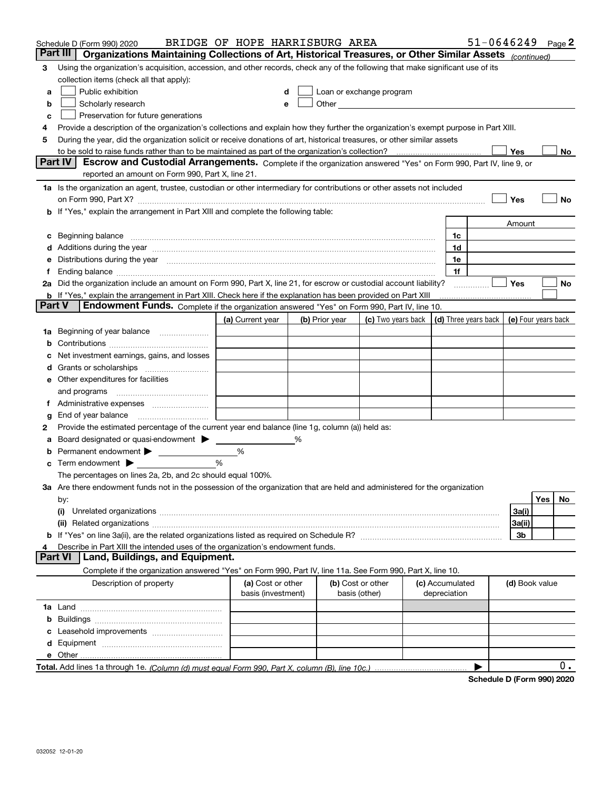|               | Schedule D (Form 990) 2020                                                                                                                                                                                                     | BRIDGE OF HOPE HARRISBURG AREA          |                |                                                                                                                                                                                                                                      |                 |              | $51 - 0646249$       |                     |     | Page 2 |
|---------------|--------------------------------------------------------------------------------------------------------------------------------------------------------------------------------------------------------------------------------|-----------------------------------------|----------------|--------------------------------------------------------------------------------------------------------------------------------------------------------------------------------------------------------------------------------------|-----------------|--------------|----------------------|---------------------|-----|--------|
|               | Part III<br>Organizations Maintaining Collections of Art, Historical Treasures, or Other Similar Assets (continued)                                                                                                            |                                         |                |                                                                                                                                                                                                                                      |                 |              |                      |                     |     |        |
| 3             | Using the organization's acquisition, accession, and other records, check any of the following that make significant use of its                                                                                                |                                         |                |                                                                                                                                                                                                                                      |                 |              |                      |                     |     |        |
|               | collection items (check all that apply):                                                                                                                                                                                       |                                         |                |                                                                                                                                                                                                                                      |                 |              |                      |                     |     |        |
| a             | Public exhibition                                                                                                                                                                                                              |                                         |                | Loan or exchange program                                                                                                                                                                                                             |                 |              |                      |                     |     |        |
| b             | Scholarly research                                                                                                                                                                                                             | e                                       |                | Other <u>with the contract of the contract of the contract of the contract of the contract of the contract of the contract of the contract of the contract of the contract of the contract of the contract of the contract of th</u> |                 |              |                      |                     |     |        |
| с             | Preservation for future generations                                                                                                                                                                                            |                                         |                |                                                                                                                                                                                                                                      |                 |              |                      |                     |     |        |
|               | Provide a description of the organization's collections and explain how they further the organization's exempt purpose in Part XIII.                                                                                           |                                         |                |                                                                                                                                                                                                                                      |                 |              |                      |                     |     |        |
| 5             | During the year, did the organization solicit or receive donations of art, historical treasures, or other similar assets                                                                                                       |                                         |                |                                                                                                                                                                                                                                      |                 |              |                      |                     |     |        |
|               | to be sold to raise funds rather than to be maintained as part of the organization's collection?                                                                                                                               |                                         |                |                                                                                                                                                                                                                                      |                 |              |                      | Yes                 |     | No     |
|               | <b>Part IV</b><br>Escrow and Custodial Arrangements. Complete if the organization answered "Yes" on Form 990, Part IV, line 9, or                                                                                              |                                         |                |                                                                                                                                                                                                                                      |                 |              |                      |                     |     |        |
|               | reported an amount on Form 990, Part X, line 21.                                                                                                                                                                               |                                         |                |                                                                                                                                                                                                                                      |                 |              |                      |                     |     |        |
|               | 1a Is the organization an agent, trustee, custodian or other intermediary for contributions or other assets not included                                                                                                       |                                         |                |                                                                                                                                                                                                                                      |                 |              |                      |                     |     |        |
|               | on Form 990, Part X? [11] matter contracts and contracts and contracts are contracted to the contract of the contract of the contract of the contract of the contract of the contract of the contract of the contract of the c |                                         |                |                                                                                                                                                                                                                                      |                 |              |                      | Yes                 |     | No     |
|               | b If "Yes," explain the arrangement in Part XIII and complete the following table:                                                                                                                                             |                                         |                |                                                                                                                                                                                                                                      |                 |              |                      |                     |     |        |
|               |                                                                                                                                                                                                                                |                                         |                |                                                                                                                                                                                                                                      |                 |              |                      | Amount              |     |        |
|               |                                                                                                                                                                                                                                |                                         |                |                                                                                                                                                                                                                                      |                 | 1c           |                      |                     |     |        |
|               |                                                                                                                                                                                                                                |                                         |                |                                                                                                                                                                                                                                      |                 | 1d           |                      |                     |     |        |
|               | e Distributions during the year manufactured and continuum and contact the year manufactured and contact the year manufactured and contact the year manufactured and contact the year manufactured and contact the year manufa |                                         |                |                                                                                                                                                                                                                                      |                 | 1e           |                      |                     |     |        |
|               |                                                                                                                                                                                                                                |                                         |                |                                                                                                                                                                                                                                      |                 | 1f           |                      |                     |     |        |
|               | 2a Did the organization include an amount on Form 990, Part X, line 21, for escrow or custodial account liability?                                                                                                             |                                         |                |                                                                                                                                                                                                                                      |                 |              |                      | Yes                 |     | No     |
| <b>Part V</b> | <b>b</b> If "Yes," explain the arrangement in Part XIII. Check here if the explanation has been provided on Part XIII<br>Endowment Funds. Complete if the organization answered "Yes" on Form 990, Part IV, line 10.           |                                         |                |                                                                                                                                                                                                                                      |                 |              |                      |                     |     |        |
|               |                                                                                                                                                                                                                                |                                         |                |                                                                                                                                                                                                                                      |                 |              |                      |                     |     |        |
|               |                                                                                                                                                                                                                                | (a) Current year                        | (b) Prior year | (c) Two years back                                                                                                                                                                                                                   |                 |              | (d) Three years back | (e) Four years back |     |        |
|               | 1a Beginning of year balance                                                                                                                                                                                                   |                                         |                |                                                                                                                                                                                                                                      |                 |              |                      |                     |     |        |
|               |                                                                                                                                                                                                                                |                                         |                |                                                                                                                                                                                                                                      |                 |              |                      |                     |     |        |
|               | Net investment earnings, gains, and losses                                                                                                                                                                                     |                                         |                |                                                                                                                                                                                                                                      |                 |              |                      |                     |     |        |
|               | e Other expenditures for facilities                                                                                                                                                                                            |                                         |                |                                                                                                                                                                                                                                      |                 |              |                      |                     |     |        |
|               |                                                                                                                                                                                                                                |                                         |                |                                                                                                                                                                                                                                      |                 |              |                      |                     |     |        |
|               | and programs                                                                                                                                                                                                                   |                                         |                |                                                                                                                                                                                                                                      |                 |              |                      |                     |     |        |
| Ť.            |                                                                                                                                                                                                                                |                                         |                |                                                                                                                                                                                                                                      |                 |              |                      |                     |     |        |
| g<br>2        | Provide the estimated percentage of the current year end balance (line 1g, column (a)) held as:                                                                                                                                |                                         |                |                                                                                                                                                                                                                                      |                 |              |                      |                     |     |        |
|               | Board designated or quasi-endowment                                                                                                                                                                                            |                                         | %              |                                                                                                                                                                                                                                      |                 |              |                      |                     |     |        |
|               | Permanent endowment > 1                                                                                                                                                                                                        | %                                       |                |                                                                                                                                                                                                                                      |                 |              |                      |                     |     |        |
|               | Term endowment $\blacktriangleright$                                                                                                                                                                                           | %                                       |                |                                                                                                                                                                                                                                      |                 |              |                      |                     |     |        |
|               | The percentages on lines 2a, 2b, and 2c should equal 100%.                                                                                                                                                                     |                                         |                |                                                                                                                                                                                                                                      |                 |              |                      |                     |     |        |
|               | 3a Are there endowment funds not in the possession of the organization that are held and administered for the organization                                                                                                     |                                         |                |                                                                                                                                                                                                                                      |                 |              |                      |                     |     |        |
|               | by:                                                                                                                                                                                                                            |                                         |                |                                                                                                                                                                                                                                      |                 |              |                      |                     | Yes | No     |
|               | (i)                                                                                                                                                                                                                            |                                         |                |                                                                                                                                                                                                                                      |                 |              |                      | 3a(i)               |     |        |
|               |                                                                                                                                                                                                                                |                                         |                |                                                                                                                                                                                                                                      |                 |              |                      | 3a(ii)              |     |        |
|               |                                                                                                                                                                                                                                |                                         |                |                                                                                                                                                                                                                                      |                 |              |                      | 3b                  |     |        |
|               | Describe in Part XIII the intended uses of the organization's endowment funds.                                                                                                                                                 |                                         |                |                                                                                                                                                                                                                                      |                 |              |                      |                     |     |        |
|               | Land, Buildings, and Equipment.<br><b>Part VI</b>                                                                                                                                                                              |                                         |                |                                                                                                                                                                                                                                      |                 |              |                      |                     |     |        |
|               | Complete if the organization answered "Yes" on Form 990, Part IV, line 11a. See Form 990, Part X, line 10.                                                                                                                     |                                         |                |                                                                                                                                                                                                                                      |                 |              |                      |                     |     |        |
|               | Description of property                                                                                                                                                                                                        | (a) Cost or other<br>basis (investment) |                | (b) Cost or other<br>basis (other)                                                                                                                                                                                                   | (c) Accumulated | depreciation |                      | (d) Book value      |     |        |
|               |                                                                                                                                                                                                                                |                                         |                |                                                                                                                                                                                                                                      |                 |              |                      |                     |     |        |
|               |                                                                                                                                                                                                                                |                                         |                |                                                                                                                                                                                                                                      |                 |              |                      |                     |     |        |
|               |                                                                                                                                                                                                                                |                                         |                |                                                                                                                                                                                                                                      |                 |              |                      |                     |     |        |
|               |                                                                                                                                                                                                                                |                                         |                |                                                                                                                                                                                                                                      |                 |              |                      |                     |     |        |
|               |                                                                                                                                                                                                                                |                                         |                |                                                                                                                                                                                                                                      |                 |              |                      |                     |     |        |
|               |                                                                                                                                                                                                                                |                                         |                |                                                                                                                                                                                                                                      |                 |              |                      |                     |     | 0.     |
|               |                                                                                                                                                                                                                                |                                         |                |                                                                                                                                                                                                                                      |                 |              |                      |                     |     |        |

**Schedule D (Form 990) 2020**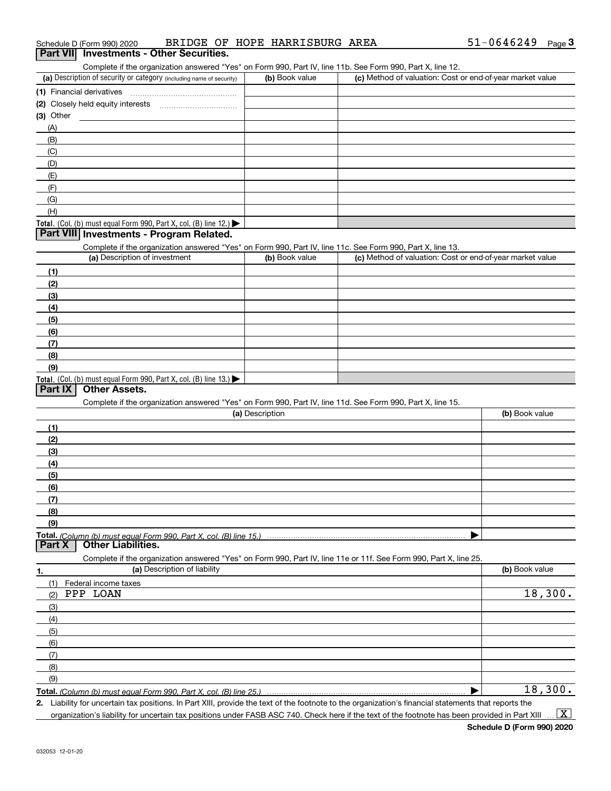| Schedule D (Form 990) 2020 |                                                 | BRIDGE OF HOPE HARRISBURG AREA | $51 - 0646249$ Page |  |
|----------------------------|-------------------------------------------------|--------------------------------|---------------------|--|
|                            | <b>Part VII</b> Investments - Other Securities. |                                |                     |  |

#### (a) Description of security or category (including name of security)  $\vert$  (b) Book value  $\vert$  (c) **(1)**Financial derivatives Complete if the organization answered "Yes" on Form 990, Part IV, line 11b. See Form 990, Part X, line 12. (b) Book value (c) Method of valuation: Cost or end-of-year market value

| (2) Closely held equity interests                                                      |  |
|----------------------------------------------------------------------------------------|--|
| (3) Other                                                                              |  |
| (A)                                                                                    |  |
| (B)                                                                                    |  |
| (C)                                                                                    |  |
| (D)                                                                                    |  |
| (E)                                                                                    |  |
| (F)                                                                                    |  |
| (G)                                                                                    |  |
| (H)                                                                                    |  |
| Total. (Col. (b) must equal Form 990, Part X, col. (B) line 12.) $\blacktriangleright$ |  |

#### **Part VIII Investments - Program Related.**

Complete if the organization answered "Yes" on Form 990, Part IV, line 11c. See Form 990, Part X, line 13.

| (a) Description of investment                                    | (b) Book value | (c) Method of valuation: Cost or end-of-year market value |
|------------------------------------------------------------------|----------------|-----------------------------------------------------------|
| (1)                                                              |                |                                                           |
| (2)                                                              |                |                                                           |
| $\frac{1}{2}$                                                    |                |                                                           |
| (4)                                                              |                |                                                           |
| $\left(5\right)$                                                 |                |                                                           |
| (6)                                                              |                |                                                           |
| (7)                                                              |                |                                                           |
| (8)                                                              |                |                                                           |
| (9)                                                              |                |                                                           |
| Total. (Col. (b) must equal Form 990, Part X, col. (B) line 13.) |                |                                                           |

#### **Part IX Other Assets.**

Complete if the organization answered "Yes" on Form 990, Part IV, line 11d. See Form 990, Part X, line 15.

| (a) Description                                                                                                   | (b) Book value |
|-------------------------------------------------------------------------------------------------------------------|----------------|
| (1)                                                                                                               |                |
| (2)                                                                                                               |                |
| (3)                                                                                                               |                |
| (4)                                                                                                               |                |
| (5)                                                                                                               |                |
| (6)                                                                                                               |                |
| (7)                                                                                                               |                |
| (8)                                                                                                               |                |
| (9)                                                                                                               |                |
| Total. (Column (b) must equal Form 990, Part X, col. (B) line 15.)                                                |                |
| <b>Other Liabilities.</b><br>Part X                                                                               |                |
| Complete if the organization answered "Yes" on Form 990, Part IV, line 11e or 11f. See Form 990, Part X, line 25. |                |
| (a) Description of liability<br>1.                                                                                | (b) Book value |
| Federal income taxes<br>(1)                                                                                       |                |

| (1)<br>Federal income taxes |         |
|-----------------------------|---------|
| PPP LOAN<br>(2)             | 18,300. |
| (3)                         |         |
| (4)                         |         |
| (5)                         |         |
| (6)                         |         |
| (7)                         |         |
| (8)                         |         |
| (9)                         |         |
|                             | 18,300. |

**Total.**  *(Column (b) must equal Form 990, Part X, col. (B) line 25.)*

**2.** Liability for uncertain tax positions. In Part XIII, provide the text of the footnote to the organization's financial statements that reports the organization's liability for uncertain tax positions under FASB ASC 740. Check here if the text of the footnote has been provided in Part XIII  $\vert$  X  $\vert$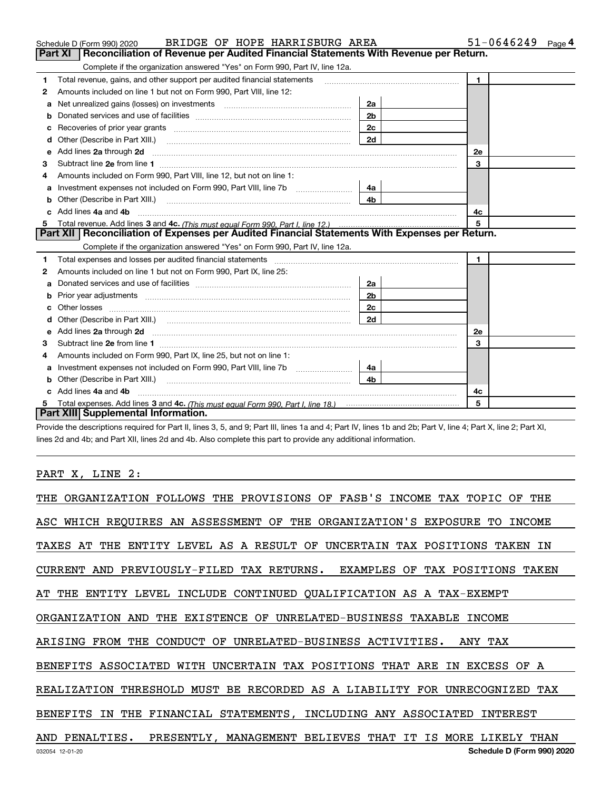|   | BRIDGE OF HOPE HARRISBURG AREA<br>Schedule D (Form 990) 2020                                                                                                                                                                                                                     |                | 51-0646249     | Page 4 |
|---|----------------------------------------------------------------------------------------------------------------------------------------------------------------------------------------------------------------------------------------------------------------------------------|----------------|----------------|--------|
|   | <b>Part XI</b><br>Reconciliation of Revenue per Audited Financial Statements With Revenue per Return.                                                                                                                                                                            |                |                |        |
|   | Complete if the organization answered "Yes" on Form 990, Part IV, line 12a.                                                                                                                                                                                                      |                |                |        |
| 1 | Total revenue, gains, and other support per audited financial statements                                                                                                                                                                                                         |                | $\mathbf{1}$   |        |
| 2 | Amounts included on line 1 but not on Form 990, Part VIII, line 12:                                                                                                                                                                                                              |                |                |        |
| a | Net unrealized gains (losses) on investments [11] matter contracts and the unrealized gains (losses) on investments                                                                                                                                                              | 2a             |                |        |
| b |                                                                                                                                                                                                                                                                                  | 2 <sub>b</sub> |                |        |
| с | Recoveries of prior year grants [11] matter contracts and prior year grants [11] matter contracts and prior year grants and prior year of the contracts and prior year of the contracts and prior year of the contracts and pr                                                   | 2c             |                |        |
| d |                                                                                                                                                                                                                                                                                  | 2d             |                |        |
| е | Add lines 2a through 2d                                                                                                                                                                                                                                                          |                | <b>2e</b>      |        |
| З |                                                                                                                                                                                                                                                                                  |                | 3              |        |
| 4 | Amounts included on Form 990, Part VIII, line 12, but not on line 1:                                                                                                                                                                                                             |                |                |        |
| a |                                                                                                                                                                                                                                                                                  | 4a             |                |        |
| b | Other (Describe in Part XIII.) <b>Construction Contract Construction</b> Chern Construction Construction Construction                                                                                                                                                            | 4 <sub>b</sub> |                |        |
|   | Add lines 4a and 4b                                                                                                                                                                                                                                                              |                | 4c             |        |
| 5 |                                                                                                                                                                                                                                                                                  |                | 5              |        |
|   |                                                                                                                                                                                                                                                                                  |                |                |        |
|   | Part XII   Reconciliation of Expenses per Audited Financial Statements With Expenses per Return.                                                                                                                                                                                 |                |                |        |
|   | Complete if the organization answered "Yes" on Form 990, Part IV, line 12a.                                                                                                                                                                                                      |                |                |        |
| 1 | Total expenses and losses per audited financial statements [11] [12] manuscription control expenses and losses per audited financial statements [11] [12] manuscription of the statements [12] manuscription of the statements                                                   |                | $\blacksquare$ |        |
| 2 | Amounts included on line 1 but not on Form 990, Part IX, line 25:                                                                                                                                                                                                                |                |                |        |
| a |                                                                                                                                                                                                                                                                                  | 2a             |                |        |
| b | Prior year adjustments entitled and the control of the control of the control of the control of the control of                                                                                                                                                                   | 2 <sub>b</sub> |                |        |
| C |                                                                                                                                                                                                                                                                                  | 2c             |                |        |
|   |                                                                                                                                                                                                                                                                                  | 2d             |                |        |
| e |                                                                                                                                                                                                                                                                                  |                | 2e             |        |
| 3 | Add lines 2a through 2d <b>[10]</b> [20] <b>All (20)</b> [20] [20] <b>All (20)</b> [30] <b>All (20)</b> [30] <b>All (20)</b> [30] <b>All (20)</b> [30] <b>All (20)</b> [30] <b>All (20)</b> [30] <b>All (20)</b> [30] <b>All (20)</b> [30] <b>All (20) All (20) All (20) All</b> |                | 3              |        |
| 4 | Amounts included on Form 990, Part IX, line 25, but not on line 1:                                                                                                                                                                                                               |                |                |        |
| a |                                                                                                                                                                                                                                                                                  | 4a             |                |        |
| b | Other (Describe in Part XIII.) <b>Construction Contract Construction</b> Chern Construction Construction Construction                                                                                                                                                            | 4 <sub>b</sub> |                |        |
|   | Add lines 4a and 4b                                                                                                                                                                                                                                                              |                | 4c             |        |
| 5 | Part XIII Supplemental Information.                                                                                                                                                                                                                                              |                | 5              |        |

Provide the descriptions required for Part II, lines 3, 5, and 9; Part III, lines 1a and 4; Part IV, lines 1b and 2b; Part V, line 4; Part X, line 2; Part XI, lines 2d and 4b; and Part XII, lines 2d and 4b. Also complete this part to provide any additional information.

## PART X, LINE 2:

| THE ORGANIZATION FOLLOWS THE PROVISIONS OF FASB'S INCOME TAX TOPIC OF THE  |
|----------------------------------------------------------------------------|
| ASC WHICH REQUIRES AN ASSESSMENT OF THE ORGANIZATION'S EXPOSURE TO INCOME  |
| TAXES AT THE ENTITY LEVEL AS A RESULT OF UNCERTAIN TAX POSITIONS TAKEN IN  |
| CURRENT AND PREVIOUSLY-FILED TAX RETURNS. EXAMPLES OF TAX POSITIONS TAKEN  |
| AT THE ENTITY LEVEL INCLUDE CONTINUED QUALIFICATION AS A TAX-EXEMPT        |
| ORGANIZATION AND THE EXISTENCE OF UNRELATED-BUSINESS TAXABLE INCOME        |
| ARISING FROM THE CONDUCT OF UNRELATED-BUSINESS ACTIVITIES. ANY TAX         |
| BENEFITS ASSOCIATED WITH UNCERTAIN TAX POSITIONS THAT ARE IN EXCESS OF A   |
| REALIZATION THRESHOLD MUST BE RECORDED AS A LIABILITY FOR UNRECOGNIZED TAX |
| BENEFITS IN THE FINANCIAL STATEMENTS, INCLUDING ANY ASSOCIATED INTEREST    |
| AND PENALTIES. PRESENTLY, MANAGEMENT BELIEVES THAT IT IS MORE LIKELY THAN  |
| Schedule D (Form 990) 2020<br>032054 12-01-20                              |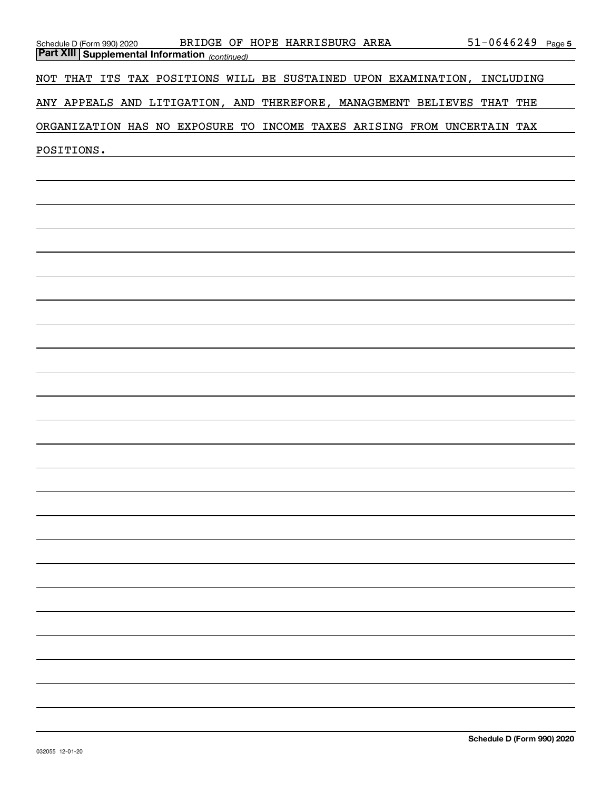| BRIDGE OF HOPE HARRISBURG AREA<br>Schedule D (Form 990) 2020             | $51 - 0646249$ Page 5 |  |
|--------------------------------------------------------------------------|-----------------------|--|
| <b>Part XIII   Supplemental Information</b> (continued)                  |                       |  |
| NOT THAT ITS TAX POSITIONS WILL BE SUSTAINED UPON EXAMINATION, INCLUDING |                       |  |
| ANY APPEALS AND LITIGATION, AND THEREFORE, MANAGEMENT BELIEVES THAT THE  |                       |  |
| ORGANIZATION HAS NO EXPOSURE TO INCOME TAXES ARISING FROM UNCERTAIN TAX  |                       |  |
| POSITIONS.                                                               |                       |  |
|                                                                          |                       |  |
|                                                                          |                       |  |
|                                                                          |                       |  |
|                                                                          |                       |  |
|                                                                          |                       |  |
|                                                                          |                       |  |
|                                                                          |                       |  |
|                                                                          |                       |  |
|                                                                          |                       |  |
|                                                                          |                       |  |
|                                                                          |                       |  |
|                                                                          |                       |  |
|                                                                          |                       |  |
|                                                                          |                       |  |
|                                                                          |                       |  |
|                                                                          |                       |  |
|                                                                          |                       |  |
|                                                                          |                       |  |
|                                                                          |                       |  |
|                                                                          |                       |  |
|                                                                          |                       |  |
|                                                                          |                       |  |
|                                                                          |                       |  |
|                                                                          |                       |  |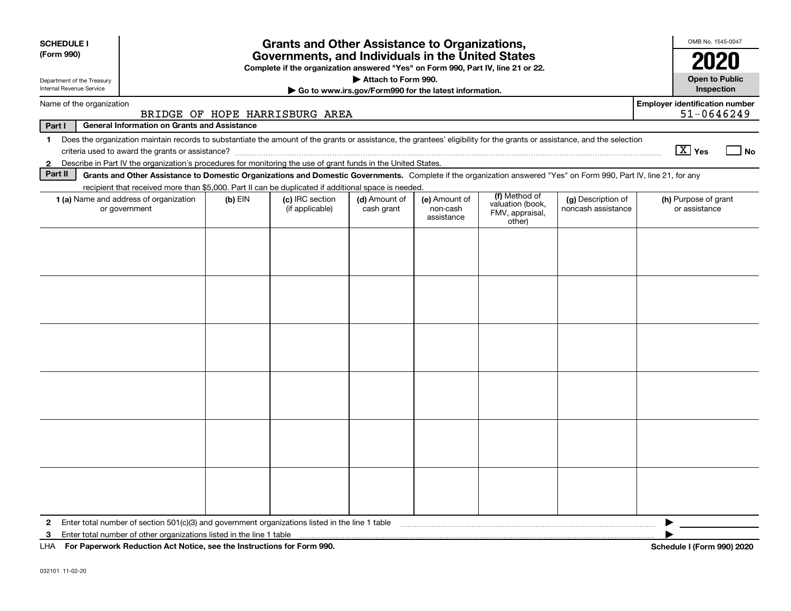| <b>SCHEDULE I</b><br>(Form 990)                        |                                                                                                                                                                          |           | <b>Grants and Other Assistance to Organizations,</b><br>Governments, and Individuals in the United States<br>Complete if the organization answered "Yes" on Form 990, Part IV, line 21 or 22. |                             |                                                       |                                               |                                          | OMB No. 1545-0047<br>2020                           |
|--------------------------------------------------------|--------------------------------------------------------------------------------------------------------------------------------------------------------------------------|-----------|-----------------------------------------------------------------------------------------------------------------------------------------------------------------------------------------------|-----------------------------|-------------------------------------------------------|-----------------------------------------------|------------------------------------------|-----------------------------------------------------|
| Department of the Treasury<br>Internal Revenue Service |                                                                                                                                                                          |           |                                                                                                                                                                                               | Attach to Form 990.         | Go to www.irs.gov/Form990 for the latest information. |                                               |                                          | <b>Open to Public</b><br><b>Inspection</b>          |
| Name of the organization                               |                                                                                                                                                                          |           | BRIDGE OF HOPE HARRISBURG AREA                                                                                                                                                                |                             |                                                       |                                               |                                          | <b>Employer identification number</b><br>51-0646249 |
| Part I                                                 | <b>General Information on Grants and Assistance</b>                                                                                                                      |           |                                                                                                                                                                                               |                             |                                                       |                                               |                                          |                                                     |
| $\mathbf{1}$                                           | Does the organization maintain records to substantiate the amount of the grants or assistance, the grantees' eligibility for the grants or assistance, and the selection |           |                                                                                                                                                                                               |                             |                                                       |                                               |                                          | $\boxed{\text{X}}$ Yes<br>No                        |
| $\mathbf{2}$                                           | Describe in Part IV the organization's procedures for monitoring the use of grant funds in the United States.                                                            |           |                                                                                                                                                                                               |                             |                                                       |                                               |                                          |                                                     |
| Part II                                                | Grants and Other Assistance to Domestic Organizations and Domestic Governments. Complete if the organization answered "Yes" on Form 990, Part IV, line 21, for any       |           |                                                                                                                                                                                               |                             |                                                       |                                               |                                          |                                                     |
|                                                        | recipient that received more than \$5,000. Part II can be duplicated if additional space is needed.                                                                      |           |                                                                                                                                                                                               |                             |                                                       | (f) Method of                                 |                                          |                                                     |
|                                                        | 1 (a) Name and address of organization<br>or government                                                                                                                  | $(b)$ EIN | (c) IRC section<br>(if applicable)                                                                                                                                                            | (d) Amount of<br>cash grant | (e) Amount of<br>non-cash<br>assistance               | valuation (book,<br>FMV, appraisal,<br>other) | (g) Description of<br>noncash assistance | (h) Purpose of grant<br>or assistance               |
|                                                        |                                                                                                                                                                          |           |                                                                                                                                                                                               |                             |                                                       |                                               |                                          |                                                     |
|                                                        |                                                                                                                                                                          |           |                                                                                                                                                                                               |                             |                                                       |                                               |                                          |                                                     |
|                                                        |                                                                                                                                                                          |           |                                                                                                                                                                                               |                             |                                                       |                                               |                                          |                                                     |
|                                                        |                                                                                                                                                                          |           |                                                                                                                                                                                               |                             |                                                       |                                               |                                          |                                                     |
| $\mathbf{2}$                                           | Enter total number of section 501(c)(3) and government organizations listed in the line 1 table                                                                          |           |                                                                                                                                                                                               |                             |                                                       |                                               |                                          |                                                     |
| 3                                                      | Enter total number of other organizations listed in the line 1 table                                                                                                     |           |                                                                                                                                                                                               |                             |                                                       |                                               |                                          |                                                     |
|                                                        | LHA For Paperwork Reduction Act Notice, see the Instructions for Form 990.                                                                                               |           |                                                                                                                                                                                               |                             |                                                       |                                               |                                          | Schedule I (Form 990) 2020                          |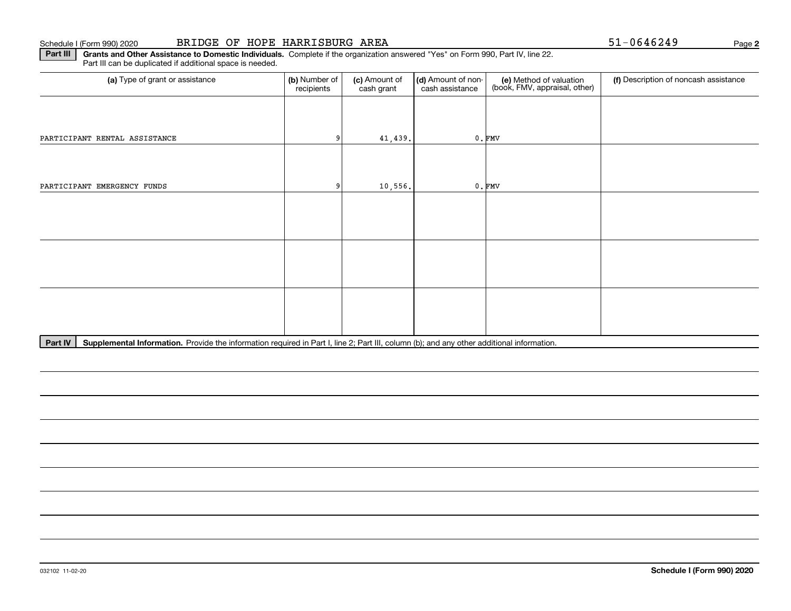**2**

**Part III** | Grants and Other Assistance to Domestic Individuals. Complete if the organization answered "Yes" on Form 990, Part IV, line 22. Part III can be duplicated if additional space is needed.

| (a) Type of grant or assistance | (b) Number of<br>recipients | (c) Amount of<br>cash grant | (d) Amount of non-<br>cash assistance | (e) Method of valuation<br>(book, FMV, appraisal, other) | (f) Description of noncash assistance |
|---------------------------------|-----------------------------|-----------------------------|---------------------------------------|----------------------------------------------------------|---------------------------------------|
|                                 |                             |                             |                                       |                                                          |                                       |
| PARTICIPANT RENTAL ASSISTANCE   | 9                           | 41,439.                     |                                       | $0.$ FMV                                                 |                                       |
|                                 |                             |                             |                                       |                                                          |                                       |
| PARTICIPANT EMERGENCY FUNDS     |                             | 10,556.                     |                                       | $0.$ FMV                                                 |                                       |
|                                 |                             |                             |                                       |                                                          |                                       |
|                                 |                             |                             |                                       |                                                          |                                       |
|                                 |                             |                             |                                       |                                                          |                                       |
|                                 |                             |                             |                                       |                                                          |                                       |
|                                 |                             |                             |                                       |                                                          |                                       |
|                                 |                             |                             |                                       |                                                          |                                       |

Part IV | Supplemental Information. Provide the information required in Part I, line 2; Part III, column (b); and any other additional information.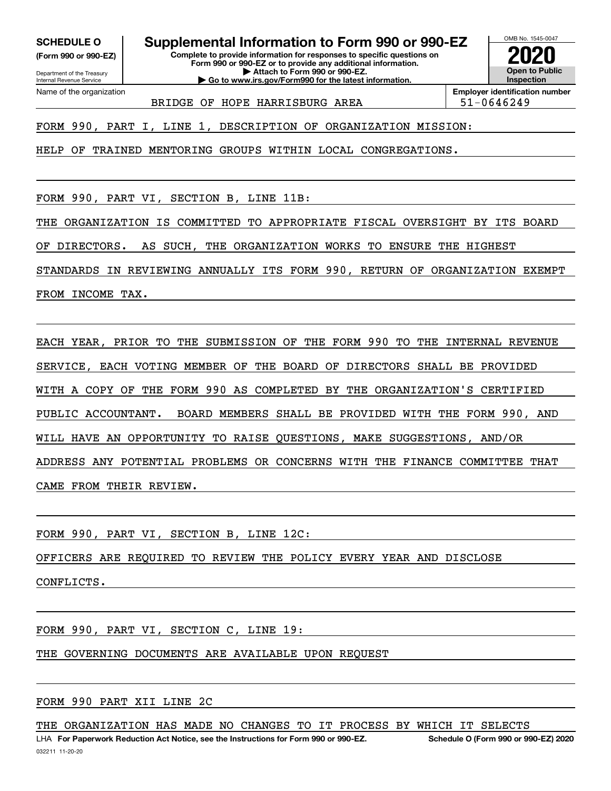**(Form 990 or 990-EZ)**

Department of the Treasury Internal Revenue Service Name of the organization

**SCHEDULE O Supplemental Information to Form 990 or 990-EZ**

**Complete to provide information for responses to specific questions on Form 990 or 990-EZ or to provide any additional information. | Attach to Form 990 or 990-EZ. | Go to www.irs.gov/Form990 for the latest information.**



BRIDGE OF HOPE HARRISBURG AREA  $\vert$  51-0646249

**Employer identification number**

FORM 990, PART I, LINE 1, DESCRIPTION OF ORGANIZATION MISSION:

HELP OF TRAINED MENTORING GROUPS WITHIN LOCAL CONGREGATIONS.

FORM 990, PART VI, SECTION B, LINE 11B:

THE ORGANIZATION IS COMMITTED TO APPROPRIATE FISCAL OVERSIGHT BY ITS BOARD

OF DIRECTORS. AS SUCH, THE ORGANIZATION WORKS TO ENSURE THE HIGHEST

STANDARDS IN REVIEWING ANNUALLY ITS FORM 990, RETURN OF ORGANIZATION EXEMPT

FROM INCOME TAX.

EACH YEAR, PRIOR TO THE SUBMISSION OF THE FORM 990 TO THE INTERNAL REVENUE SERVICE, EACH VOTING MEMBER OF THE BOARD OF DIRECTORS SHALL BE PROVIDED WITH A COPY OF THE FORM 990 AS COMPLETED BY THE ORGANIZATION'S CERTIFIED PUBLIC ACCOUNTANT. BOARD MEMBERS SHALL BE PROVIDED WITH THE FORM 990, AND WILL HAVE AN OPPORTUNITY TO RAISE QUESTIONS, MAKE SUGGESTIONS, AND/OR ADDRESS ANY POTENTIAL PROBLEMS OR CONCERNS WITH THE FINANCE COMMITTEE THAT CAME FROM THEIR REVIEW.

FORM 990, PART VI, SECTION B, LINE 12C:

OFFICERS ARE REQUIRED TO REVIEW THE POLICY EVERY YEAR AND DISCLOSE

CONFLICTS.

FORM 990, PART VI, SECTION C, LINE 19:

THE GOVERNING DOCUMENTS ARE AVAILABLE UPON REQUEST

FORM 990 PART XII LINE 2C

THE ORGANIZATION HAS MADE NO CHANGES TO IT PROCESS BY WHICH IT SELECTS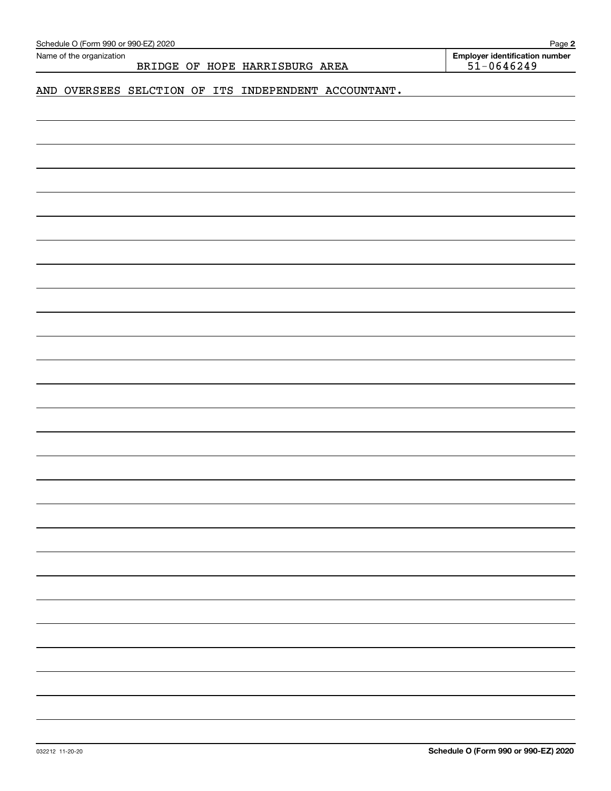| Schedule O (Form 990 or 990-EZ) 2020<br>Name of the organization |  |                                |                                                      | Page 2<br><b>Employer identification number</b> |
|------------------------------------------------------------------|--|--------------------------------|------------------------------------------------------|-------------------------------------------------|
|                                                                  |  | BRIDGE OF HOPE HARRISBURG AREA |                                                      | $51 - 0646249$                                  |
|                                                                  |  |                                |                                                      |                                                 |
|                                                                  |  |                                | AND OVERSEES SELCTION OF ITS INDEPENDENT ACCOUNTANT. |                                                 |
|                                                                  |  |                                |                                                      |                                                 |
|                                                                  |  |                                |                                                      |                                                 |
|                                                                  |  |                                |                                                      |                                                 |
|                                                                  |  |                                |                                                      |                                                 |
|                                                                  |  |                                |                                                      |                                                 |
|                                                                  |  |                                |                                                      |                                                 |
|                                                                  |  |                                |                                                      |                                                 |
|                                                                  |  |                                |                                                      |                                                 |
|                                                                  |  |                                |                                                      |                                                 |
|                                                                  |  |                                |                                                      |                                                 |
|                                                                  |  |                                |                                                      |                                                 |
|                                                                  |  |                                |                                                      |                                                 |
|                                                                  |  |                                |                                                      |                                                 |
|                                                                  |  |                                |                                                      |                                                 |
|                                                                  |  |                                |                                                      |                                                 |
|                                                                  |  |                                |                                                      |                                                 |
|                                                                  |  |                                |                                                      |                                                 |
|                                                                  |  |                                |                                                      |                                                 |
|                                                                  |  |                                |                                                      |                                                 |
|                                                                  |  |                                |                                                      |                                                 |
|                                                                  |  |                                |                                                      |                                                 |
|                                                                  |  |                                |                                                      |                                                 |
|                                                                  |  |                                |                                                      |                                                 |
|                                                                  |  |                                |                                                      |                                                 |
|                                                                  |  |                                |                                                      |                                                 |
|                                                                  |  |                                |                                                      |                                                 |
|                                                                  |  |                                |                                                      |                                                 |
|                                                                  |  |                                |                                                      |                                                 |
|                                                                  |  |                                |                                                      |                                                 |
|                                                                  |  |                                |                                                      |                                                 |
|                                                                  |  |                                |                                                      |                                                 |
|                                                                  |  |                                |                                                      |                                                 |
|                                                                  |  |                                |                                                      |                                                 |
|                                                                  |  |                                |                                                      |                                                 |
|                                                                  |  |                                |                                                      |                                                 |
|                                                                  |  |                                |                                                      |                                                 |
|                                                                  |  |                                |                                                      |                                                 |
|                                                                  |  |                                |                                                      |                                                 |
|                                                                  |  |                                |                                                      |                                                 |
|                                                                  |  |                                |                                                      |                                                 |
|                                                                  |  |                                |                                                      |                                                 |
|                                                                  |  |                                |                                                      |                                                 |
|                                                                  |  |                                |                                                      |                                                 |
|                                                                  |  |                                |                                                      |                                                 |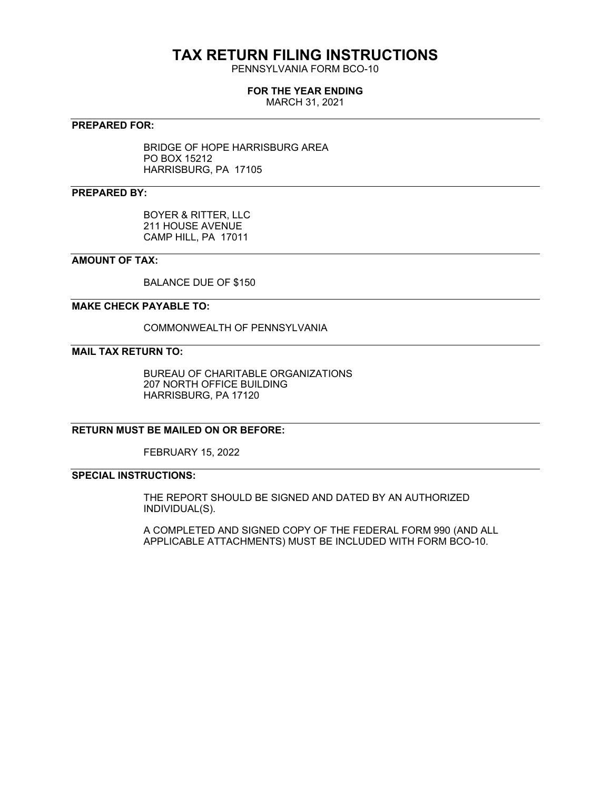## **TAX RETURN FILING INSTRUCTIONS**

PENNSYLVANIA FORM BCO-10

#### **FOR THE YEAR ENDING**

MARCH 31, 2021

#### **PREPARED FOR:**

BRIDGE OF HOPE HARRISBURG AREA PO BOX 15212 HARRISBURG, PA 17105

#### **PREPARED BY:**

BOYER & RITTER, LLC 211 HOUSE AVENUE CAMP HILL, PA 17011

#### **AMOUNT OF TAX:**

BALANCE DUE OF \$150

#### **MAKE CHECK PAYABLE TO:**

COMMONWEALTH OF PENNSYLVANIA

#### **MAIL TAX RETURN TO:**

BUREAU OF CHARITABLE ORGANIZATIONS 207 NORTH OFFICE BUILDING HARRISBURG, PA 17120

#### **RETURN MUST BE MAILED ON OR BEFORE:**

FEBRUARY 15, 2022

#### **SPECIAL INSTRUCTIONS:**

THE REPORT SHOULD BE SIGNED AND DATED BY AN AUTHORIZED INDIVIDUAL(S).

A COMPLETED AND SIGNED COPY OF THE FEDERAL FORM 990 (AND ALL APPLICABLE ATTACHMENTS) MUST BE INCLUDED WITH FORM BCO-10.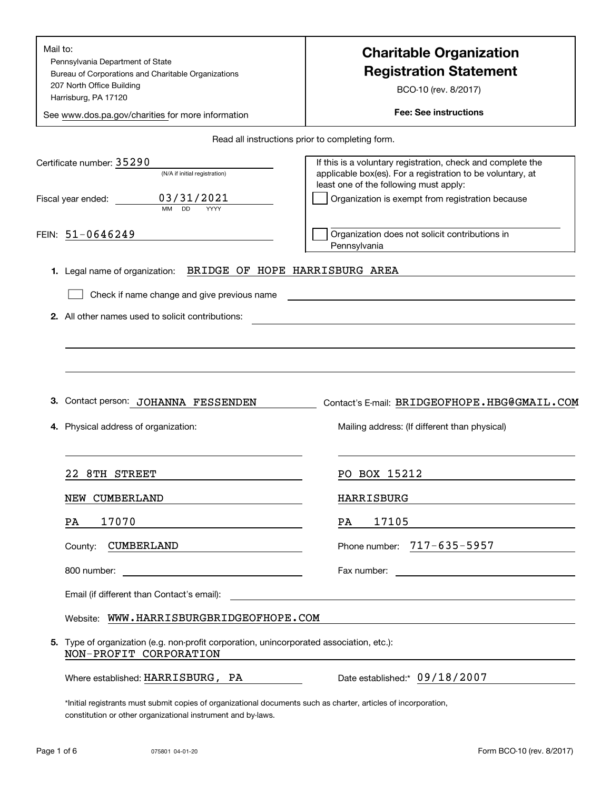| Mail to:<br>Pennsylvania Department of State<br>Bureau of Corporations and Charitable Organizations<br>207 North Office Building<br>Harrisburg, PA 17120<br>See www.dos.pa.gov/charities for more information | <b>Charitable Organization</b><br><b>Registration Statement</b><br>BCO-10 (rev. 8/2017)<br><b>Fee: See instructions</b>                                                                                                 |
|---------------------------------------------------------------------------------------------------------------------------------------------------------------------------------------------------------------|-------------------------------------------------------------------------------------------------------------------------------------------------------------------------------------------------------------------------|
|                                                                                                                                                                                                               | Read all instructions prior to completing form.                                                                                                                                                                         |
| Certificate number: 35290<br>(N/A if initial registration)<br>03/31/2021<br>Fiscal year ended:                                                                                                                | If this is a voluntary registration, check and complete the<br>applicable box(es). For a registration to be voluntary, at<br>least one of the following must apply:<br>Organization is exempt from registration because |
| FEIN: 51-0646249                                                                                                                                                                                              | Organization does not solicit contributions in<br>Pennsylvania                                                                                                                                                          |
| BRIDGE OF HOPE HARRISBURG AREA<br>1. Legal name of organization:                                                                                                                                              |                                                                                                                                                                                                                         |
| Check if name change and give previous name<br>2. All other names used to solicit contributions:                                                                                                              |                                                                                                                                                                                                                         |
| з.<br>Contact person: JOHANNA FESSENDEN<br>4. Physical address of organization:                                                                                                                               | Contact's E-mail: BRIDGEOFHOPE.HBG@GMAIL.COM<br>Mailing address: (If different than physical)                                                                                                                           |
| 8TH STREET<br>22.                                                                                                                                                                                             | PO BOX 15212                                                                                                                                                                                                            |
| <b>CUMBERLAND</b><br>NEW                                                                                                                                                                                      | HARRISBURG                                                                                                                                                                                                              |
| 17070<br>PA                                                                                                                                                                                                   | 17105<br>PA                                                                                                                                                                                                             |
| CUMBERLAND<br>County:                                                                                                                                                                                         | Phone number: $717 - 635 - 5957$                                                                                                                                                                                        |
| 800 number:<br><u> 1989 - John Stein, Amerikaansk politiker (</u>                                                                                                                                             | Fax number:<br><u> 1980 - Johann Barn, mars ann an t-Amhainn an t-Amhainn an t-Amhainn an t-Amhainn an t-Amhainn an t-Amhainn an</u>                                                                                    |
| Email (if different than Contact's email):                                                                                                                                                                    |                                                                                                                                                                                                                         |
| Website: WWW.HARRISBURGBRIDGEOFHOPE.COM                                                                                                                                                                       |                                                                                                                                                                                                                         |
| 5. Type of organization (e.g. non-profit corporation, unincorporated association, etc.):<br>NON-PROFIT CORPORATION                                                                                            |                                                                                                                                                                                                                         |
| Where established: HARRISBURG, PA                                                                                                                                                                             | Date established:* 09/18/2007                                                                                                                                                                                           |
| *Initial registrants must submit copies of organizational documents such as charter, articles of incorporation,<br>constitution or other organizational instrument and by-laws.                               |                                                                                                                                                                                                                         |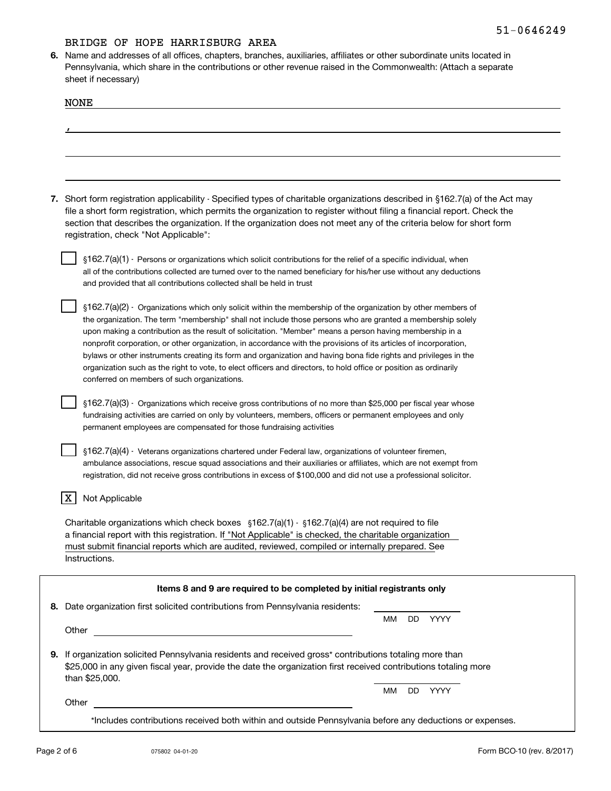**6.**Name and addresses of all offices, chapters, branches, auxiliaries, affiliates or other subordinate units located in Pennsylvania, which share in the contributions or other revenue raised in the Commonwealth: (Attach a separate sheet if necessary)

| <b>NONE</b>                                                                                                                                                                                                                                                                                                                                                                                                                                                                                                                                                                                                                                                                                                                                           |  |
|-------------------------------------------------------------------------------------------------------------------------------------------------------------------------------------------------------------------------------------------------------------------------------------------------------------------------------------------------------------------------------------------------------------------------------------------------------------------------------------------------------------------------------------------------------------------------------------------------------------------------------------------------------------------------------------------------------------------------------------------------------|--|
|                                                                                                                                                                                                                                                                                                                                                                                                                                                                                                                                                                                                                                                                                                                                                       |  |
|                                                                                                                                                                                                                                                                                                                                                                                                                                                                                                                                                                                                                                                                                                                                                       |  |
|                                                                                                                                                                                                                                                                                                                                                                                                                                                                                                                                                                                                                                                                                                                                                       |  |
|                                                                                                                                                                                                                                                                                                                                                                                                                                                                                                                                                                                                                                                                                                                                                       |  |
| 7. Short form registration applicability - Specified types of charitable organizations described in §162.7(a) of the Act may<br>file a short form registration, which permits the organization to register without filing a financial report. Check the<br>section that describes the organization. If the organization does not meet any of the criteria below for short form<br>registration, check "Not Applicable":                                                                                                                                                                                                                                                                                                                               |  |
| §162.7(a)(1) - Persons or organizations which solicit contributions for the relief of a specific individual, when                                                                                                                                                                                                                                                                                                                                                                                                                                                                                                                                                                                                                                     |  |
| all of the contributions collected are turned over to the named beneficiary for his/her use without any deductions<br>and provided that all contributions collected shall be held in trust                                                                                                                                                                                                                                                                                                                                                                                                                                                                                                                                                            |  |
| §162.7(a)(2) - Organizations which only solicit within the membership of the organization by other members of<br>the organization. The term "membership" shall not include those persons who are granted a membership solely<br>upon making a contribution as the result of solicitation. "Member" means a person having membership in a<br>nonprofit corporation, or other organization, in accordance with the provisions of its articles of incorporation,<br>bylaws or other instruments creating its form and organization and having bona fide rights and privileges in the<br>organization such as the right to vote, to elect officers and directors, to hold office or position as ordinarily<br>conferred on members of such organizations. |  |
| §162.7(a)(3) - Organizations which receive gross contributions of no more than \$25,000 per fiscal year whose<br>fundraising activities are carried on only by volunteers, members, officers or permanent employees and only<br>permanent employees are compensated for those fundraising activities                                                                                                                                                                                                                                                                                                                                                                                                                                                  |  |
| §162.7(a)(4) - Veterans organizations chartered under Federal law, organizations of volunteer firemen,<br>ambulance associations, rescue squad associations and their auxiliaries or affiliates, which are not exempt from<br>registration, did not receive gross contributions in excess of \$100,000 and did not use a professional solicitor.                                                                                                                                                                                                                                                                                                                                                                                                      |  |
| Not Applicable                                                                                                                                                                                                                                                                                                                                                                                                                                                                                                                                                                                                                                                                                                                                        |  |
| Charitable organizations which check boxes $\S162.7(a)(1)$ · $\S162.7(a)(4)$ are not required to file<br>a financial report with this registration. If "Not Applicable" is checked, the charitable organization<br>must submit financial reports which are audited, reviewed, compiled or internally prepared. See<br>Instructions.                                                                                                                                                                                                                                                                                                                                                                                                                   |  |
| Items 8 and 9 are required to be completed by initial registrants only                                                                                                                                                                                                                                                                                                                                                                                                                                                                                                                                                                                                                                                                                |  |
| 8. Date organization first solicited contributions from Pennsylvania residents:                                                                                                                                                                                                                                                                                                                                                                                                                                                                                                                                                                                                                                                                       |  |
| DD.<br>YYYY<br>MМ<br>Other<br><u> 1989 - Andrea Andrew Maria (h. 1989).</u>                                                                                                                                                                                                                                                                                                                                                                                                                                                                                                                                                                                                                                                                           |  |
| 9. If organization solicited Pennsylvania residents and received gross* contributions totaling more than<br>\$25,000 in any given fiscal year, provide the date the organization first received contributions totaling more<br>than \$25,000.                                                                                                                                                                                                                                                                                                                                                                                                                                                                                                         |  |
| MМ<br>DD YYYY<br>Other                                                                                                                                                                                                                                                                                                                                                                                                                                                                                                                                                                                                                                                                                                                                |  |
| *Includes contributions received both within and outside Pennsylvania before any deductions or expenses.                                                                                                                                                                                                                                                                                                                                                                                                                                                                                                                                                                                                                                              |  |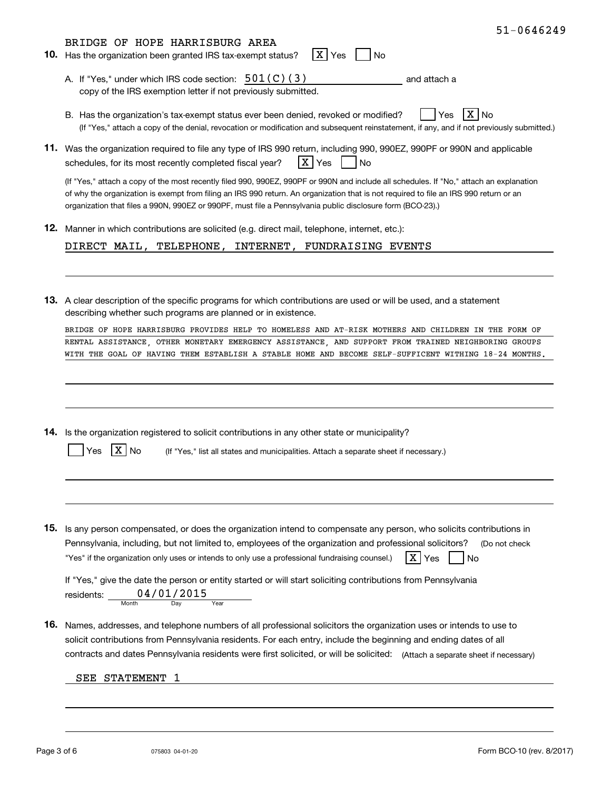| $51 - 0646249$                                                                                                                                                                                                                                                                                                                                                                                 |
|------------------------------------------------------------------------------------------------------------------------------------------------------------------------------------------------------------------------------------------------------------------------------------------------------------------------------------------------------------------------------------------------|
| BRIDGE OF HOPE HARRISBURG AREA<br>X Yes<br><b>10.</b> Has the organization been granted IRS tax-exempt status?<br>No                                                                                                                                                                                                                                                                           |
| A. If "Yes," under which IRS code section: $501(C)(3)$<br>and attach a<br>copy of the IRS exemption letter if not previously submitted.                                                                                                                                                                                                                                                        |
| Yes<br>B. Has the organization's tax-exempt status ever been denied, revoked or modified?<br>No<br>(If "Yes," attach a copy of the denial, revocation or modification and subsequent reinstatement, if any, and if not previously submitted.)                                                                                                                                                  |
| 11. Was the organization required to file any type of IRS 990 return, including 990, 990EZ, 990PF or 990N and applicable<br>X Yes<br>schedules, for its most recently completed fiscal year?<br><b>No</b>                                                                                                                                                                                      |
| (If "Yes," attach a copy of the most recently filed 990, 990EZ, 990PF or 990N and include all schedules. If "No," attach an explanation<br>of why the organization is exempt from filing an IRS 990 return. An organization that is not required to file an IRS 990 return or an<br>organization that files a 990N, 990EZ or 990PF, must file a Pennsylvania public disclosure form (BCO-23).) |
| 12. Manner in which contributions are solicited (e.g. direct mail, telephone, internet, etc.):                                                                                                                                                                                                                                                                                                 |
| DIRECT MAIL, TELEPHONE, INTERNET, FUNDRAISING EVENTS                                                                                                                                                                                                                                                                                                                                           |
|                                                                                                                                                                                                                                                                                                                                                                                                |
| 13. A clear description of the specific programs for which contributions are used or will be used, and a statement<br>describing whether such programs are planned or in existence.                                                                                                                                                                                                            |
| BRIDGE OF HOPE HARRISBURG PROVIDES HELP TO HOMELESS AND AT-RISK MOTHERS AND CHILDREN IN THE FORM OF                                                                                                                                                                                                                                                                                            |
| RENTAL ASSISTANCE, OTHER MONETARY EMERGENCY ASSISTANCE, AND SUPPORT FROM TRAINED NEIGHBORING GROUPS<br>WITH THE GOAL OF HAVING THEM ESTABLISH A STABLE HOME AND BECOME SELF-SUFFICENT WITHING 18-24 MONTHS.                                                                                                                                                                                    |
| 14. Is the organization registered to solicit contributions in any other state or municipality?<br>No<br>(If "Yes," list all states and municipalities. Attach a separate sheet if necessary.)                                                                                                                                                                                                 |
|                                                                                                                                                                                                                                                                                                                                                                                                |
| <b>15.</b> Is any person compensated, or does the organization intend to compensate any person, who solicits contributions in                                                                                                                                                                                                                                                                  |
| Pennsylvania, including, but not limited to, employees of the organization and professional solicitors?<br>(Do not check<br>X Yes<br>"Yes" if the organization only uses or intends to only use a professional fundraising counsel.)<br><b>No</b>                                                                                                                                              |
| If "Yes," give the date the person or entity started or will start soliciting contributions from Pennsylvania<br>residents: $\underbrace{04/01/2015}_{\text{Month}}$<br>Year                                                                                                                                                                                                                   |
| <b>16.</b> Names, addresses, and telephone numbers of all professional solicitors the organization uses or intends to use to<br>solicit contributions from Pennsylvania residents. For each entry, include the beginning and ending dates of all<br>contracts and dates Pennsylvania residents were first solicited, or will be solicited: (Attach a separate sheet if necessary)              |
| SEE STATEMENT<br>1                                                                                                                                                                                                                                                                                                                                                                             |
|                                                                                                                                                                                                                                                                                                                                                                                                |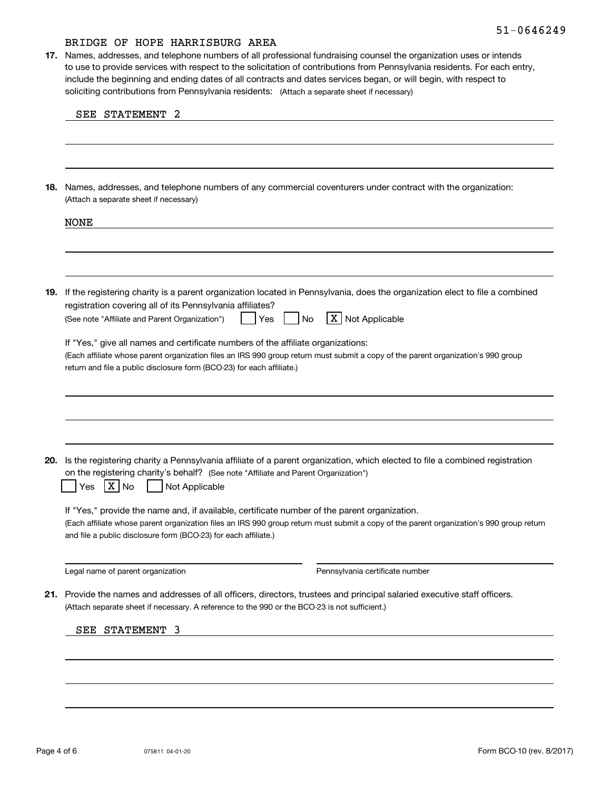soliciting contributions from Pennsylvania residents: (Attach a separate sheet if necessary) **17.** Names, addresses, and telephone numbers of all professional fundraising counsel the organization uses or intends to use to provide services with respect to the solicitation of contributions from Pennsylvania residents. For each entry, include the beginning and ending dates of all contracts and dates services began, or will begin, with respect to

| 18. | Names, addresses, and telephone numbers of any commercial coventurers under contract with the organization:<br>(Attach a separate sheet if necessary)                                                                                                                                                       |
|-----|-------------------------------------------------------------------------------------------------------------------------------------------------------------------------------------------------------------------------------------------------------------------------------------------------------------|
|     | <b>NONE</b>                                                                                                                                                                                                                                                                                                 |
|     |                                                                                                                                                                                                                                                                                                             |
| 19. | If the registering charity is a parent organization located in Pennsylvania, does the organization elect to file a combined<br>registration covering all of its Pennsylvania affiliates?                                                                                                                    |
|     | X Not Applicable<br>(See note "Affiliate and Parent Organization")<br>No<br>Yes                                                                                                                                                                                                                             |
|     | If "Yes," give all names and certificate numbers of the affiliate organizations:<br>(Each affiliate whose parent organization files an IRS 990 group return must submit a copy of the parent organization's 990 group                                                                                       |
|     | return and file a public disclosure form (BCO-23) for each affiliate.)                                                                                                                                                                                                                                      |
|     |                                                                                                                                                                                                                                                                                                             |
| 20. | Is the registering charity a Pennsylvania affiliate of a parent organization, which elected to file a combined registration<br>on the registering charity's behalf? (See note "Affiliate and Parent Organization")<br>X No<br>Not Applicable<br>Yes                                                         |
|     | If "Yes," provide the name and, if available, certificate number of the parent organization.<br>(Each affiliate whose parent organization files an IRS 990 group return must submit a copy of the parent organization's 990 group return<br>and file a public disclosure form (BCO-23) for each affiliate.) |
|     | Legal name of parent organization<br>Pennsylvania certificate number                                                                                                                                                                                                                                        |
|     | 21. Provide the names and addresses of all officers, directors, trustees and principal salaried executive staff officers.<br>(Attach separate sheet if necessary. A reference to the 990 or the BCO-23 is not sufficient.)                                                                                  |
|     | SEE STATEMENT 3                                                                                                                                                                                                                                                                                             |
|     |                                                                                                                                                                                                                                                                                                             |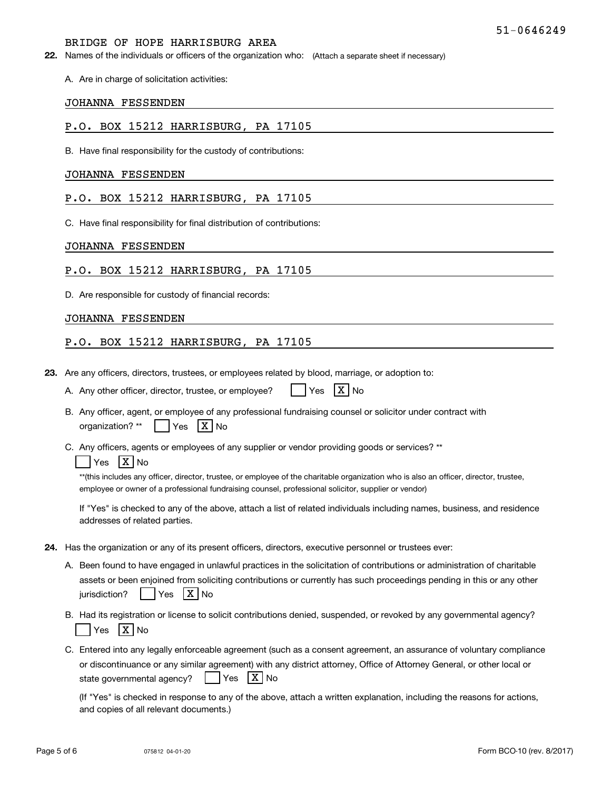**22.** Names of the individuals or officers of the organization who: (Attach a separate sheet if necessary)

A. Are in charge of solicitation activities:

#### JOHANNA FESSENDEN

#### P.O. BOX 15212 HARRISBURG, PA 17105

B. Have final responsibility for the custody of contributions:

#### JOHANNA FESSENDEN

#### P.O. BOX 15212 HARRISBURG, PA 17105

C. Have final responsibility for final distribution of contributions:

#### JOHANNA FESSENDEN

#### P.O. BOX 15212 HARRISBURG, PA 17105

D. Are responsible for custody of financial records:

#### JOHANNA FESSENDEN

#### P.O. BOX 15212 HARRISBURG, PA 17105

**23.**Are any officers, directors, trustees, or employees related by blood, marriage, or adoption to:

| A. Any other officer, director, trustee, or employee? | $\left  \begin{array}{cc} \n\text{Yes} & \overline{\text{X}} \n\end{array} \right $ No |  |  |
|-------------------------------------------------------|----------------------------------------------------------------------------------------|--|--|
|-------------------------------------------------------|----------------------------------------------------------------------------------------|--|--|

- B. Any officer, agent, or employee of any professional fundraising counsel or solicitor under contract with organization?  $^{\star\star}$  | Yes  $\mathsf{X} \mathsf{N}$ o
- C. Any officers, agents or employees of any supplier or vendor providing goods or services? \*\*

#### Yes |X|No

\*\*(this includes any officer, director, trustee, or employee of the charitable organization who is also an officer, director, trustee, employee or owner of a professional fundraising counsel, professional solicitor, supplier or vendor)

If "Yes" is checked to any of the above, attach a list of related individuals including names, business, and residence addresses of related parties.

- **24.**Has the organization or any of its present officers, directors, executive personnel or trustees ever:
	- A. Been found to have engaged in unlawful practices in the solicitation of contributions or administration of charitable assets or been enjoined from soliciting contributions or currently has such proceedings pending in this or any other jurisdiction?n? | |Yes |X|No
	- B. Had its registration or license to solicit contributions denied, suspended, or revoked by any governmental agency? Yes |X|No
	- C. Entered into any legally enforceable agreement (such as a consent agreement, an assurance of voluntary compliance or discontinuance or any similar agreement) with any district attorney, Office of Attorney General, or other local or state governmental agency? Yes X No

(If "Yes" is checked in response to any of the above, attach a written explanation, including the reasons for actions, and copies of all relevant documents.)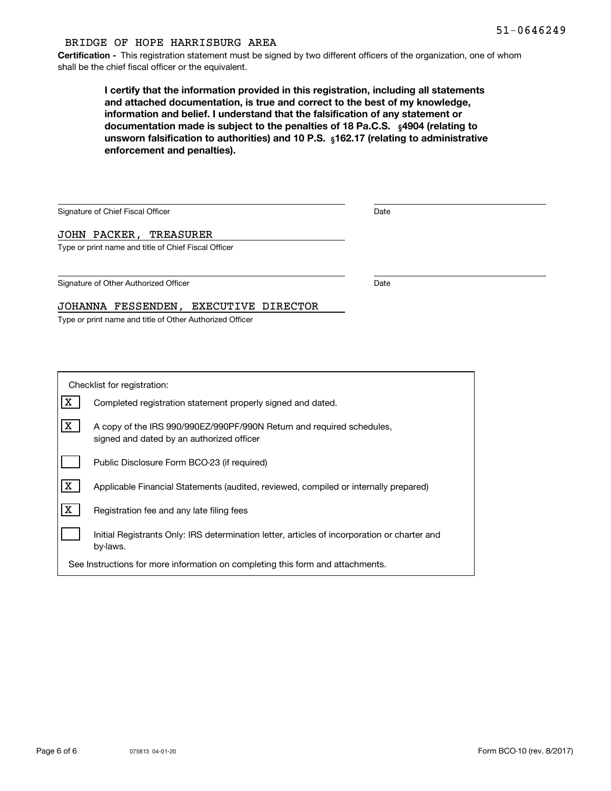**Certification -** This registration statement must be signed by two different officers of the organization, one of whom shall be the chief fiscal officer or the equivalent.

> documentation made is subject to the penalties of 18 Pa.C.S.  $\ _{\S}$ 4904 (relating to **<b>unsworn falsification to authorities) and 10 P.S.** <sub>§</sub>162.17 (relating to administrative **I certify that the information provided in this registration, including all statements and attached documentation, is true and correct to the best of my knowledge, information and belief. I understand that the falsification of any statement or enforcement and penalties).**

| Signature of Chief Fiscal Officer                    | Date |  |
|------------------------------------------------------|------|--|
| JOHN PACKER, TREASURER                               |      |  |
| Type or print name and title of Chief Fiscal Officer |      |  |
|                                                      |      |  |
| Signature of Other Authorized Officer                | Date |  |
| JOHANNA FESSENDEN, EXECUTIVE DIRECTOR                |      |  |
|                                                      |      |  |

Type or print name and title of Other Authorized Officer

| Checklist for registration:                                                    |                                                                                                                    |  |  |  |  |
|--------------------------------------------------------------------------------|--------------------------------------------------------------------------------------------------------------------|--|--|--|--|
| x                                                                              | Completed registration statement properly signed and dated.                                                        |  |  |  |  |
| x                                                                              | A copy of the IRS 990/990EZ/990PF/990N Return and required schedules,<br>signed and dated by an authorized officer |  |  |  |  |
|                                                                                | Public Disclosure Form BCO-23 (if required)                                                                        |  |  |  |  |
| x                                                                              | Applicable Financial Statements (audited, reviewed, compiled or internally prepared)                               |  |  |  |  |
| X                                                                              | Registration fee and any late filing fees                                                                          |  |  |  |  |
|                                                                                | Initial Registrants Only: IRS determination letter, articles of incorporation or charter and<br>by-laws.           |  |  |  |  |
| See Instructions for more information on completing this form and attachments. |                                                                                                                    |  |  |  |  |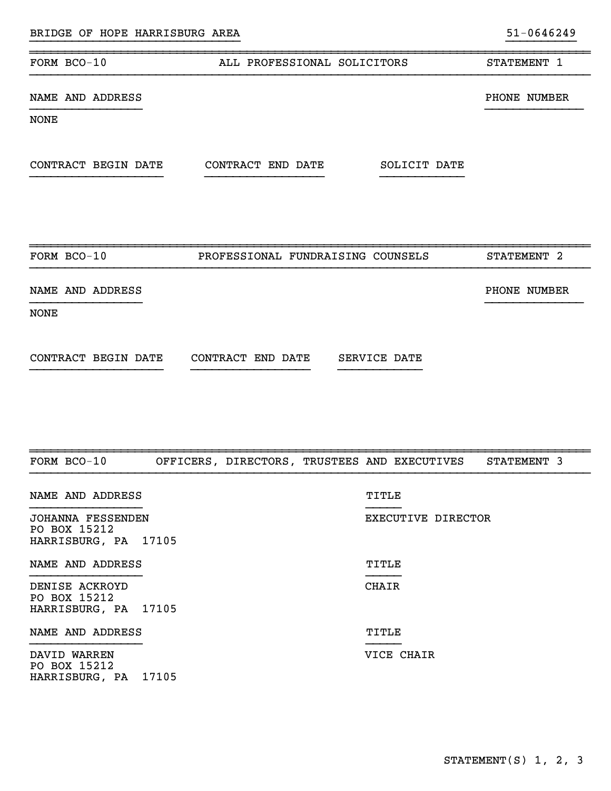| FORM BCO-10         | ALL PROFESSIONAL SOLICITORS       | STATEMENT 1  |
|---------------------|-----------------------------------|--------------|
| NAME AND ADDRESS    |                                   | PHONE NUMBER |
| <b>NONE</b>         |                                   |              |
|                     |                                   |              |
| CONTRACT BEGIN DATE | CONTRACT END DATE<br>SOLICIT DATE |              |
|                     |                                   |              |

}}}}}}}}}}}}}}}}}}}}}}}}}}}}}} }}}}}}}}}}

| FORM BCO-10         | PROFESSIONAL FUNDRAISING COUNSELS | STATEMENT 2  |
|---------------------|-----------------------------------|--------------|
| NAME AND ADDRESS    |                                   | PHONE NUMBER |
| <b>NONE</b>         |                                   |              |
| CONTRACT BEGIN DATE | CONTRACT END DATE<br>SERVICE DATE |              |

| FORM BCO-10                                               |  |              | OFFICERS, DIRECTORS, TRUSTEES AND EXECUTIVES STATEMENT 3 |  |
|-----------------------------------------------------------|--|--------------|----------------------------------------------------------|--|
| NAME AND ADDRESS                                          |  | TITLE        |                                                          |  |
| JOHANNA FESSENDEN<br>PO BOX 15212<br>HARRISBURG, PA 17105 |  |              | EXECUTIVE DIRECTOR                                       |  |
| NAME AND ADDRESS                                          |  | TITLE        |                                                          |  |
| DENISE ACKROYD<br>PO BOX 15212<br>HARRISBURG, PA 17105    |  | <b>CHAIR</b> |                                                          |  |
| NAME AND ADDRESS                                          |  | TITLE        |                                                          |  |
| DAVID WARREN<br>PO BOX 15212<br>HARRISBURG, PA 17105      |  |              | VICE CHAIR                                               |  |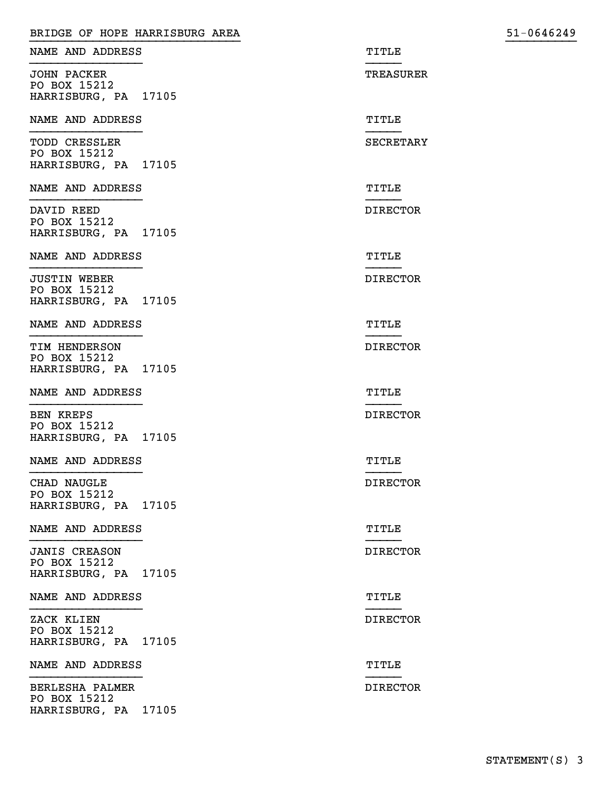| BRIDGE OF HOPE HARRISBURG AREA                               |                  | 51-0646249 |
|--------------------------------------------------------------|------------------|------------|
| NAME AND ADDRESS                                             | TITLE            |            |
| <b>JOHN PACKER</b><br>PO BOX 15212                           | TREASURER        |            |
| HARRISBURG, PA 17105                                         |                  |            |
| NAME AND ADDRESS                                             | TITLE            |            |
| TODD CRESSLER<br>PO BOX 15212<br>HARRISBURG, PA 17105        | <b>SECRETARY</b> |            |
| NAME AND ADDRESS                                             | TITLE            |            |
| DAVID REED<br>PO BOX 15212<br>HARRISBURG, PA 17105           | <b>DIRECTOR</b>  |            |
| NAME AND ADDRESS                                             | TITLE            |            |
| <b>JUSTIN WEBER</b><br>PO BOX 15212<br>HARRISBURG, PA 17105  | <b>DIRECTOR</b>  |            |
| NAME AND ADDRESS                                             | TITLE            |            |
| TIM HENDERSON<br>PO BOX 15212<br>HARRISBURG, PA 17105        | <b>DIRECTOR</b>  |            |
| NAME AND ADDRESS                                             | TITLE            |            |
| <b>BEN KREPS</b><br>PO BOX 15212<br>HARRISBURG, PA 17105     | <b>DIRECTOR</b>  |            |
| NAME AND ADDRESS                                             | TITLE            |            |
| CHAD NAUGLE<br>PO BOX 15212<br>HARRISBURG, PA 17105          | <b>DIRECTOR</b>  |            |
| NAME AND ADDRESS                                             | TITLE            |            |
| <b>JANIS CREASON</b><br>PO BOX 15212<br>HARRISBURG, PA 17105 | <b>DIRECTOR</b>  |            |
| NAME AND ADDRESS                                             | TITLE            |            |
| ZACK KLIEN<br>PO BOX 15212<br>HARRISBURG, PA 17105           | <b>DIRECTOR</b>  |            |
| NAME AND ADDRESS                                             | TITLE            |            |
| BERLESHA PALMER<br>PO BOX 15212<br>HARRISBURG, PA 17105      | <b>DIRECTOR</b>  |            |